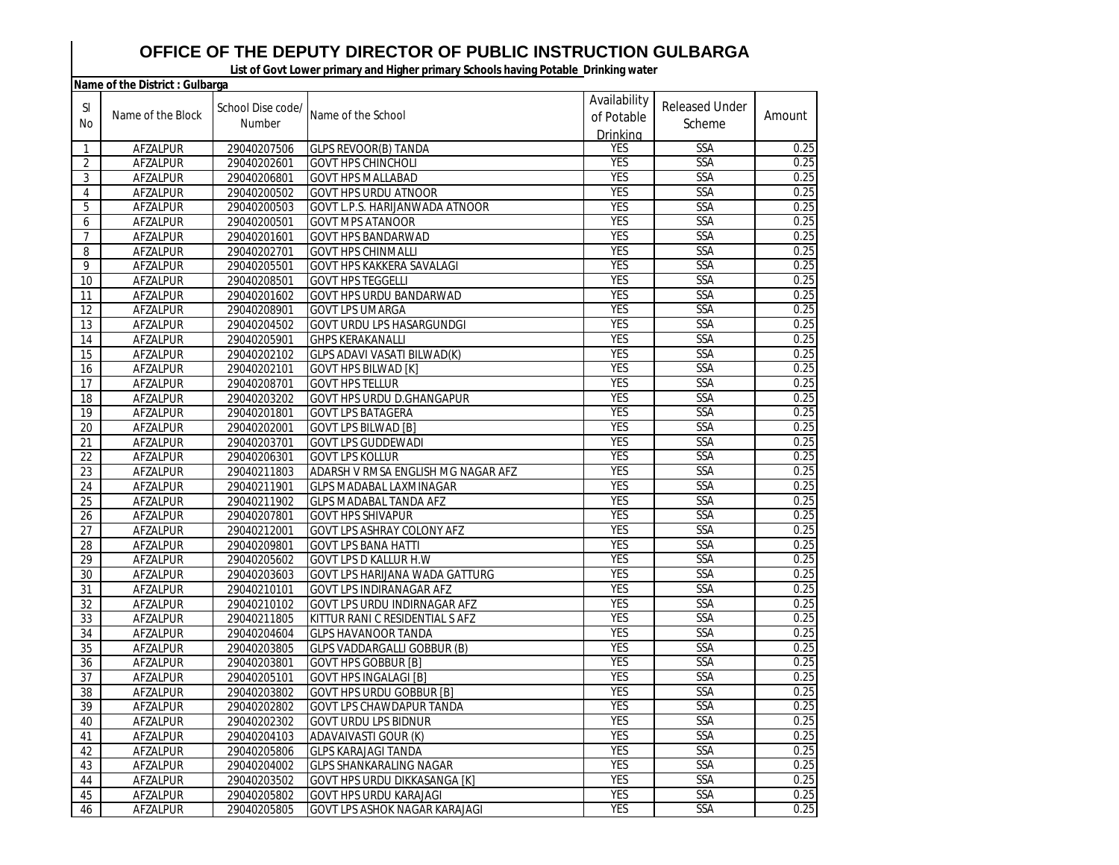## **OFFICE OF THE DEPUTY DIRECTOR OF PUBLIC INSTRUCTION GULBARGA**

**List of Govt Lower primary and Higher primary Schools having Potable Drinking water** 

|                | Name of the District : Gulbarga |                   |                                      |              |                       |        |
|----------------|---------------------------------|-------------------|--------------------------------------|--------------|-----------------------|--------|
| <sub>SI</sub>  |                                 | School Dise code/ |                                      | Availability | <b>Released Under</b> |        |
|                | Name of the Block               | Number            | Name of the School                   | of Potable   |                       | Amount |
| No             |                                 |                   |                                      | Drinking     | Scheme                |        |
| 1              | AFZALPUR                        | 29040207506       | <b>GLPS REVOOR(B) TANDA</b>          | <b>YES</b>   | <b>SSA</b>            | 0.25   |
| 2              | AFZALPUR                        | 29040202601       | <b>GOVT HPS CHINCHOLI</b>            | <b>YES</b>   | <b>SSA</b>            | 0.25   |
| 3              | AFZALPUR                        | 29040206801       | <b>GOVT HPS MALLABAD</b>             | <b>YES</b>   | <b>SSA</b>            | 0.25   |
| 4              | AFZALPUR                        | 29040200502       | <b>GOVT HPS URDU ATNOOR</b>          | <b>YES</b>   | SSA                   | 0.25   |
| 5              | AFZALPUR                        | 29040200503       | GOVT L.P.S. HARIJANWADA ATNOOR       | <b>YES</b>   | SSA                   | 0.25   |
| 6              | AFZALPUR                        | 29040200501       | <b>GOVT MPS ATANOOR</b>              | <b>YES</b>   | SSA                   | 0.25   |
| $\overline{7}$ | AFZALPUR                        | 29040201601       | GOVT HPS BANDARWAD                   | <b>YES</b>   | SSA                   | 0.25   |
| 8              | AFZALPUR                        | 29040202701       | <b>GOVT HPS CHINMALLI</b>            | <b>YES</b>   | SSA                   | 0.25   |
| 9              | AFZALPUR                        | 29040205501       | GOVT HPS KAKKERA SAVALAGI            | <b>YES</b>   | SSA                   | 0.25   |
| 10             | AFZALPUR                        | 29040208501       | <b>GOVT HPS TEGGELLI</b>             | <b>YES</b>   | <b>SSA</b>            | 0.25   |
| 11             | AFZALPUR                        | 29040201602       | GOVT HPS URDU BANDARWAD              | <b>YES</b>   | SSA                   | 0.25   |
| 12             | AFZALPUR                        | 29040208901       | <b>GOVT LPS UMARGA</b>               | <b>YES</b>   | SSA                   | 0.25   |
| 13             | AFZALPUR                        | 29040204502       | <b>GOVT URDU LPS HASARGUNDGI</b>     | <b>YES</b>   | SSA                   | 0.25   |
| 14             | AFZALPUR                        | 29040205901       | <b>GHPS KERAKANALLI</b>              | <b>YES</b>   | SSA                   | 0.25   |
| 15             | AFZALPUR                        | 29040202102       | GLPS ADAVI VASATI BILWAD(K)          | <b>YES</b>   | <b>SSA</b>            | 0.25   |
| 16             | AFZALPUR                        | 29040202101       | <b>GOVT HPS BILWAD [K]</b>           | <b>YES</b>   | SSA                   | 0.25   |
| 17             | AFZALPUR                        | 29040208701       | <b>GOVT HPS TELLUR</b>               | <b>YES</b>   | SSA                   | 0.25   |
| 18             | AFZALPUR                        | 29040203202       | GOVT HPS URDU D.GHANGAPUR            | <b>YES</b>   | SSA                   | 0.25   |
| 19             | AFZALPUR                        | 29040201801       | <b>GOVT LPS BATAGERA</b>             | <b>YES</b>   | SSA                   | 0.25   |
| 20             | AFZALPUR                        | 29040202001       | <b>GOVT LPS BILWAD [B]</b>           | <b>YES</b>   | SSA                   | 0.25   |
| 21             | AFZALPUR                        | 29040203701       | <b>GOVT LPS GUDDEWADI</b>            | <b>YES</b>   | <b>SSA</b>            | 0.25   |
| 22             | AFZALPUR                        | 29040206301       | <b>GOVT LPS KOLLUR</b>               | <b>YES</b>   | SSA                   | 0.25   |
| 23             | AFZALPUR                        | 29040211803       | ADARSH V RMSA ENGLISH MG NAGAR AFZ   | <b>YES</b>   | SSA                   | 0.25   |
| 24             | AFZALPUR                        | 29040211901       | <b>GLPS MADABAL LAXMINAGAR</b>       | <b>YES</b>   | SSA                   | 0.25   |
| 25             | AFZALPUR                        | 29040211902       | <b>GLPS MADABAL TANDA AFZ</b>        | <b>YES</b>   | <b>SSA</b>            | 0.25   |
| 26             | AFZALPUR                        | 29040207801       | <b>GOVT HPS SHIVAPUR</b>             | <b>YES</b>   | SSA                   | 0.25   |
| 27             | AFZALPUR                        | 29040212001       | GOVT LPS ASHRAY COLONY AFZ           | <b>YES</b>   | SSA                   | 0.25   |
| 28             | AFZALPUR                        | 29040209801       | <b>GOVT LPS BANA HATTI</b>           | <b>YES</b>   | <b>SSA</b>            | 0.25   |
| 29             | AFZALPUR                        | 29040205602       | GOVT LPS D KALLUR H.W                | <b>YES</b>   | SSA                   | 0.25   |
| 30             | AFZALPUR                        | 29040203603       | GOVT LPS HARIJANA WADA GATTURG       | <b>YES</b>   | SSA                   | 0.25   |
| 31             | AFZALPUR                        | 29040210101       | GOVT LPS INDIRANAGAR AFZ             | <b>YES</b>   | SSA                   | 0.25   |
| 32             | AFZALPUR                        | 29040210102       | GOVT LPS URDU INDIRNAGAR AFZ         | <b>YES</b>   | SSA                   | 0.25   |
| 33             | AFZALPUR                        | 29040211805       | KITTUR RANI C RESIDENTIAL S AFZ      | <b>YES</b>   | <b>SSA</b>            | 0.25   |
| 34             | AFZALPUR                        | 29040204604       | <b>GLPS HAVANOOR TANDA</b>           | <b>YES</b>   | SSA                   | 0.25   |
| 35             | AFZALPUR                        | 29040203805       | GLPS VADDARGALLI GOBBUR (B)          | <b>YES</b>   | SSA                   | 0.25   |
| 36             | AFZALPUR                        | 29040203801       | <b>GOVT HPS GOBBUR [B]</b>           | <b>YES</b>   | SSA                   | 0.25   |
| 37             | AFZALPUR                        | 29040205101       | <b>GOVT HPS INGALAGI [B]</b>         | <b>YES</b>   | <b>SSA</b>            | 0.25   |
| 38             | AFZALPUR                        | 29040203802       | <b>GOVT HPS URDU GOBBUR [B]</b>      | <b>YES</b>   | SSA                   | 0.25   |
| 39             | <b>AFZALPUR</b>                 | 29040202802       | <b>GOVT LPS CHAWDAPUR TANDA</b>      | <b>YES</b>   | SSA                   | 0.25   |
| 40             | AFZALPUR                        | 29040202302       | <b>GOVT URDU LPS BIDNUR</b>          | <b>YES</b>   | <b>SSA</b>            | 0.25   |
| 41             | AFZALPUR                        | 29040204103       | <b>ADAVAIVASTI GOUR (K)</b>          | <b>YES</b>   | <b>SSA</b>            | 0.25   |
| 42             | AFZALPUR                        | 29040205806       | <b>GLPS KARAJAGI TANDA</b>           | <b>YES</b>   | <b>SSA</b>            | 0.25   |
| 43             | AFZALPUR                        | 29040204002       | <b>GLPS SHANKARALING NAGAR</b>       | <b>YES</b>   | SSA                   | 0.25   |
| 44             | AFZALPUR                        | 29040203502       | GOVT HPS URDU DIKKASANGA [K]         | <b>YES</b>   | <b>SSA</b>            | 0.25   |
| 45             | AFZALPUR                        | 29040205802       | <b>GOVT HPS URDU KARAJAGI</b>        | <b>YES</b>   | <b>SSA</b>            | 0.25   |
| 46             | AFZALPUR                        | 29040205805       | <b>GOVT LPS ASHOK NAGAR KARAJAGI</b> | <b>YES</b>   | <b>SSA</b>            | 0.25   |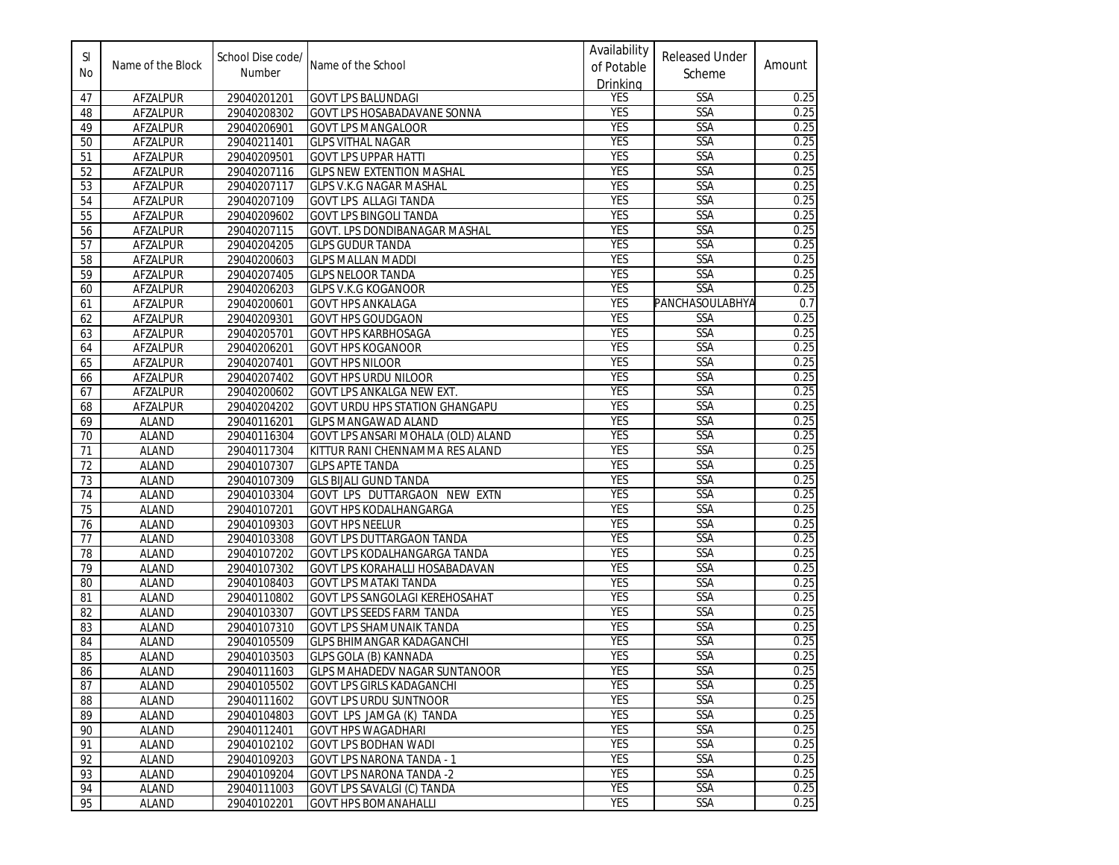| SI<br>No | Name of the Block | School Dise code/<br>Number | Name of the School                    | Availability<br>of Potable<br>Drinking | <b>Released Under</b><br>Scheme | Amount |
|----------|-------------------|-----------------------------|---------------------------------------|----------------------------------------|---------------------------------|--------|
| 47       | AFZALPUR          | 29040201201                 | <b>GOVT LPS BALUNDAGI</b>             | <b>YES</b>                             | SSA                             | 0.25   |
| 48       | AFZALPUR          | 29040208302                 | GOVT LPS HOSABADAVANE SONNA           | <b>YES</b>                             | SSA                             | 0.25   |
| 49       | AFZALPUR          | 29040206901                 | <b>GOVT LPS MANGALOOR</b>             | <b>YES</b>                             | SSA                             | 0.25   |
| 50       | AFZALPUR          | 29040211401                 | <b>GLPS VITHAL NAGAR</b>              | <b>YES</b>                             | <b>SSA</b>                      | 0.25   |
| 51       | AFZALPUR          | 29040209501                 | <b>GOVT LPS UPPAR HATTI</b>           | <b>YES</b>                             | <b>SSA</b>                      | 0.25   |
| 52       | AFZALPUR          | 29040207116                 | <b>GLPS NEW EXTENTION MASHAL</b>      | <b>YES</b>                             | <b>SSA</b>                      | 0.25   |
| 53       | AFZALPUR          | 29040207117                 | <b>GLPS V.K.G NAGAR MASHAL</b>        | <b>YES</b>                             | SSA                             | 0.25   |
| 54       | <b>AFZALPUR</b>   | 29040207109                 | GOVT LPS ALLAGI TANDA                 | <b>YES</b>                             | SSA                             | 0.25   |
| 55       | AFZALPUR          | 29040209602                 | <b>GOVT LPS BINGOLI TANDA</b>         | <b>YES</b>                             | SSA                             | 0.25   |
| 56       | AFZALPUR          | 29040207115                 | GOVT. LPS DONDIBANAGAR MASHAL         | <b>YES</b>                             | <b>SSA</b>                      | 0.25   |
| 57       | AFZALPUR          | 29040204205                 | <b>GLPS GUDUR TANDA</b>               | <b>YES</b>                             | SSA                             | 0.25   |
| 58       | AFZALPUR          | 29040200603                 | <b>GLPS MALLAN MADDI</b>              | <b>YES</b>                             | SSA                             | 0.25   |
| 59       | AFZALPUR          | 29040207405                 | <b>GLPS NELOOR TANDA</b>              | <b>YES</b>                             | SSA                             | 0.25   |
| 60       | AFZALPUR          | 29040206203                 | <b>GLPS V.K.G KOGANOOR</b>            | <b>YES</b>                             | SSA                             | 0.25   |
| 61       | AFZALPUR          | 29040200601                 | <b>GOVT HPS ANKALAGA</b>              | <b>YES</b>                             | PANCHASOULABHYA                 | 0.7    |
| 62       | AFZALPUR          | 29040209301                 | <b>GOVT HPS GOUDGAON</b>              | <b>YES</b>                             | SSA                             | 0.25   |
| 63       | AFZALPUR          | 29040205701                 | <b>GOVT HPS KARBHOSAGA</b>            | <b>YES</b>                             | SSA                             | 0.25   |
| 64       | AFZALPUR          | 29040206201                 | <b>GOVT HPS KOGANOOR</b>              | <b>YES</b>                             | <b>SSA</b>                      | 0.25   |
| 65       | AFZALPUR          | 29040207401                 | <b>GOVT HPS NILOOR</b>                | <b>YES</b>                             | SSA                             | 0.25   |
| 66       | AFZALPUR          | 29040207402                 | <b>GOVT HPS URDU NILOOR</b>           | <b>YES</b>                             | <b>SSA</b>                      | 0.25   |
| 67       | AFZALPUR          | 29040200602                 | <b>GOVT LPS ANKALGA NEW EXT.</b>      | <b>YES</b>                             | <b>SSA</b>                      | 0.25   |
| 68       | AFZALPUR          | 29040204202                 | <b>GOVT URDU HPS STATION GHANGAPU</b> | <b>YES</b>                             | SSA                             | 0.25   |
| 69       | <b>ALAND</b>      | 29040116201                 | <b>GLPS MANGAWAD ALAND</b>            | <b>YES</b>                             | SSA                             | 0.25   |
| 70       | <b>ALAND</b>      | 29040116304                 | GOVT LPS ANSARI MOHALA (OLD) ALAND    | <b>YES</b>                             | SSA                             | 0.25   |
| 71       | <b>ALAND</b>      | 29040117304                 | KITTUR RANI CHENNAMMA RES ALAND       | <b>YES</b>                             | <b>SSA</b>                      | 0.25   |
| 72       | <b>ALAND</b>      | 29040107307                 | <b>GLPS APTE TANDA</b>                | <b>YES</b>                             | <b>SSA</b>                      | 0.25   |
| 73       | <b>ALAND</b>      | 29040107309                 | <b>GLS BIJALI GUND TANDA</b>          | <b>YES</b>                             | SSA                             | 0.25   |
| 74       | <b>ALAND</b>      | 29040103304                 | GOVT LPS DUTTARGAON NEW EXTN          | <b>YES</b>                             | SSA                             | 0.25   |
| 75       | <b>ALAND</b>      | 29040107201                 | <b>GOVT HPS KODALHANGARGA</b>         | <b>YES</b>                             | SSA                             | 0.25   |
| 76       | <b>ALAND</b>      | 29040109303                 | <b>GOVT HPS NEELUR</b>                | <b>YES</b>                             | <b>SSA</b>                      | 0.25   |
| 77       | <b>ALAND</b>      | 29040103308                 | <b>GOVT LPS DUTTARGAON TANDA</b>      | <b>YES</b>                             | SSA                             | 0.25   |
| 78       | <b>ALAND</b>      | 29040107202                 | GOVT LPS KODALHANGARGA TANDA          | <b>YES</b>                             | SSA                             | 0.25   |
| 79       | <b>ALAND</b>      | 29040107302                 | GOVT LPS KORAHALLI HOSABADAVAN        | <b>YES</b>                             | <b>SSA</b>                      | 0.25   |
| 80       | ALAND             | 29040108403                 | <b>GOVT LPS MATAKI TANDA</b>          | <b>YES</b>                             | SSA                             | 0.25   |
| 81       | <b>ALAND</b>      | 29040110802                 | GOVT LPS SANGOLAGI KEREHOSAHAT        | <b>YES</b>                             | SSA                             | 0.25   |
| 82       | <b>ALAND</b>      | 29040103307                 | <b>GOVT LPS SEEDS FARM TANDA</b>      | <b>YES</b>                             | SSA                             | 0.25   |
| 83       | <b>ALAND</b>      | 29040107310                 | <b>GOVT LPS SHAMUNAIK TANDA</b>       | <b>YES</b>                             | <b>SSA</b>                      | 0.25   |
| 84       | ALAND             | 29040105509                 | <b>GLPS BHIMANGAR KADAGANCHI</b>      | <b>YES</b>                             | SSA                             | 0.25   |
| 85       | <b>ALAND</b>      | 29040103503                 | <b>GLPS GOLA (B) KANNADA</b>          | <b>YES</b>                             | SSA                             | 0.25   |
| 86       | ALAND             | 29040111603                 | <b>IGLPS MAHADEDV NAGAR SUNTANOOR</b> | <b>YES</b>                             | <b>SSA</b>                      | 0.25   |
| 87       | ALAND             | 29040105502                 | <b>GOVT LPS GIRLS KADAGANCHI</b>      | <b>YES</b>                             | <b>SSA</b>                      | 0.25   |
| 88       | <b>ALAND</b>      | 29040111602                 | <b>GOVT LPS URDU SUNTNOOR</b>         | <b>YES</b>                             | <b>SSA</b>                      | 0.25   |
| 89       | <b>ALAND</b>      | 29040104803                 | GOVT LPS JAMGA (K) TANDA              | <b>YES</b>                             | <b>SSA</b>                      | 0.25   |
| 90       | <b>ALAND</b>      | 29040112401                 | <b>GOVT HPS WAGADHARI</b>             | <b>YES</b>                             | <b>SSA</b>                      | 0.25   |
| 91       | ALAND             | 29040102102                 | <b>GOVT LPS BODHAN WADI</b>           | <b>YES</b>                             | <b>SSA</b>                      | 0.25   |
| 92       | <b>ALAND</b>      | 29040109203                 | <b>GOVT LPS NARONA TANDA - 1</b>      | <b>YES</b>                             | <b>SSA</b>                      | 0.25   |
| 93       | <b>ALAND</b>      | 29040109204                 | <b>GOVT LPS NARONA TANDA -2</b>       | <b>YES</b>                             | <b>SSA</b>                      | 0.25   |
| 94       | ALAND             | 29040111003                 | <b>GOVT LPS SAVALGI (C) TANDA</b>     | <b>YES</b>                             | SSA                             | 0.25   |
| 95       | ALAND             | 29040102201                 | <b>GOVT HPS BOMANAHALLI</b>           | <b>YES</b>                             | <b>SSA</b>                      | 0.25   |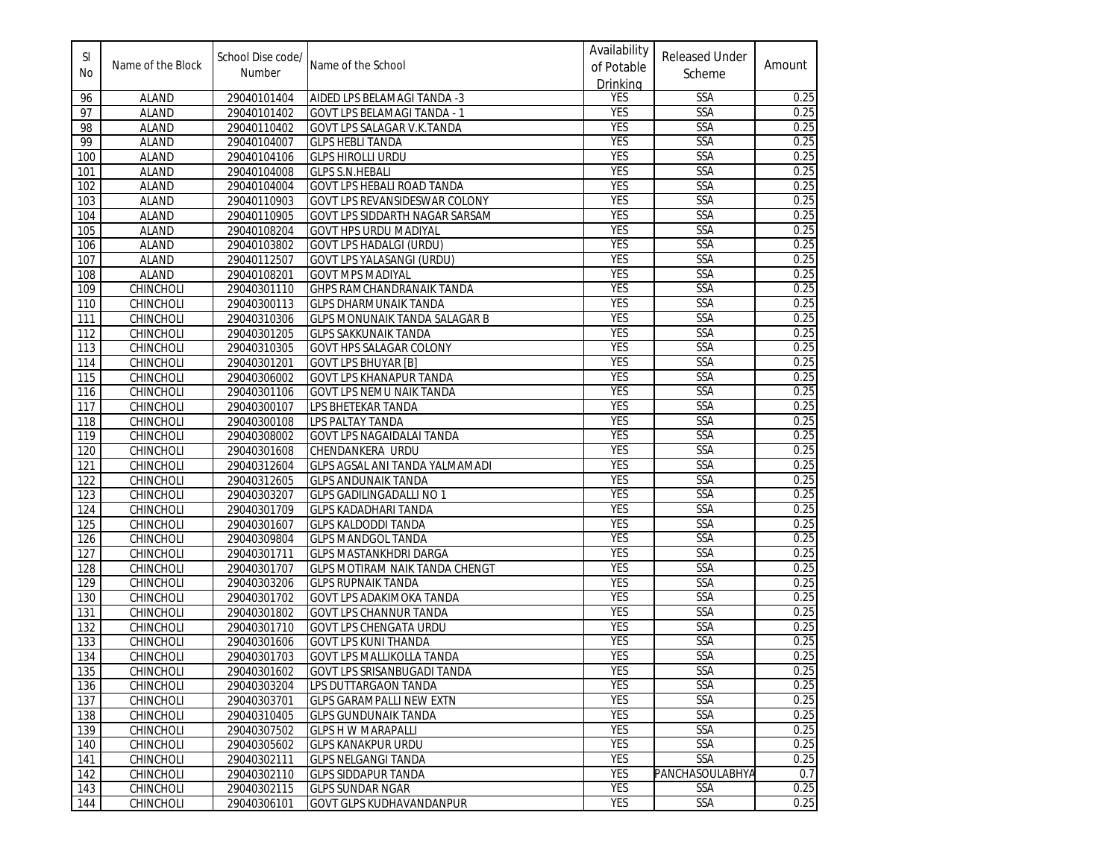| SI<br>No         | Name of the Block | School Dise code/<br>Number | Name of the School                    | Availability<br>of Potable | <b>Released Under</b><br>Scheme | Amount |
|------------------|-------------------|-----------------------------|---------------------------------------|----------------------------|---------------------------------|--------|
| 96               | <b>ALAND</b>      | 29040101404                 | AIDED LPS BELAMAGI TANDA -3           | Drinking<br><b>YES</b>     | SSA                             | 0.25   |
| 97               | <b>ALAND</b>      | 29040101402                 | <b>GOVT LPS BELAMAGI TANDA - 1</b>    | <b>YES</b>                 | SSA                             | 0.25   |
| 98               | <b>ALAND</b>      | 29040110402                 | GOVT LPS SALAGAR V.K.TANDA            | <b>YES</b>                 | SSA                             | 0.25   |
| 99               | <b>ALAND</b>      | 29040104007                 | <b>GLPS HEBLI TANDA</b>               | <b>YES</b>                 | <b>SSA</b>                      | 0.25   |
| 100              | <b>ALAND</b>      | 29040104106                 | <b>GLPS HIROLLI URDU</b>              | <b>YES</b>                 | SSA                             | 0.25   |
| 101              | <b>ALAND</b>      | 29040104008                 | <b>GLPS S.N.HEBALI</b>                | <b>YES</b>                 | <b>SSA</b>                      | 0.25   |
| 102              | <b>ALAND</b>      | 29040104004                 | <b>GOVT LPS HEBALI ROAD TANDA</b>     | <b>YES</b>                 | <b>SSA</b>                      | 0.25   |
| 103              | <b>ALAND</b>      | 29040110903                 | GOVT LPS REVANSIDESWAR COLONY         | <b>YES</b>                 | <b>SSA</b>                      | 0.25   |
| 104              | <b>ALAND</b>      | 29040110905                 | GOVT LPS SIDDARTH NAGAR SARSAM        | <b>YES</b>                 | SSA                             | 0.25   |
| 105              | <b>ALAND</b>      | 29040108204                 | <b>GOVT HPS URDU MADIYAL</b>          | <b>YES</b>                 | <b>SSA</b>                      | 0.25   |
| 106              | <b>ALAND</b>      | 29040103802                 | <b>GOVT LPS HADALGI (URDU)</b>        | <b>YES</b>                 | SSA                             | 0.25   |
| 107              | <b>ALAND</b>      | 29040112507                 | GOVT LPS YALASANGI (URDU)             | <b>YES</b>                 | <b>SSA</b>                      | 0.25   |
| 108              | <b>ALAND</b>      | 29040108201                 | <b>GOVT MPS MADIYAL</b>               | <b>YES</b>                 | SSA                             | 0.25   |
| 109              | CHINCHOLI         | 29040301110                 | <b>GHPS RAMCHANDRANAIK TANDA</b>      | <b>YES</b>                 | SSA                             | 0.25   |
| 110              | CHINCHOLI         | 29040300113                 | <b>GLPS DHARMUNAIK TANDA</b>          | <b>YES</b>                 | SSA                             | 0.25   |
| 111              | CHINCHOLI         | 29040310306                 | <b>GLPS MONUNAIK TANDA SALAGAR B</b>  | <b>YES</b>                 | <b>SSA</b>                      | 0.25   |
| 112              | CHINCHOLI         | 29040301205                 | <b>GLPS SAKKUNAIK TANDA</b>           | <b>YES</b>                 | SSA                             | 0.25   |
| 113              | CHINCHOLI         | 29040310305                 | GOVT HPS SALAGAR COLONY               | <b>YES</b>                 | <b>SSA</b>                      | 0.25   |
| 114              | CHINCHOLI         | 29040301201                 | <b>GOVT LPS BHUYAR [B]</b>            | <b>YES</b>                 | <b>SSA</b>                      | 0.25   |
| 115              | CHINCHOLI         | 29040306002                 | <b>GOVT LPS KHANAPUR TANDA</b>        | <b>YES</b>                 | SSA                             | 0.25   |
| 116              | <b>CHINCHOLI</b>  | 29040301106                 | GOVT LPS NEMU NAIK TANDA              | <b>YES</b>                 | <b>SSA</b>                      | 0.25   |
| 117              | <b>CHINCHOLI</b>  | 29040300107                 | LPS BHETEKAR TANDA                    | <b>YES</b>                 | SSA                             | 0.25   |
| 118              | CHINCHOLI         | 29040300108                 | LPS PALTAY TANDA                      | <b>YES</b>                 | SSA                             | 0.25   |
| 119              | CHINCHOLI         | 29040308002                 | GOVT LPS NAGAIDALAI TANDA             | <b>YES</b>                 | SSA                             | 0.25   |
| 120              | CHINCHOLI         | 29040301608                 | CHENDANKERA URDU                      | <b>YES</b>                 | <b>SSA</b>                      | 0.25   |
| 121              | <b>CHINCHOLI</b>  | 29040312604                 | GLPS AGSAL ANI TANDA YALMAMADI        | <b>YES</b>                 | SSA                             | 0.25   |
| 122              | CHINCHOLI         | 29040312605                 | <b>GLPS ANDUNAIK TANDA</b>            | <b>YES</b>                 | SSA                             | 0.25   |
| 123              | CHINCHOLI         | 29040303207                 | <b>GLPS GADILINGADALLI NO 1</b>       | <b>YES</b>                 | SSA                             | 0.25   |
| 124              | CHINCHOLI         | 29040301709                 | <b>GLPS KADADHARI TANDA</b>           | <b>YES</b>                 | SSA                             | 0.25   |
| 125              | CHINCHOLI         | 29040301607                 | <b>GLPS KALDODDI TANDA</b>            | <b>YES</b>                 | SSA                             | 0.25   |
| 126              | CHINCHOLI         | 29040309804                 | <b>GLPS MANDGOL TANDA</b>             | <b>YES</b>                 | SSA                             | 0.25   |
| $\overline{127}$ | CHINCHOLI         | 29040301711                 | <b>GLPS MASTANKHDRI DARGA</b>         | <b>YES</b>                 | SSA                             | 0.25   |
| 128              | <b>CHINCHOLI</b>  | 29040301707                 | <b>GLPS MOTIRAM NAIK TANDA CHENGT</b> | <b>YES</b>                 | <b>SSA</b>                      | 0.25   |
| 129              | CHINCHOLI         | 29040303206                 | <b>GLPS RUPNAIK TANDA</b>             | <b>YES</b>                 | <b>SSA</b>                      | 0.25   |
| 130              | CHINCHOLI         | 29040301702                 | GOVT LPS ADAKIMOKA TANDA              | <b>YES</b>                 | SSA                             | 0.25   |
| 131              | <b>CHINCHOLI</b>  | 29040301802                 | GOVT LPS CHANNUR TANDA                | <b>YES</b>                 | SSA                             | 0.25   |
| 132              | <b>CHINCHOLI</b>  | 29040301710                 | <b>GOVT LPS CHENGATA URDU</b>         | <b>YES</b>                 | <b>SSA</b>                      | 0.25   |
| 133              | CHINCHOLI         | 29040301606                 | <b>GOVT LPS KUNI THANDA</b>           | <b>YES</b>                 | SSA                             | 0.25   |
| 134              | CHINCHOLI         | 29040301703                 | <b>GOVT LPS MALLIKOLLA TANDA</b>      | <b>YES</b>                 | SSA                             | 0.25   |
| 135              | CHINCHOLI         | 29040301602                 | <b>GOVT LPS SRISANBUGADI TANDA</b>    | <b>YES</b>                 | <b>SSA</b>                      | 0.25   |
| 136              | CHINCHOLI         | 29040303204                 | LPS DUTTARGAON TANDA                  | <b>YES</b>                 | <b>SSA</b>                      | 0.25   |
| 137              | <b>CHINCHOLI</b>  | 29040303701                 | <b>GLPS GARAMPALLI NEW EXTN</b>       | <b>YES</b>                 | <b>SSA</b>                      | 0.25   |
| 138              | CHINCHOLI         | 29040310405                 | <b>GLPS GUNDUNAIK TANDA</b>           | <b>YES</b>                 | <b>SSA</b>                      | 0.25   |
| 139              | CHINCHOLI         | 29040307502                 | <b>GLPS H W MARAPALLI</b>             | <b>YES</b>                 | SSA                             | 0.25   |
| 140              | CHINCHOLI         | 29040305602                 | <b>GLPS KANAKPUR URDU</b>             | <b>YES</b>                 | <b>SSA</b>                      | 0.25   |
| 141              | CHINCHOLI         | 29040302111                 | <b>GLPS NELGANGI TANDA</b>            | <b>YES</b>                 | <b>SSA</b>                      | 0.25   |
| 142              | CHINCHOLI         | 29040302110                 | <b>GLPS SIDDAPUR TANDA</b>            | <b>YES</b>                 | <b>PANCHASOULABHYA</b>          | 0.7    |
| 143              | CHINCHOLI         | 29040302115                 | <b>GLPS SUNDAR NGAR</b>               | <b>YES</b>                 | SSA                             | 0.25   |
| 144              | CHINCHOLI         | 29040306101                 | GOVT GLPS KUDHAVANDANPUR              | <b>YES</b>                 | <b>SSA</b>                      | 0.25   |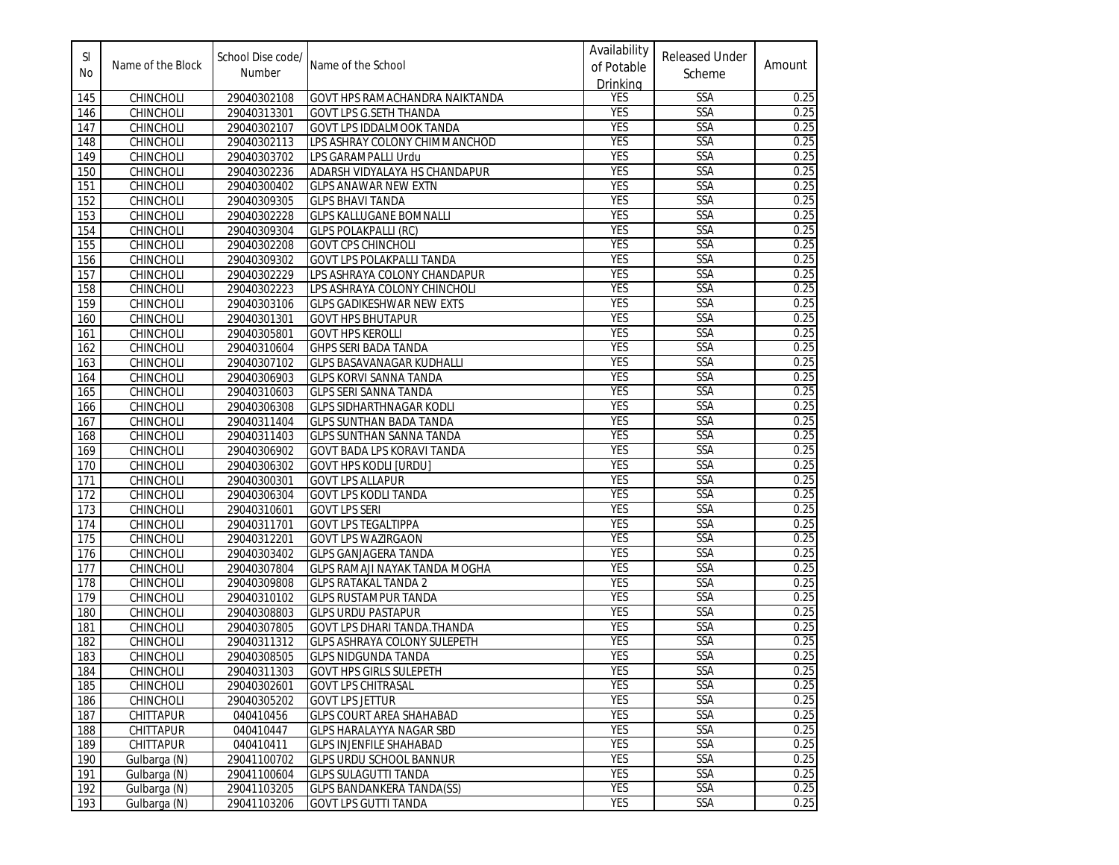| <b>SI</b><br>No | Name of the Block | School Dise code/<br>Number | Name of the School                    | Availability<br>of Potable<br>Drinking | <b>Released Under</b><br>Scheme | Amount |
|-----------------|-------------------|-----------------------------|---------------------------------------|----------------------------------------|---------------------------------|--------|
| 145             | CHINCHOLI         | 29040302108                 | <b>GOVT HPS RAMACHANDRA NAIKTANDA</b> | <b>YES</b>                             | SSA                             | 0.25   |
| 146             | CHINCHOLI         | 29040313301                 | <b>GOVT LPS G.SETH THANDA</b>         | <b>YES</b>                             | SSA                             | 0.25   |
| 147             | CHINCHOLI         | 29040302107                 | <b>GOVT LPS IDDALMOOK TANDA</b>       | <b>YES</b>                             | SSA                             | 0.25   |
| 148             | CHINCHOLI         | 29040302113                 | LPS ASHRAY COLONY CHIMMANCHOD         | <b>YES</b>                             | SSA                             | 0.25   |
| 149             | CHINCHOLI         | 29040303702                 | LPS GARAMPALLI Urdu                   | <b>YES</b>                             | SSA                             | 0.25   |
| 150             | <b>CHINCHOLI</b>  | 29040302236                 | ADARSH VIDYALAYA HS CHANDAPUR         | <b>YES</b>                             | SSA                             | 0.25   |
| 151             | CHINCHOLI         | 29040300402                 | <b>GLPS ANAWAR NEW EXTN</b>           | <b>YES</b>                             | <b>SSA</b>                      | 0.25   |
| 152             | CHINCHOLI         | 29040309305                 | <b>GLPS BHAVI TANDA</b>               | <b>YES</b>                             | <b>SSA</b>                      | 0.25   |
| 153             | <b>CHINCHOLI</b>  | 29040302228                 | <b>GLPS KALLUGANE BOMNALLI</b>        | <b>YES</b>                             | SSA                             | 0.25   |
| 154             | CHINCHOLI         | 29040309304                 | <b>GLPS POLAKPALLI (RC)</b>           | <b>YES</b>                             | <b>SSA</b>                      | 0.25   |
| 155             | <b>CHINCHOLI</b>  | 29040302208                 | <b>GOVT CPS CHINCHOLI</b>             | <b>YES</b>                             | SSA                             | 0.25   |
| 156             | CHINCHOLI         | 29040309302                 | GOVT LPS POLAKPALLI TANDA             | <b>YES</b>                             | <b>SSA</b>                      | 0.25   |
| 157             | CHINCHOLI         | 29040302229                 | LPS ASHRAYA COLONY CHANDAPUR          | <b>YES</b>                             | SSA                             | 0.25   |
| 158             | <b>CHINCHOLI</b>  | 29040302223                 | LPS ASHRAYA COLONY CHINCHOLI          | <b>YES</b>                             | <b>SSA</b>                      | 0.25   |
| 159             | CHINCHOLI         | 29040303106                 | <b>GLPS GADIKESHWAR NEW EXTS</b>      | <b>YES</b>                             | SSA                             | 0.25   |
| 160             | CHINCHOLI         | 29040301301                 | <b>GOVT HPS BHUTAPUR</b>              | <b>YES</b>                             | SSA                             | 0.25   |
| 161             | CHINCHOLI         | 29040305801                 | <b>GOVT HPS KEROLLI</b>               | <b>YES</b>                             | SSA                             | 0.25   |
| 162             | CHINCHOLI         | 29040310604                 | <b>GHPS SERI BADA TANDA</b>           | <b>YES</b>                             | SSA                             | 0.25   |
| 163             | CHINCHOLI         | 29040307102                 | <b>GLPS BASAVANAGAR KUDHALLI</b>      | <b>YES</b>                             | SSA                             | 0.25   |
| 164             | CHINCHOLI         | 29040306903                 | <b>GLPS KORVI SANNA TANDA</b>         | <b>YES</b>                             | SSA                             | 0.25   |
| 165             | CHINCHOLI         | 29040310603                 | <b>GLPS SERI SANNA TANDA</b>          | <b>YES</b>                             | SSA                             | 0.25   |
| 166             | <b>CHINCHOLI</b>  | 29040306308                 | <b>GLPS SIDHARTHNAGAR KODLI</b>       | <b>YES</b>                             | SSA                             | 0.25   |
| 167             | CHINCHOLI         | 29040311404                 | <b>GLPS SUNTHAN BADA TANDA</b>        | <b>YES</b>                             | <b>SSA</b>                      | 0.25   |
| 168             | CHINCHOLI         | 29040311403                 | <b>GLPS SUNTHAN SANNA TANDA</b>       | <b>YES</b>                             | SSA                             | 0.25   |
| 169             | CHINCHOLI         | 29040306902                 | GOVT BADA LPS KORAVI TANDA            | <b>YES</b>                             | <b>SSA</b>                      | 0.25   |
| 170             | <b>CHINCHOLI</b>  | 29040306302                 | <b>GOVT HPS KODLI [URDU]</b>          | <b>YES</b>                             | <b>SSA</b>                      | 0.25   |
| 171             | CHINCHOLI         | 29040300301                 | <b>GOVT LPS ALLAPUR</b>               | <b>YES</b>                             | <b>SSA</b>                      | 0.25   |
| 172             | CHINCHOLI         | 29040306304                 | <b>GOVT LPS KODLI TANDA</b>           | <b>YES</b>                             | SSA                             | 0.25   |
| 173             | CHINCHOLI         | 29040310601                 | <b>GOVT LPS SERI</b>                  | YES                                    | <b>SSA</b>                      | 0.25   |
| 174             | <b>CHINCHOLI</b>  | 29040311701                 | <b>GOVT LPS TEGALTIPPA</b>            | <b>YES</b>                             | <b>SSA</b>                      | 0.25   |
| 175             | CHINCHOLI         | 29040312201                 | <b>GOVT LPS WAZIRGAON</b>             | <b>YES</b>                             | SSA                             | 0.25   |
| 176             | CHINCHOLI         | 29040303402                 | <b>GLPS GANJAGERA TANDA</b>           | <b>YES</b>                             | SSA                             | 0.25   |
| 177             | CHINCHOLI         | 29040307804                 | <b>GLPS RAMAJI NAYAK TANDA MOGHA</b>  | <b>YES</b>                             | SSA                             | 0.25   |
| 178             | CHINCHOLI         | 29040309808                 | <b>GLPS RATAKAL TANDA 2</b>           | <b>YES</b>                             | <b>SSA</b>                      | 0.25   |
| 179             | CHINCHOLI         | 29040310102                 | <b>GLPS RUSTAMPUR TANDA</b>           | <b>YES</b>                             | <b>SSA</b>                      | 0.25   |
| 180             | CHINCHOLI         | 29040308803                 | <b>GLPS URDU PASTAPUR</b>             | <b>YES</b>                             | SSA                             | 0.25   |
| 181             | <b>CHINCHOLI</b>  | 29040307805                 | <b>GOVT LPS DHARI TANDA.THANDA</b>    | YES                                    | <b>SSA</b>                      | 0.25   |
| 182             | CHINCHOLI         | 29040311312                 | GLPS ASHRAYA COLONY SULEPETH          | <b>YES</b>                             | <b>SSA</b>                      | 0.25   |
| 183             | CHINCHOLI         | 29040308505                 | <b>GLPS NIDGUNDA TANDA</b>            | <b>YES</b>                             | <b>SSA</b>                      | 0.25   |
| 184             | CHINCHOLI         | 29040311303                 | <b>GOVT HPS GIRLS SULEPETH</b>        | <b>YES</b>                             | SSA                             | 0.25   |
| 185             | CHINCHOLI         | 29040302601                 | <b>GOVT LPS CHITRASAL</b>             | YES                                    | SSA                             | 0.25   |
| 186             | CHINCHOLI         | 29040305202                 | <b>GOVT LPS JETTUR</b>                | <b>YES</b>                             | SSA                             | 0.25   |
| 187             | CHITTAPUR         | 040410456                   | <b>GLPS COURT AREA SHAHABAD</b>       | <b>YES</b>                             | <b>SSA</b>                      | 0.25   |
| 188             | CHITTAPUR         | 040410447                   | <b>GLPS HARALAYYA NAGAR SBD</b>       | YES                                    | <b>SSA</b>                      | 0.25   |
| 189             | CHITTAPUR         | 040410411                   | <b>GLPS INJENFILE SHAHABAD</b>        | <b>YES</b>                             | SSA                             | 0.25   |
| 190             | Gulbarga (N)      | 29041100702                 | <b>GLPS URDU SCHOOL BANNUR</b>        | <b>YES</b>                             | <b>SSA</b>                      | 0.25   |
| 191             | Gulbarga (N)      | 29041100604                 | <b>GLPS SULAGUTTI TANDA</b>           | <b>YES</b>                             | <b>SSA</b>                      | 0.25   |
| 192             | Gulbarga (N)      | 29041103205                 | <b>GLPS BANDANKERA TANDA(SS)</b>      | YES                                    | SSA                             | 0.25   |
| 193             | Gulbarga (N)      | 29041103206                 | <b>GOVT LPS GUTTI TANDA</b>           | <b>YES</b>                             | SSA                             | 0.25   |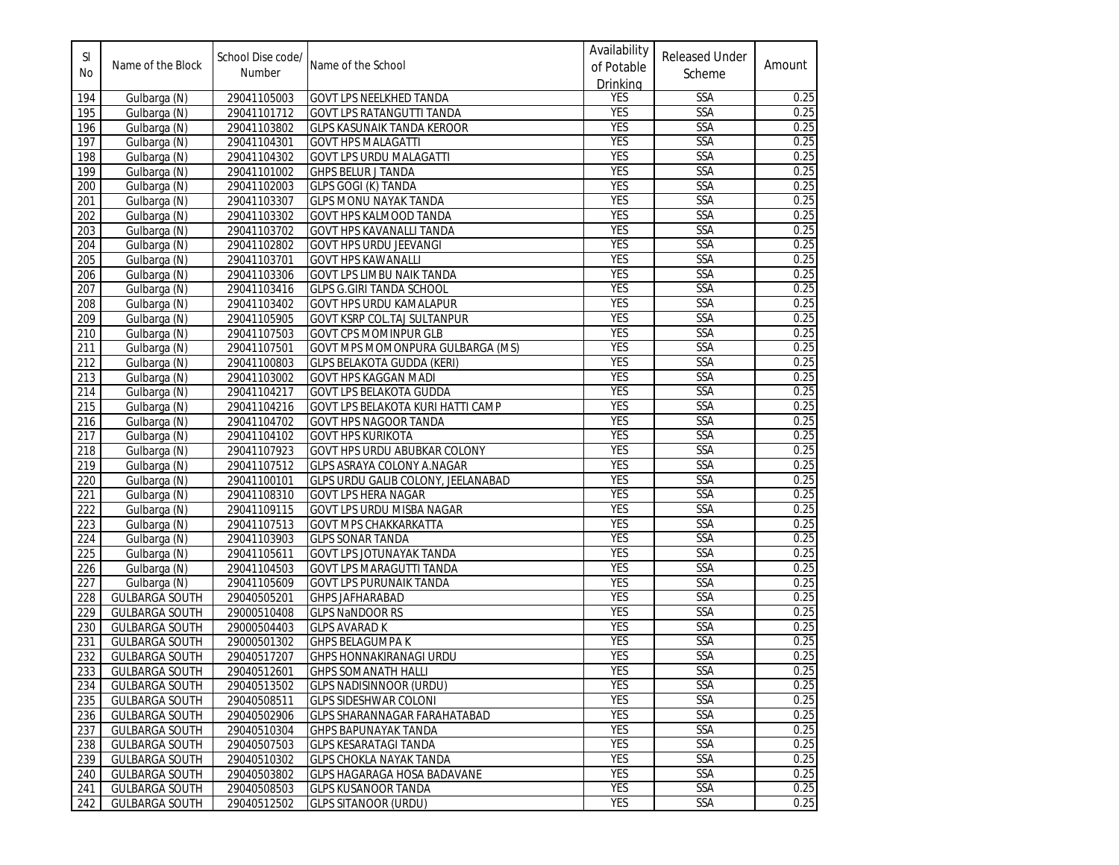| <b>SI</b><br>No | Name of the Block     | School Dise code/<br>Number | Name of the School                       | Availability<br>of Potable<br>Drinking | <b>Released Under</b><br>Scheme | Amount |
|-----------------|-----------------------|-----------------------------|------------------------------------------|----------------------------------------|---------------------------------|--------|
| 194             | Gulbarga (N)          | 29041105003                 | <b>GOVT LPS NEELKHED TANDA</b>           | <b>YES</b>                             | SSA                             | 0.25   |
| 195             | Gulbarga (N)          | 29041101712                 | <b>GOVT LPS RATANGUTTI TANDA</b>         | <b>YES</b>                             | SSA                             | 0.25   |
| 196             | Gulbarga (N)          | 29041103802                 | <b>GLPS KASUNAIK TANDA KEROOR</b>        | <b>YES</b>                             | <b>SSA</b>                      | 0.25   |
| 197             | Gulbarga (N)          | 29041104301                 | <b>GOVT HPS MALAGATTI</b>                | <b>YES</b>                             | <b>SSA</b>                      | 0.25   |
| 198             | Gulbarga (N)          | 29041104302                 | <b>GOVT LPS URDU MALAGATTI</b>           | <b>YES</b>                             | SSA                             | 0.25   |
| 199             | Gulbarga (N)          | 29041101002                 | <b>GHPS BELUR J TANDA</b>                | <b>YES</b>                             | SSA                             | 0.25   |
| 200             | Gulbarga (N)          | 29041102003                 | <b>GLPS GOGI (K) TANDA</b>               | <b>YES</b>                             | SSA                             | 0.25   |
| 201             | Gulbarga (N)          | 29041103307                 | <b>GLPS MONU NAYAK TANDA</b>             | <b>YES</b>                             | <b>SSA</b>                      | 0.25   |
| 202             | Gulbarga (N)          | 29041103302                 | GOVT HPS KALMOOD TANDA                   | <b>YES</b>                             | SSA                             | 0.25   |
| 203             | Gulbarga (N)          | 29041103702                 | GOVT HPS KAVANALLI TANDA                 | <b>YES</b>                             | <b>SSA</b>                      | 0.25   |
| 204             | Gulbarga (N)          | 29041102802                 | <b>GOVT HPS URDU JEEVANGI</b>            | <b>YES</b>                             | SSA                             | 0.25   |
| 205             | Gulbarga (N)          | 29041103701                 | <b>GOVT HPS KAWANALLI</b>                | <b>YES</b>                             | SSA                             | 0.25   |
| 206             | Gulbarga (N)          | 29041103306                 | <b>GOVT LPS LIMBU NAIK TANDA</b>         | <b>YES</b>                             | SSA                             | 0.25   |
| 207             | Gulbarga (N)          | 29041103416                 | <b>GLPS G.GIRI TANDA SCHOOL</b>          | <b>YES</b>                             | <b>SSA</b>                      | 0.25   |
| 208             | Gulbarga (N)          | 29041103402                 | <b>GOVT HPS URDU KAMALAPUR</b>           | <b>YES</b>                             | SSA                             | 0.25   |
| 209             | Gulbarga (N)          | 29041105905                 | GOVT KSRP COL.TAJ SULTANPUR              | <b>YES</b>                             | SSA                             | 0.25   |
| 210             | Gulbarga (N)          | 29041107503                 | <b>GOVT CPS MOMINPUR GLB</b>             | <b>YES</b>                             | SSA                             | 0.25   |
| 211             | Gulbarga (N)          | 29041107501                 | <b>GOVT MPS MOMONPURA GULBARGA (MS)</b>  | <b>YES</b>                             | <b>SSA</b>                      | 0.25   |
| 212             | Gulbarga (N)          | 29041100803                 | <b>GLPS BELAKOTA GUDDA (KERI)</b>        | <b>YES</b>                             | SSA                             | 0.25   |
| 213             | Gulbarga (N)          | 29041103002                 | <b>GOVT HPS KAGGAN MADI</b>              | <b>YES</b>                             | SSA                             | 0.25   |
| 214             | Gulbarga (N)          | 29041104217                 | GOVT LPS BELAKOTA GUDDA                  | <b>YES</b>                             | SSA                             | 0.25   |
| 215             | Gulbarga (N)          | 29041104216                 | <b>GOVT LPS BELAKOTA KURI HATTI CAMP</b> | <b>YES</b>                             | SSA                             | 0.25   |
| 216             | Gulbarga (N)          | 29041104702                 | GOVT HPS NAGOOR TANDA                    | <b>YES</b>                             | SSA                             | 0.25   |
| 217             | Gulbarga (N)          | 29041104102                 | <b>GOVT HPS KURIKOTA</b>                 | <b>YES</b>                             | SSA                             | 0.25   |
| 218             | Gulbarga (N)          | 29041107923                 | GOVT HPS URDU ABUBKAR COLONY             | <b>YES</b>                             | <b>SSA</b>                      | 0.25   |
| 219             | Gulbarga (N)          | 29041107512                 | GLPS ASRAYA COLONY A.NAGAR               | <b>YES</b>                             | SSA                             | 0.25   |
| 220             | Gulbarga (N)          | 29041100101                 | GLPS URDU GALIB COLONY, JEELANABAD       | <b>YES</b>                             | SSA                             | 0.25   |
| 221             | Gulbarga (N)          | 29041108310                 | <b>GOVT LPS HERA NAGAR</b>               | <b>YES</b>                             | SSA                             | 0.25   |
| 222             | Gulbarga (N)          | 29041109115                 | <b>GOVT LPS URDU MISBA NAGAR</b>         | <b>YES</b>                             | <b>SSA</b>                      | 0.25   |
| 223             | Gulbarga (N)          | 29041107513                 | <b>GOVT MPS CHAKKARKATTA</b>             | <b>YES</b>                             | SSA                             | 0.25   |
| 224             | Gulbarga (N)          | 29041103903                 | <b>GLPS SONAR TANDA</b>                  | <b>YES</b>                             | SSA                             | 0.25   |
| 225             | Gulbarga (N)          | 29041105611                 | <b>GOVT LPS JOTUNAYAK TANDA</b>          | <b>YES</b>                             | SSA                             | 0.25   |
| 226             | Gulbarga (N)          | 29041104503                 | GOVT LPS MARAGUTTI TANDA                 | <b>YES</b>                             | SSA                             | 0.25   |
| 227             | Gulbarga (N)          | 29041105609                 | <b>GOVT LPS PURUNAIK TANDA</b>           | <b>YES</b>                             | SSA                             | 0.25   |
| 228             | <b>GULBARGA SOUTH</b> | 29040505201                 | <b>GHPS JAFHARABAD</b>                   | <b>YES</b>                             | SSA                             | 0.25   |
| 229             | <b>GULBARGA SOUTH</b> | 29000510408                 | <b>GLPS NaNDOOR RS</b>                   | <b>YES</b>                             | SSA                             | 0.25   |
| 230             | <b>GULBARGA SOUTH</b> | 29000504403                 | <b>GLPS AVARAD K</b>                     | <b>YES</b>                             | <b>SSA</b>                      | 0.25   |
| 231             | <b>GULBARGA SOUTH</b> | 29000501302                 | <b>GHPS BELAGUMPA K</b>                  | <b>YES</b>                             | <b>SSA</b>                      | 0.25   |
| 232             | <b>GULBARGA SOUTH</b> | 29040517207                 | <b>GHPS HONNAKIRANAGI URDU</b>           | <b>YES</b>                             | SSA                             | 0.25   |
| 233             | <b>GULBARGA SOUTH</b> | 29040512601                 | <b>GHPS SOMANATH HALLI</b>               | <b>YES</b>                             | <b>SSA</b>                      | 0.25   |
| 234             | GULBARGA SOUTH        | 29040513502                 | <b>GLPS NADISINNOOR (URDU)</b>           | YES                                    | SSA                             | 0.25   |
| 235             | <b>GULBARGA SOUTH</b> | 29040508511                 | <b>GLPS SIDESHWAR COLONI</b>             | <b>YES</b>                             | SSA                             | 0.25   |
| 236             | <b>GULBARGA SOUTH</b> | 29040502906                 | <b>GLPS SHARANNAGAR FARAHATABAD</b>      | <b>YES</b>                             | <b>SSA</b>                      | 0.25   |
| 237             | <b>GULBARGA SOUTH</b> | 29040510304                 | <b>GHPS BAPUNAYAK TANDA</b>              | YES                                    | <b>SSA</b>                      | 0.25   |
| 238             | <b>GULBARGA SOUTH</b> | 29040507503                 | <b>GLPS KESARATAGI TANDA</b>             | <b>YES</b>                             | SSA                             | 0.25   |
| 239             | <b>GULBARGA SOUTH</b> | 29040510302                 | <b>GLPS CHOKLA NAYAK TANDA</b>           | <b>YES</b>                             | <b>SSA</b>                      | 0.25   |
| 240             | <b>GULBARGA SOUTH</b> | 29040503802                 | <b>GLPS HAGARAGA HOSA BADAVANE</b>       | <b>YES</b>                             | <b>SSA</b>                      | 0.25   |
| 241             | <b>GULBARGA SOUTH</b> | 29040508503                 | <b>GLPS KUSANOOR TANDA</b>               | YES                                    | SSA                             | 0.25   |
| 242             | <b>GULBARGA SOUTH</b> | 29040512502                 | <b>GLPS SITANOOR (URDU)</b>              | <b>YES</b>                             | <b>SSA</b>                      | 0.25   |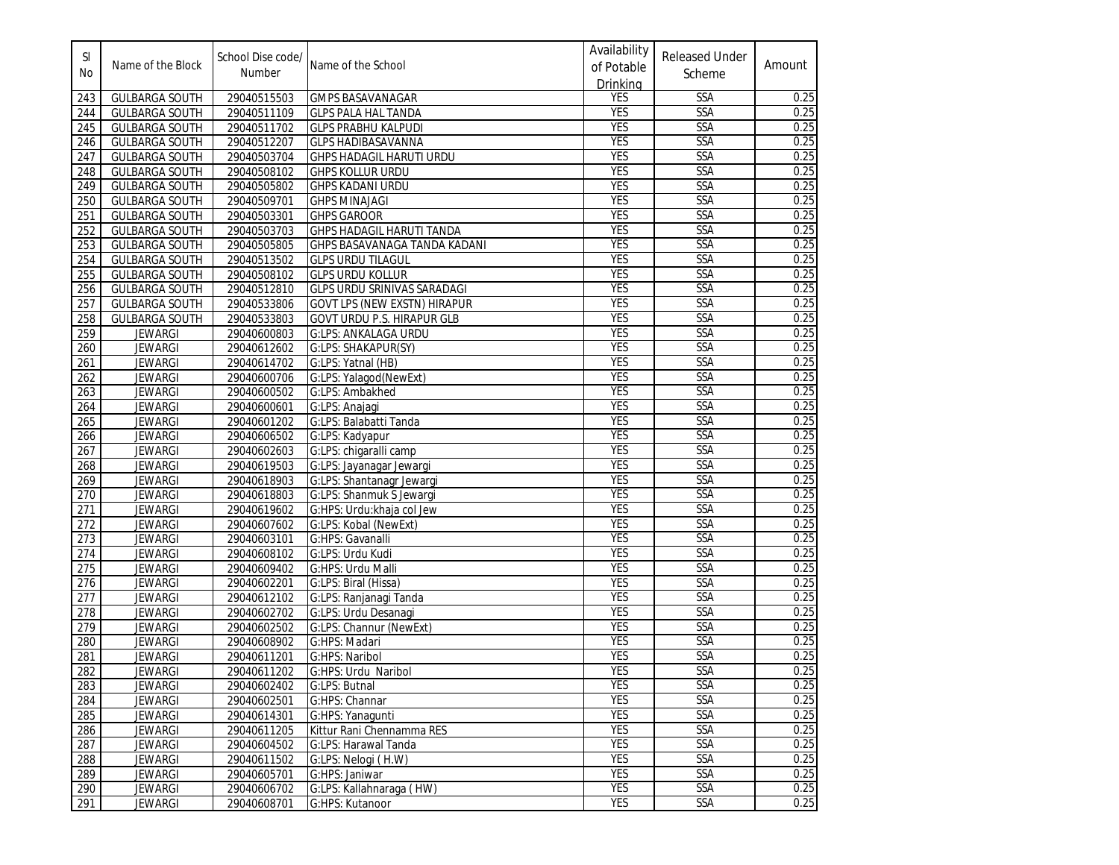| SI<br>No | Name of the Block     | School Dise code/<br><b>Number</b> | Name of the School           | Availability<br>of Potable<br>Drinking | <b>Released Under</b><br>Scheme | Amount |
|----------|-----------------------|------------------------------------|------------------------------|----------------------------------------|---------------------------------|--------|
| 243      | <b>GULBARGA SOUTH</b> | 29040515503                        | <b>GMPS BASAVANAGAR</b>      | <b>YES</b>                             | SSA                             | 0.25   |
| 244      | <b>GULBARGA SOUTH</b> | 29040511109                        | <b>GLPS PALA HAL TANDA</b>   | <b>YES</b>                             | <b>SSA</b>                      | 0.25   |
| 245      | <b>GULBARGA SOUTH</b> | 29040511702                        | <b>GLPS PRABHU KALPUDI</b>   | <b>YES</b>                             | SSA                             | 0.25   |
| 246      | <b>GULBARGA SOUTH</b> | 29040512207                        | <b>GLPS HADIBASAVANNA</b>    | <b>YES</b>                             | SSA                             | 0.25   |
| 247      | <b>GULBARGA SOUTH</b> | 29040503704                        | GHPS HADAGIL HARUTI URDU     | <b>YES</b>                             | SSA                             | 0.25   |
| 248      | <b>GULBARGA SOUTH</b> | 29040508102                        | <b>GHPS KOLLUR URDU</b>      | <b>YES</b>                             | <b>SSA</b>                      | 0.25   |
| 249      | <b>GULBARGA SOUTH</b> | 29040505802                        | <b>GHPS KADANI URDU</b>      | <b>YES</b>                             | <b>SSA</b>                      | 0.25   |
| 250      | <b>GULBARGA SOUTH</b> | 29040509701                        | <b>GHPS MINAJAGI</b>         | <b>YES</b>                             | SSA                             | 0.25   |
| 251      | <b>GULBARGA SOUTH</b> | 29040503301                        | <b>GHPS GAROOR</b>           | <b>YES</b>                             | SSA                             | 0.25   |
| 252      | <b>GULBARGA SOUTH</b> | 29040503703                        | GHPS HADAGIL HARUTI TANDA    | <b>YES</b>                             | SSA                             | 0.25   |
| 253      | <b>GULBARGA SOUTH</b> | 29040505805                        | GHPS BASAVANAGA TANDA KADANI | <b>YES</b>                             | <b>SSA</b>                      | 0.25   |
| 254      | <b>GULBARGA SOUTH</b> | 29040513502                        | <b>GLPS URDU TILAGUL</b>     | <b>YES</b>                             | SSA                             | 0.25   |
| 255      | <b>GULBARGA SOUTH</b> | 29040508102                        | <b>GLPS URDU KOLLUR</b>      | <b>YES</b>                             | SSA                             | 0.25   |
| 256      | <b>GULBARGA SOUTH</b> | 29040512810                        | GLPS URDU SRINIVAS SARADAGI  | <b>YES</b>                             | <b>SSA</b>                      | 0.25   |
| 257      | <b>GULBARGA SOUTH</b> | 29040533806                        | GOVT LPS (NEW EXSTN) HIRAPUR | <b>YES</b>                             | SSA                             | 0.25   |
| 258      | <b>GULBARGA SOUTH</b> | 29040533803                        | GOVT URDU P.S. HIRAPUR GLB   | <b>YES</b>                             | SSA                             | 0.25   |
| 259      | <b>JEWARGI</b>        | 29040600803                        | <b>G:LPS: ANKALAGA URDU</b>  | <b>YES</b>                             | <b>SSA</b>                      | 0.25   |
| 260      | <b>JEWARGI</b>        | 29040612602                        | G:LPS: SHAKAPUR(SY)          | <b>YES</b>                             | <b>SSA</b>                      | 0.25   |
| 261      | <b>JEWARGI</b>        | 29040614702                        | G:LPS: Yatnal (HB)           | <b>YES</b>                             | SSA                             | 0.25   |
| 262      | <b>JEWARGI</b>        | 29040600706                        | G:LPS: Yalagod(NewExt)       | <b>YES</b>                             | SSA                             | 0.25   |
| 263      | <b>JEWARGI</b>        | 29040600502                        | G:LPS: Ambakhed              | <b>YES</b>                             | <b>SSA</b>                      | 0.25   |
| 264      | <b>JEWARGI</b>        | 29040600601                        | G:LPS: Anajagi               | <b>YES</b>                             | <b>SSA</b>                      | 0.25   |
| 265      | <b>JEWARGI</b>        | 29040601202                        | G:LPS: Balabatti Tanda       | <b>YES</b>                             | SSA                             | 0.25   |
| 266      | <b>JEWARGI</b>        | 29040606502                        | G:LPS: Kadyapur              | <b>YES</b>                             | SSA                             | 0.25   |
| 267      | <b>JEWARGI</b>        | 29040602603                        | G:LPS: chigaralli camp       | <b>YES</b>                             | SSA                             | 0.25   |
| 268      | <b>JEWARGI</b>        | 29040619503                        | G:LPS: Jayanagar Jewargi     | <b>YES</b>                             | <b>SSA</b>                      | 0.25   |
| 269      | <b>JEWARGI</b>        | 29040618903                        | G:LPS: Shantanagr Jewargi    | <b>YES</b>                             | <b>SSA</b>                      | 0.25   |
| 270      | <b>JEWARGI</b>        | 29040618803                        | G:LPS: Shanmuk S Jewargi     | <b>YES</b>                             | SSA                             | 0.25   |
| 271      | <b>JEWARGI</b>        | 29040619602                        | G:HPS: Urdu:khaja col Jew    | <b>YES</b>                             | <b>SSA</b>                      | 0.25   |
| 272      | <b>JEWARGI</b>        | 29040607602                        | G:LPS: Kobal (NewExt)        | <b>YES</b>                             | SSA                             | 0.25   |
| 273      | <b>JEWARGI</b>        | 29040603101                        | G:HPS: Gavanalli             | <b>YES</b>                             | SSA                             | 0.25   |
| 274      | <b>JEWARGI</b>        | 29040608102                        | G:LPS: Urdu Kudi             | <b>YES</b>                             | SSA                             | 0.25   |
| 275      | <b>JEWARGI</b>        | 29040609402                        | G:HPS: Urdu Malli            | <b>YES</b>                             | <b>SSA</b>                      | 0.25   |
| 276      | <b>JEWARGI</b>        | 29040602201                        | G:LPS: Biral (Hissa)         | <b>YES</b>                             | SSA                             | 0.25   |
| 277      | <b>JEWARGI</b>        | 29040612102                        | G:LPS: Ranjanagi Tanda       | <b>YES</b>                             | SSA                             | 0.25   |
| 278      | <b>JEWARGI</b>        | 29040602702                        | G:LPS: Urdu Desanagi         | <b>YES</b>                             | <b>SSA</b>                      | 0.25   |
| 279      | <b>JEWARGI</b>        | 29040602502                        | G:LPS: Channur (NewExt)      | <b>YES</b>                             | <b>SSA</b>                      | 0.25   |
| 280      | <b>JEWARGI</b>        | 29040608902                        | G:HPS: Madari                | <b>YES</b>                             | SSA                             | 0.25   |
| 281      | <b>JEWARGI</b>        | 29040611201                        | G:HPS: Naribol               | <b>YES</b>                             | SSA                             | 0.25   |
| 282      | JEWARGI               | 29040611202                        | G:HPS: Urdu Naribol          | <b>YES</b>                             | SSA                             | 0.25   |
| 283      | <b>JEWARGI</b>        | 29040602402                        | G:LPS: Butnal                | <b>YES</b>                             | <b>SSA</b>                      | 0.25   |
| 284      | <b>JEWARGI</b>        | 29040602501                        | G:HPS: Channar               | <b>YES</b>                             | <b>SSA</b>                      | 0.25   |
| 285      | <b>JEWARGI</b>        | 29040614301                        | G:HPS: Yanaqunti             | <b>YES</b>                             | <b>SSA</b>                      | 0.25   |
| 286      | <b>JEWARGI</b>        | 29040611205                        | Kittur Rani Chennamma RES    | <b>YES</b>                             | <b>SSA</b>                      | 0.25   |
| 287      | <b>JEWARGI</b>        | 29040604502                        | G:LPS: Harawal Tanda         | <b>YES</b>                             | SSA                             | 0.25   |
| 288      | <b>JEWARGI</b>        | 29040611502                        | G:LPS: Nelogi (H.W)          | <b>YES</b>                             | <b>SSA</b>                      | 0.25   |
| 289      | <b>JEWARGI</b>        | 29040605701                        | G:HPS: Janiwar               | YES                                    | <b>SSA</b>                      | 0.25   |
| 290      | <b>JEWARGI</b>        | 29040606702                        | G:LPS: Kallahnaraga (HW)     | YES                                    | <b>SSA</b>                      | 0.25   |
| 291      | <b>JEWARGI</b>        | 29040608701                        | G:HPS: Kutanoor              | YES                                    | <b>SSA</b>                      | 0.25   |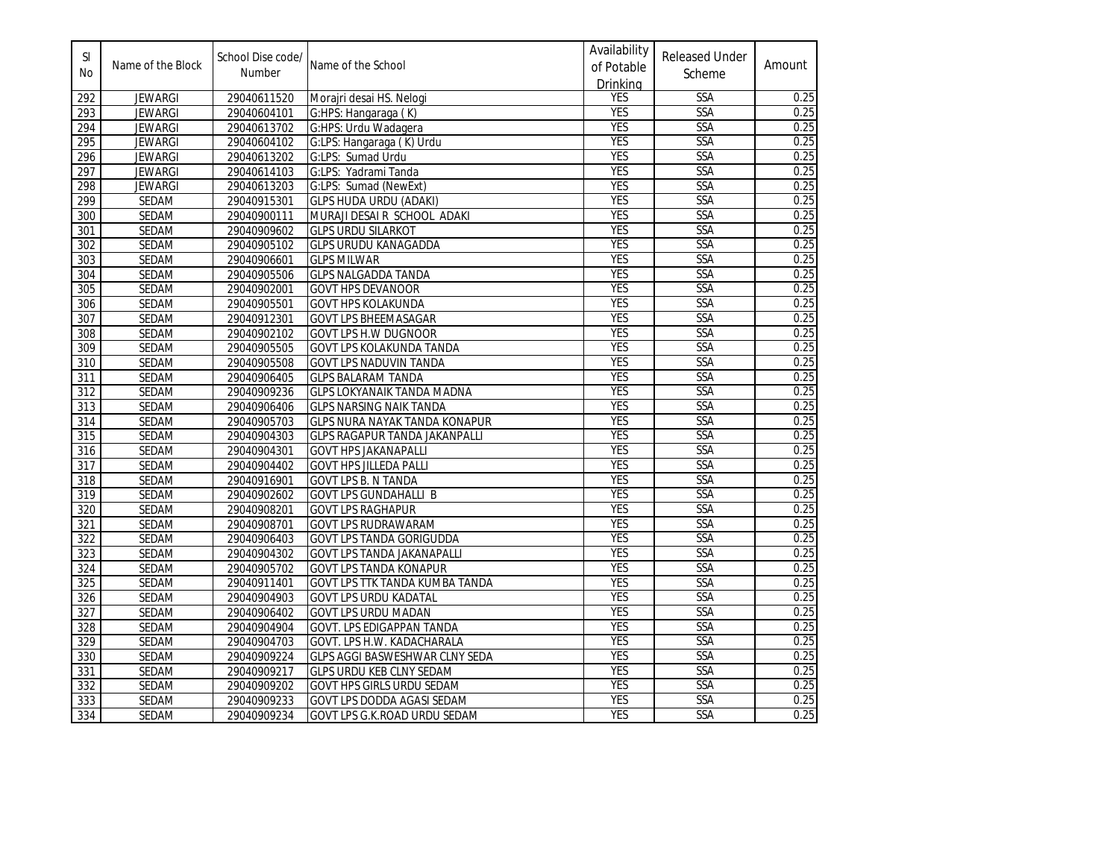| $\mathsf{SI}$<br>No | Name of the Block | School Dise code/<br>Number | Name of the School                   | Availability<br>of Potable<br>Drinking | <b>Released Under</b><br>Scheme | Amount |
|---------------------|-------------------|-----------------------------|--------------------------------------|----------------------------------------|---------------------------------|--------|
| 292                 | <b>JEWARGI</b>    | 29040611520                 | Morajri desai HS. Nelogi             | YES                                    | <b>SSA</b>                      | 0.25   |
| 293                 | <b>JEWARGI</b>    | 29040604101                 | G:HPS: Hangaraga (K)                 | <b>YES</b>                             | SSA                             | 0.25   |
| 294                 | <b>JEWARGI</b>    | 29040613702                 | G:HPS: Urdu Wadagera                 | <b>YES</b>                             | <b>SSA</b>                      | 0.25   |
| 295                 | <b>JEWARGI</b>    | 29040604102                 | G:LPS: Hangaraga (K) Urdu            | <b>YES</b>                             | SSA                             | 0.25   |
| 296                 | <b>JEWARGI</b>    | 29040613202                 | G:LPS: Sumad Urdu                    | <b>YES</b>                             | SSA                             | 0.25   |
| 297                 | <b>JEWARGI</b>    | 29040614103                 | G:LPS: Yadrami Tanda                 | <b>YES</b>                             | <b>SSA</b>                      | 0.25   |
| 298                 | <b>JEWARGI</b>    | 29040613203                 | G:LPS: Sumad (NewExt)                | <b>YES</b>                             | SSA                             | 0.25   |
| 299                 | <b>SEDAM</b>      | 29040915301                 | <b>GLPS HUDA URDU (ADAKI)</b>        | <b>YES</b>                             | SSA                             | 0.25   |
| 300                 | SEDAM             | 29040900111                 | MURAJI DESAI R SCHOOL ADAKI          | <b>YES</b>                             | SSA                             | 0.25   |
| 301                 | SEDAM             | 29040909602                 | <b>GLPS URDU SILARKOT</b>            | <b>YES</b>                             | SSA                             | 0.25   |
| 302                 | SEDAM             | 29040905102                 | <b>GLPS URUDU KANAGADDA</b>          | <b>YES</b>                             | SSA                             | 0.25   |
| 303                 | SEDAM             | 29040906601                 | <b>GLPS MILWAR</b>                   | <b>YES</b>                             | SSA                             | 0.25   |
| 304                 | SEDAM             | 29040905506                 | <b>GLPS NALGADDA TANDA</b>           | <b>YES</b>                             | SSA                             | 0.25   |
| 305                 | SEDAM             | 29040902001                 | <b>GOVT HPS DEVANOOR</b>             | <b>YES</b>                             | <b>SSA</b>                      | 0.25   |
| 306                 | SEDAM             | 29040905501                 | <b>GOVT HPS KOLAKUNDA</b>            | <b>YES</b>                             | SSA                             | 0.25   |
| 307                 | SEDAM             | 29040912301                 | <b>GOVT LPS BHEEMASAGAR</b>          | <b>YES</b>                             | SSA                             | 0.25   |
| 308                 | SEDAM             | 29040902102                 | <b>GOVT LPS H.W DUGNOOR</b>          | <b>YES</b>                             | SSA                             | 0.25   |
| 309                 | <b>SEDAM</b>      | 29040905505                 | GOVT LPS KOLAKUNDA TANDA             | <b>YES</b>                             | SSA                             | 0.25   |
| 310                 | SEDAM             | 29040905508                 | <b>GOVT LPS NADUVIN TANDA</b>        | <b>YES</b>                             | SSA                             | 0.25   |
| 311                 | SEDAM             | 29040906405                 | <b>GLPS BALARAM TANDA</b>            | <b>YES</b>                             | SSA                             | 0.25   |
| $\overline{312}$    | SEDAM             | 29040909236                 | <b>GLPS LOKYANAIK TANDA MADNA</b>    | <b>YES</b>                             | SSA                             | 0.25   |
| 313                 | SEDAM             | 29040906406                 | <b>GLPS NARSING NAIK TANDA</b>       | <b>YES</b>                             | SSA                             | 0.25   |
| 314                 | SEDAM             | 29040905703                 | <b>GLPS NURA NAYAK TANDA KONAPUR</b> | <b>YES</b>                             | SSA                             | 0.25   |
| 315                 | SEDAM             | 29040904303                 | <b>GLPS RAGAPUR TANDA JAKANPALLI</b> | <b>YES</b>                             | SSA                             | 0.25   |
| 316                 | SEDAM             | 29040904301                 | <b>GOVT HPS JAKANAPALLI</b>          | <b>YES</b>                             | SSA                             | 0.25   |
| 317                 | SEDAM             | 29040904402                 | <b>GOVT HPS JILLEDA PALLI</b>        | <b>YES</b>                             | SSA                             | 0.25   |
| 318                 | SEDAM             | 29040916901                 | <b>GOVT LPS B. N TANDA</b>           | <b>YES</b>                             | SSA                             | 0.25   |
| 319                 | SEDAM             | 29040902602                 | <b>GOVT LPS GUNDAHALLI B</b>         | <b>YES</b>                             | SSA                             | 0.25   |
| 320                 | SEDAM             | 29040908201                 | <b>GOVT LPS RAGHAPUR</b>             | <b>YES</b>                             | <b>SSA</b>                      | 0.25   |
| 321                 | SEDAM             | 29040908701                 | <b>GOVT LPS RUDRAWARAM</b>           | <b>YES</b>                             | SSA                             | 0.25   |
| 322                 | SEDAM             | 29040906403                 | GOVT LPS TANDA GORIGUDDA             | <b>YES</b>                             | SSA                             | 0.25   |
| 323                 | SEDAM             | 29040904302                 | <b>GOVT LPS TANDA JAKANAPALLI</b>    | <b>YES</b>                             | SSA                             | 0.25   |
| 324                 | SEDAM             | 29040905702                 | <b>GOVT LPS TANDA KONAPUR</b>        | <b>YES</b>                             | SSA                             | 0.25   |
| 325                 | SEDAM             | 29040911401                 | GOVT LPS TTK TANDA KUMBA TANDA       | <b>YES</b>                             | SSA                             | 0.25   |
| 326                 | SEDAM             | 29040904903                 | <b>GOVT LPS URDU KADATAL</b>         | <b>YES</b>                             | SSA                             | 0.25   |
| 327                 | SEDAM             | 29040906402                 | <b>GOVT LPS URDU MADAN</b>           | <b>YES</b>                             | SSA                             | 0.25   |
| 328                 | SEDAM             | 29040904904                 | GOVT. LPS EDIGAPPAN TANDA            | <b>YES</b>                             | SSA                             | 0.25   |
| 329                 | SEDAM             | 29040904703                 | <b>GOVT. LPS H.W. KADACHARALA</b>    | <b>YES</b>                             | SSA                             | 0.25   |
| 330                 | SEDAM             | 29040909224                 | GLPS AGGI BASWESHWAR CLNY SEDA       | <b>YES</b>                             | SSA                             | 0.25   |
| 331                 | SEDAM             | 29040909217                 | GLPS URDU KEB CLNY SEDAM             | <b>YES</b>                             | SSA                             | 0.25   |
| 332                 | SEDAM             | 29040909202                 | GOVT HPS GIRLS URDU SEDAM            | <b>YES</b>                             | SSA                             | 0.25   |
| 333                 | SEDAM             | 29040909233                 | <b>GOVT LPS DODDA AGASI SEDAM</b>    | <b>YES</b>                             | SSA                             | 0.25   |
| 334                 | SEDAM             | 29040909234                 | GOVT LPS G.K.ROAD URDU SEDAM         | <b>YES</b>                             | SSA                             | 0.25   |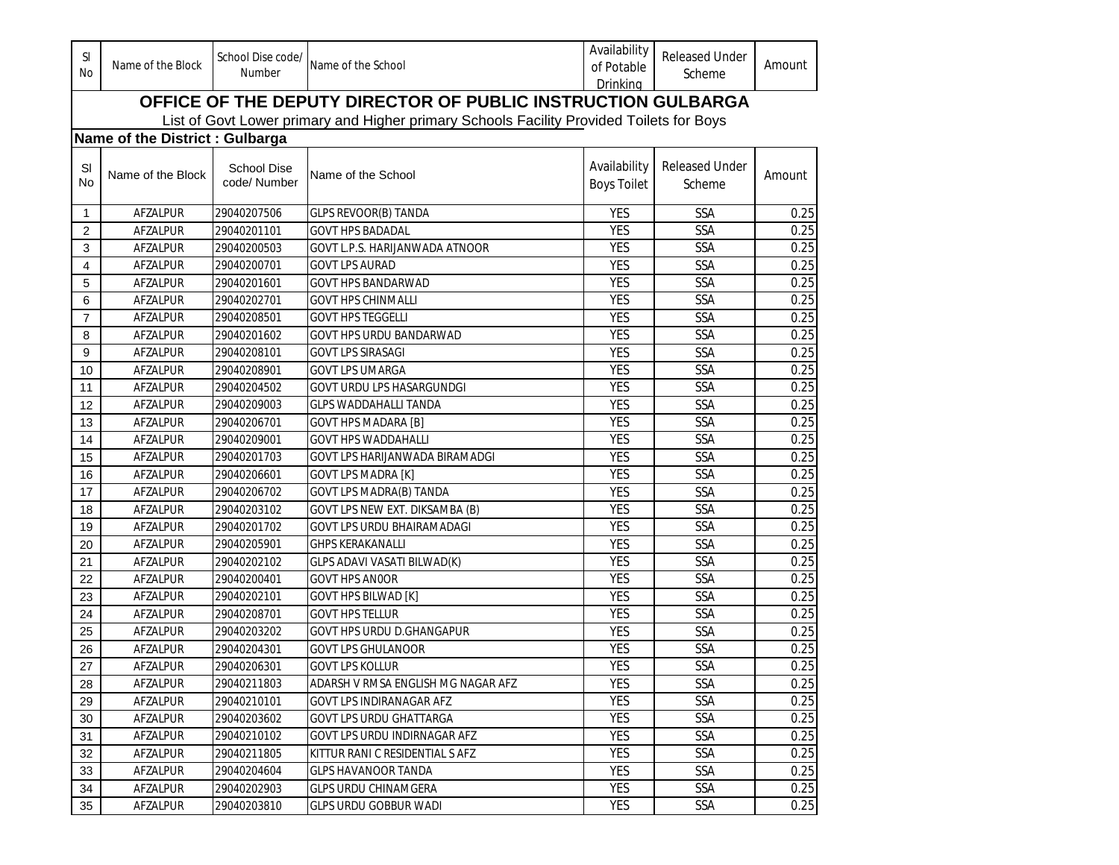| <b>SI</b><br>No | Name of the Block              | School Dise code/<br><b>Number</b> | Name of the School                                                                       | Availability<br>of Potable<br>Drinking | <b>Released Under</b><br>Scheme | Amount |
|-----------------|--------------------------------|------------------------------------|------------------------------------------------------------------------------------------|----------------------------------------|---------------------------------|--------|
|                 |                                |                                    | OFFICE OF THE DEPUTY DIRECTOR OF PUBLIC INSTRUCTION GULBARGA                             |                                        |                                 |        |
|                 |                                |                                    | List of Govt Lower primary and Higher primary Schools Facility Provided Toilets for Boys |                                        |                                 |        |
|                 | Name of the District: Gulbarga |                                    |                                                                                          |                                        |                                 |        |
| SI<br>No        | Name of the Block              | <b>School Dise</b><br>code/ Number | Name of the School                                                                       | Availability<br><b>Boys Toilet</b>     | <b>Released Under</b><br>Scheme | Amount |
| 1               | AFZALPUR                       | 29040207506                        | <b>GLPS REVOOR(B) TANDA</b>                                                              | <b>YES</b>                             | SSA                             | 0.25   |
| 2               | AFZALPUR                       | 29040201101                        | <b>GOVT HPS BADADAL</b>                                                                  | <b>YES</b>                             | SSA                             | 0.25   |
| 3               | <b>AFZALPUR</b>                | 29040200503                        | GOVT L.P.S. HARIJANWADA ATNOOR                                                           | <b>YES</b>                             | SSA                             | 0.25   |
| 4               | AFZALPUR                       | 29040200701                        | <b>GOVT LPS AURAD</b>                                                                    | <b>YES</b>                             | <b>SSA</b>                      | 0.25   |
| 5               | AFZALPUR                       | 29040201601                        | <b>GOVT HPS BANDARWAD</b>                                                                | <b>YES</b>                             | SSA                             | 0.25   |
| 6               | AFZALPUR                       | 29040202701                        | <b>GOVT HPS CHINMALLI</b>                                                                | <b>YES</b>                             | <b>SSA</b>                      | 0.25   |
| $\overline{7}$  | AFZALPUR                       | 29040208501                        | <b>GOVT HPS TEGGELLI</b>                                                                 | <b>YES</b>                             | <b>SSA</b>                      | 0.25   |
| 8               | AFZALPUR                       | 29040201602                        | <b>GOVT HPS URDU BANDARWAD</b>                                                           | <b>YES</b>                             | <b>SSA</b>                      | 0.25   |
| 9               | AFZALPUR                       | 29040208101                        | <b>GOVT LPS SIRASAGI</b>                                                                 | <b>YES</b>                             | SSA                             | 0.25   |
| 10              | AFZALPUR                       | 29040208901                        | <b>GOVT LPS UMARGA</b>                                                                   | <b>YES</b>                             | SSA                             | 0.25   |
| 11              | AFZALPUR                       | 29040204502                        | <b>GOVT URDU LPS HASARGUNDGI</b>                                                         | <b>YES</b>                             | <b>SSA</b>                      | 0.25   |
| 12              | AFZALPUR                       | 29040209003                        | <b>GLPS WADDAHALLI TANDA</b>                                                             | <b>YES</b>                             | <b>SSA</b>                      | 0.25   |
| 13              | AFZALPUR                       | 29040206701                        | <b>GOVT HPS MADARA [B]</b>                                                               | <b>YES</b>                             | <b>SSA</b>                      | 0.25   |
| 14              | AFZALPUR                       | 29040209001                        | <b>GOVT HPS WADDAHALLI</b>                                                               | <b>YES</b>                             | <b>SSA</b>                      | 0.25   |
| 15              | AFZALPUR                       | 29040201703                        | GOVT LPS HARIJANWADA BIRAMADGI                                                           | <b>YES</b>                             | <b>SSA</b>                      | 0.25   |
| 16              | AFZALPUR                       | 29040206601                        | <b>GOVT LPS MADRA [K]</b>                                                                | <b>YES</b>                             | <b>SSA</b>                      | 0.25   |
| 17              | AFZALPUR                       | 29040206702                        | GOVT LPS MADRA(B) TANDA                                                                  | <b>YES</b>                             | <b>SSA</b>                      | 0.25   |
| 18              | AFZALPUR                       | 29040203102                        | GOVT LPS NEW EXT. DIKSAMBA (B)                                                           | <b>YES</b>                             | <b>SSA</b>                      | 0.25   |
| 19              | AFZALPUR                       | 29040201702                        | GOVT LPS URDU BHAIRAMADAGI                                                               | <b>YES</b>                             | <b>SSA</b>                      | 0.25   |
| 20              | AFZALPUR                       | 29040205901                        | <b>GHPS KERAKANALLI</b>                                                                  | <b>YES</b>                             | <b>SSA</b>                      | 0.25   |
| 21              | AFZALPUR                       | 29040202102                        | GLPS ADAVI VASATI BILWAD(K)                                                              | <b>YES</b>                             | <b>SSA</b>                      | 0.25   |
| 22              | AFZALPUR                       | 29040200401                        | <b>GOVT HPS ANOOR</b>                                                                    | <b>YES</b>                             | <b>SSA</b>                      | 0.25   |
| 23              | AFZALPUR                       | 29040202101                        | <b>GOVT HPS BILWAD [K]</b>                                                               | <b>YES</b>                             | <b>SSA</b>                      | 0.25   |
| 24              | AFZALPUR                       | 29040208701                        | <b>GOVT HPS TELLUR</b>                                                                   | <b>YES</b>                             | <b>SSA</b>                      | 0.25   |
| 25              | AFZALPUR                       | 29040203202                        | GOVT HPS URDU D.GHANGAPUR                                                                | <b>YES</b>                             | <b>SSA</b>                      | 0.25   |
| 26              | AFZALPUR                       | 29040204301                        | <b>GOVT LPS GHULANOOR</b>                                                                | <b>YES</b>                             | <b>SSA</b>                      | 0.25   |
| 27              | AFZALPUR                       | 29040206301                        | <b>GOVT LPS KOLLUR</b>                                                                   | <b>YES</b>                             | SSA                             | 0.25   |
| 28              | AFZALPUR                       | 29040211803                        | ADARSH V RMSA ENGLISH MG NAGAR AFZ                                                       | YES                                    | <b>SSA</b>                      | 0.25   |
| 29              | AFZALPUR                       | 29040210101                        | GOVT LPS INDIRANAGAR AFZ                                                                 | YES                                    | <b>SSA</b>                      | 0.25   |
| 30              | AFZALPUR                       | 29040203602                        | <b>GOVT LPS URDU GHATTARGA</b>                                                           | YES                                    | <b>SSA</b>                      | 0.25   |
| 31              | AFZALPUR                       | 29040210102                        | GOVT LPS URDU INDIRNAGAR AFZ                                                             | YES                                    | <b>SSA</b>                      | 0.25   |
| 32              | AFZALPUR                       | 29040211805                        | KITTUR RANI C RESIDENTIAL S AFZ                                                          | <b>YES</b>                             | SSA                             | 0.25   |
| 33              | AFZALPUR                       | 29040204604                        | <b>GLPS HAVANOOR TANDA</b>                                                               | YES                                    | SSA                             | 0.25   |
| 34              | AFZALPUR                       | 29040202903                        | <b>GLPS URDU CHINAMGERA</b>                                                              | YES                                    | SSA                             | 0.25   |
| 35              | AFZALPUR                       | 29040203810                        | <b>GLPS URDU GOBBUR WADI</b>                                                             | YES                                    | SSA                             | 0.25   |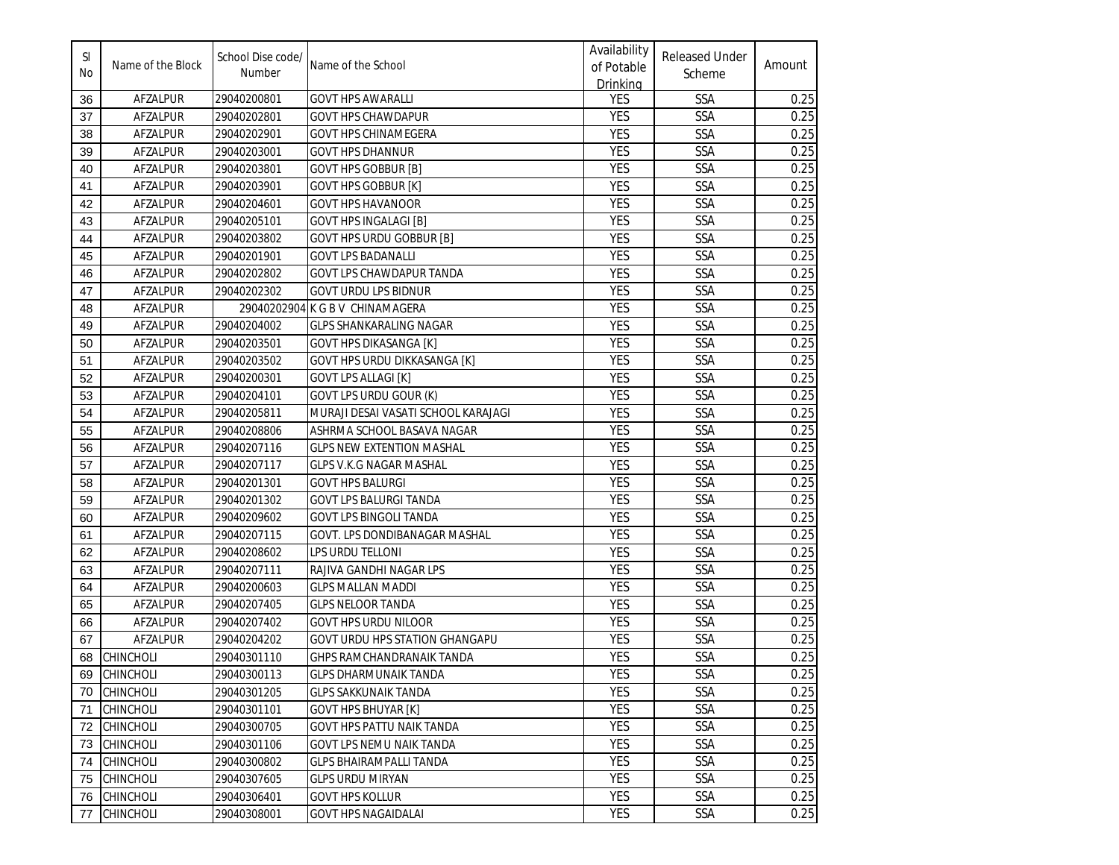| <b>SI</b><br>No | Name of the Block | School Dise code/<br>Number | Name of the School                    | Availability<br>of Potable<br>Drinking | <b>Released Under</b><br>Scheme | Amount |
|-----------------|-------------------|-----------------------------|---------------------------------------|----------------------------------------|---------------------------------|--------|
| 36              | AFZALPUR          | 29040200801                 | <b>GOVT HPS AWARALLI</b>              | <b>YES</b>                             | <b>SSA</b>                      | 0.25   |
| 37              | AFZALPUR          | 29040202801                 | <b>GOVT HPS CHAWDAPUR</b>             | <b>YES</b>                             | <b>SSA</b>                      | 0.25   |
| 38              | AFZALPUR          | 29040202901                 | GOVT HPS CHINAMEGERA                  | <b>YES</b>                             | <b>SSA</b>                      | 0.25   |
| 39              | AFZALPUR          | 29040203001                 | <b>GOVT HPS DHANNUR</b>               | <b>YES</b>                             | <b>SSA</b>                      | 0.25   |
| 40              | AFZALPUR          | 29040203801                 | <b>GOVT HPS GOBBUR [B]</b>            | <b>YES</b>                             | <b>SSA</b>                      | 0.25   |
| 41              | AFZALPUR          | 29040203901                 | <b>GOVT HPS GOBBUR [K]</b>            | <b>YES</b>                             | <b>SSA</b>                      | 0.25   |
| 42              | AFZALPUR          | 29040204601                 | <b>GOVT HPS HAVANOOR</b>              | <b>YES</b>                             | <b>SSA</b>                      | 0.25   |
| 43              | AFZALPUR          | 29040205101                 | <b>GOVT HPS INGALAGI [B]</b>          | <b>YES</b>                             | <b>SSA</b>                      | 0.25   |
| 44              | AFZALPUR          | 29040203802                 | <b>GOVT HPS URDU GOBBUR [B]</b>       | <b>YES</b>                             | <b>SSA</b>                      | 0.25   |
| 45              | AFZALPUR          | 29040201901                 | <b>GOVT LPS BADANALLI</b>             | <b>YES</b>                             | <b>SSA</b>                      | 0.25   |
| 46              | AFZALPUR          | 29040202802                 | GOVT LPS CHAWDAPUR TANDA              | <b>YES</b>                             | <b>SSA</b>                      | 0.25   |
| 47              | AFZALPUR          | 29040202302                 | <b>GOVT URDU LPS BIDNUR</b>           | <b>YES</b>                             | <b>SSA</b>                      | 0.25   |
| 48              | AFZALPUR          |                             | 29040202904 K G B V CHINAMAGERA       | <b>YES</b>                             | SSA                             | 0.25   |
| 49              | <b>AFZALPUR</b>   | 29040204002                 | <b>GLPS SHANKARALING NAGAR</b>        | <b>YES</b>                             | SSA                             | 0.25   |
| 50              | AFZALPUR          | 29040203501                 | <b>GOVT HPS DIKASANGA [K]</b>         | <b>YES</b>                             | SSA                             | 0.25   |
| 51              | <b>AFZALPUR</b>   | 29040203502                 | GOVT HPS URDU DIKKASANGA [K]          | <b>YES</b>                             | SSA                             | 0.25   |
| 52              | AFZALPUR          | 29040200301                 | <b>GOVT LPS ALLAGI [K]</b>            | <b>YES</b>                             | SSA                             | 0.25   |
| 53              | AFZALPUR          | 29040204101                 | <b>GOVT LPS URDU GOUR (K)</b>         | <b>YES</b>                             | <b>SSA</b>                      | 0.25   |
| 54              | AFZALPUR          | 29040205811                 | MURAJI DESAI VASATI SCHOOL KARAJAGI   | <b>YES</b>                             | <b>SSA</b>                      | 0.25   |
| 55              | AFZALPUR          | 29040208806                 | ASHRMA SCHOOL BASAVA NAGAR            | <b>YES</b>                             | SSA                             | 0.25   |
| 56              | <b>AFZALPUR</b>   | 29040207116                 | <b>GLPS NEW EXTENTION MASHAL</b>      | <b>YES</b>                             | SSA                             | 0.25   |
| 57              | AFZALPUR          | 29040207117                 | GLPS V.K.G NAGAR MASHAL               | <b>YES</b>                             | SSA                             | 0.25   |
| 58              | AFZALPUR          | 29040201301                 | <b>GOVT HPS BALURGI</b>               | <b>YES</b>                             | <b>SSA</b>                      | 0.25   |
| 59              | AFZALPUR          | 29040201302                 | <b>GOVT LPS BALURGI TANDA</b>         | <b>YES</b>                             | <b>SSA</b>                      | 0.25   |
| 60              | AFZALPUR          | 29040209602                 | <b>GOVT LPS BINGOLI TANDA</b>         | <b>YES</b>                             | <b>SSA</b>                      | 0.25   |
| 61              | AFZALPUR          | 29040207115                 | GOVT. LPS DONDIBANAGAR MASHAL         | <b>YES</b>                             | <b>SSA</b>                      | 0.25   |
| 62              | AFZALPUR          | 29040208602                 | LPS URDU TELLONI                      | <b>YES</b>                             | <b>SSA</b>                      | 0.25   |
| 63              | AFZALPUR          | 29040207111                 | RAJIVA GANDHI NAGAR LPS               | <b>YES</b>                             | SSA                             | 0.25   |
| 64              | AFZALPUR          | 29040200603                 | <b>GLPS MALLAN MADDI</b>              | <b>YES</b>                             | SSA                             | 0.25   |
| 65              | AFZALPUR          | 29040207405                 | <b>GLPS NELOOR TANDA</b>              | <b>YES</b>                             | SSA                             | 0.25   |
| 66              | AFZALPUR          | 29040207402                 | <b>GOVT HPS URDU NILOOR</b>           | <b>YES</b>                             | SSA                             | 0.25   |
| 67              | AFZALPUR          | 29040204202                 | <b>GOVT URDU HPS STATION GHANGAPU</b> | <b>YES</b>                             | SSA                             | 0.25   |
| 68              | <b>CHINCHOLI</b>  | 29040301110                 | GHPS RAMCHANDRANAIK TANDA             | <b>YES</b>                             | SSA                             | 0.25   |
| 69              | CHINCHOLI         | 29040300113                 | <b>GLPS DHARMUNAIK TANDA</b>          | <b>YES</b>                             | <b>SSA</b>                      | 0.25   |
| 70              | <b>CHINCHOLI</b>  | 29040301205                 | <b>GLPS SAKKUNAIK TANDA</b>           | <b>YES</b>                             | SSA                             | 0.25   |
| 71              | <b>CHINCHOLI</b>  | 29040301101                 | <b>GOVT HPS BHUYAR [K]</b>            | YES                                    | SSA                             | 0.25   |
| 72              | <b>CHINCHOLI</b>  | 29040300705                 | GOVT HPS PATTU NAIK TANDA             | <b>YES</b>                             | SSA                             | 0.25   |
| 73              | <b>CHINCHOLI</b>  | 29040301106                 | GOVT LPS NEMU NAIK TANDA              | YES                                    | SSA                             | 0.25   |
| 74              | <b>CHINCHOLI</b>  | 29040300802                 | <b>GLPS BHAIRAMPALLI TANDA</b>        | YES                                    | SSA                             | 0.25   |
| 75              | <b>CHINCHOLI</b>  | 29040307605                 | <b>GLPS URDU MIRYAN</b>               | <b>YES</b>                             | SSA                             | 0.25   |
| 76              | <b>CHINCHOLI</b>  | 29040306401                 | <b>GOVT HPS KOLLUR</b>                | YES                                    | <b>SSA</b>                      | 0.25   |
| 77              | <b>CHINCHOLI</b>  | 29040308001                 | <b>GOVT HPS NAGAIDALAI</b>            | YES                                    | SSA                             | 0.25   |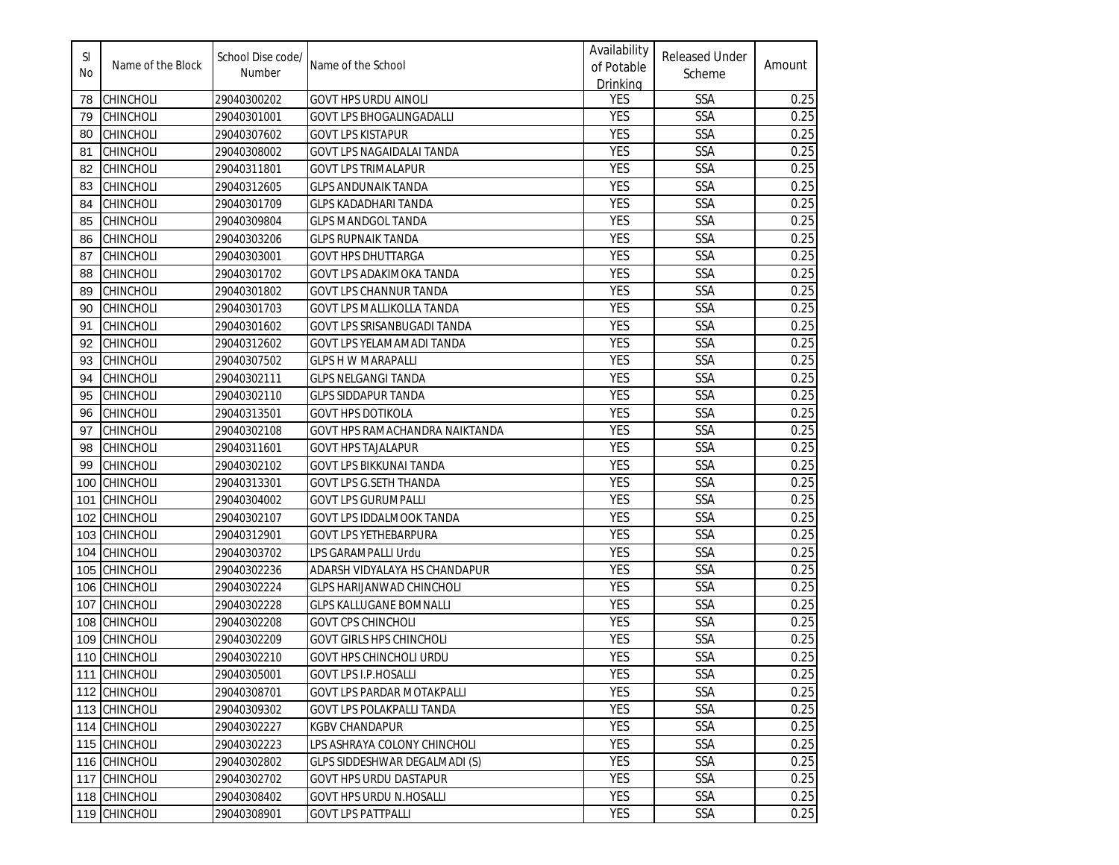| SI<br>No | Name of the Block | School Dise code/<br>Number | Name of the School               | Availability<br>of Potable<br>Drinking | <b>Released Under</b><br>Scheme | Amount |
|----------|-------------------|-----------------------------|----------------------------------|----------------------------------------|---------------------------------|--------|
| 78       | CHINCHOLI         | 29040300202                 | <b>GOVT HPS URDU AINOLI</b>      | <b>YES</b>                             | SSA                             | 0.25   |
| 79       | <b>CHINCHOLI</b>  | 29040301001                 | GOVT LPS BHOGALINGADALLI         | <b>YES</b>                             | <b>SSA</b>                      | 0.25   |
| 80       | CHINCHOLI         | 29040307602                 | GOVT LPS KISTAPUR                | <b>YES</b>                             | SSA                             | 0.25   |
| 81       | <b>CHINCHOLI</b>  | 29040308002                 | GOVT LPS NAGAIDALAI TANDA        | <b>YES</b>                             | SSA                             | 0.25   |
| 82       | <b>CHINCHOLI</b>  | 29040311801                 | <b>GOVT LPS TRIMALAPUR</b>       | <b>YES</b>                             | <b>SSA</b>                      | 0.25   |
| 83       | <b>CHINCHOLI</b>  | 29040312605                 | <b>GLPS ANDUNAIK TANDA</b>       | <b>YES</b>                             | SSA                             | 0.25   |
| 84       | <b>CHINCHOLI</b>  | 29040301709                 | <b>GLPS KADADHARI TANDA</b>      | <b>YES</b>                             | <b>SSA</b>                      | 0.25   |
| 85       | <b>CHINCHOLI</b>  | 29040309804                 | <b>GLPS MANDGOL TANDA</b>        | <b>YES</b>                             | SSA                             | 0.25   |
| 86       | <b>CHINCHOLI</b>  | 29040303206                 | <b>GLPS RUPNAIK TANDA</b>        | <b>YES</b>                             | <b>SSA</b>                      | 0.25   |
| 87       | <b>CHINCHOLI</b>  | 29040303001                 | <b>GOVT HPS DHUTTARGA</b>        | <b>YES</b>                             | <b>SSA</b>                      | 0.25   |
| 88       | <b>CHINCHOLI</b>  | 29040301702                 | GOVT LPS ADAKIMOKA TANDA         | <b>YES</b>                             | SSA                             | 0.25   |
| 89       | <b>CHINCHOLI</b>  | 29040301802                 | <b>GOVT LPS CHANNUR TANDA</b>    | <b>YES</b>                             | SSA                             | 0.25   |
| 90       | <b>CHINCHOLI</b>  | 29040301703                 | <b>GOVT LPS MALLIKOLLA TANDA</b> | <b>YES</b>                             | <b>SSA</b>                      | 0.25   |
| 91       | <b>CHINCHOLI</b>  | 29040301602                 | GOVT LPS SRISANBUGADI TANDA      | <b>YES</b>                             | <b>SSA</b>                      | 0.25   |
| 92       | <b>CHINCHOLI</b>  | 29040312602                 | GOVT LPS YELAMAMADI TANDA        | <b>YES</b>                             | SSA                             | 0.25   |
| 93       | <b>CHINCHOLI</b>  | 29040307502                 | <b>GLPS H W MARAPALLI</b>        | <b>YES</b>                             | <b>SSA</b>                      | 0.25   |
| 94       | <b>CHINCHOLI</b>  | 29040302111                 | GLPS NELGANGI TANDA              | <b>YES</b>                             | <b>SSA</b>                      | 0.25   |
| 95       | <b>CHINCHOLI</b>  | 29040302110                 | <b>GLPS SIDDAPUR TANDA</b>       | <b>YES</b>                             | <b>SSA</b>                      | 0.25   |
| 96       | <b>CHINCHOLI</b>  | 29040313501                 | <b>GOVT HPS DOTIKOLA</b>         | <b>YES</b>                             | <b>SSA</b>                      | 0.25   |
| 97       | <b>CHINCHOLI</b>  | 29040302108                 | GOVT HPS RAMACHANDRA NAIKTANDA   | <b>YES</b>                             | <b>SSA</b>                      | 0.25   |
| 98       | <b>CHINCHOLI</b>  | 29040311601                 | <b>GOVT HPS TAJALAPUR</b>        | <b>YES</b>                             | SSA                             | 0.25   |
| 99       | <b>CHINCHOLI</b>  | 29040302102                 | GOVT LPS BIKKUNAI TANDA          | <b>YES</b>                             | SSA                             | 0.25   |
| 100      | <b>CHINCHOLI</b>  | 29040313301                 | <b>GOVT LPS G.SETH THANDA</b>    | <b>YES</b>                             | SSA                             | 0.25   |
| 101      | <b>CHINCHOLI</b>  | 29040304002                 | <b>GOVT LPS GURUMPALLI</b>       | <b>YES</b>                             | SSA                             | 0.25   |
| 102      | <b>CHINCHOLI</b>  | 29040302107                 | <b>GOVT LPS IDDALMOOK TANDA</b>  | <b>YES</b>                             | SSA                             | 0.25   |
| 103      | <b>CHINCHOLI</b>  | 29040312901                 | <b>GOVT LPS YETHEBARPURA</b>     | <b>YES</b>                             | SSA                             | 0.25   |
| 104      | <b>CHINCHOLI</b>  | 29040303702                 | LPS GARAMPALLI Urdu              | <b>YES</b>                             | SSA                             | 0.25   |
| 105      | <b>CHINCHOLI</b>  | 29040302236                 | ADARSH VIDYALAYA HS CHANDAPUR    | <b>YES</b>                             | <b>SSA</b>                      | 0.25   |
| 106      | <b>CHINCHOLI</b>  | 29040302224                 | <b>GLPS HARIJANWAD CHINCHOLI</b> | <b>YES</b>                             | <b>SSA</b>                      | 0.25   |
| 107      | <b>CHINCHOLI</b>  | 29040302228                 | <b>GLPS KALLUGANE BOMNALLI</b>   | <b>YES</b>                             | <b>SSA</b>                      | 0.25   |
| 108      | <b>CHINCHOLI</b>  | 29040302208                 | <b>GOVT CPS CHINCHOLI</b>        | <b>YES</b>                             | SSA                             | 0.25   |
| 109      | <b>CHINCHOLI</b>  | 29040302209                 | <b>GOVT GIRLS HPS CHINCHOLI</b>  | <b>YES</b>                             | <b>SSA</b>                      | 0.25   |
|          | 110 CHINCHOLI     | 29040302210                 | <b>GOVT HPS CHINCHOLI URDU</b>   | <b>YES</b>                             | <b>SSA</b>                      | 0.25   |
|          | 111 CHINCHOLI     | 29040305001                 | GOVT LPS I.P.HOSALLI             | <b>YES</b>                             | <b>SSA</b>                      | 0.25   |
|          | 112 CHINCHOLI     | 29040308701                 | GOVT LPS PARDAR MOTAKPALLI       | <b>YES</b>                             | SSA                             | 0.25   |
|          | 113 CHINCHOLI     | 29040309302                 | <b>GOVT LPS POLAKPALLI TANDA</b> | YES                                    | SSA                             | 0.25   |
|          | 114 CHINCHOLI     | 29040302227                 | <b>KGBV CHANDAPUR</b>            | YES                                    | SSA                             | 0.25   |
|          | 115 CHINCHOLI     | 29040302223                 | LPS ASHRAYA COLONY CHINCHOLI     | YES                                    | SSA                             | 0.25   |
|          | 116 CHINCHOLI     | 29040302802                 | GLPS SIDDESHWAR DEGALMADI (S)    | <b>YES</b>                             | SSA                             | 0.25   |
|          | 117 CHINCHOLI     | 29040302702                 | GOVT HPS URDU DASTAPUR           | <b>YES</b>                             | SSA                             | 0.25   |
|          | 118 CHINCHOLI     | 29040308402                 | GOVT HPS URDU N.HOSALLI          | YES                                    | <b>SSA</b>                      | 0.25   |
|          | 119 CHINCHOLI     | 29040308901                 | <b>GOVT LPS PATTPALLI</b>        | YES                                    | SSA                             | 0.25   |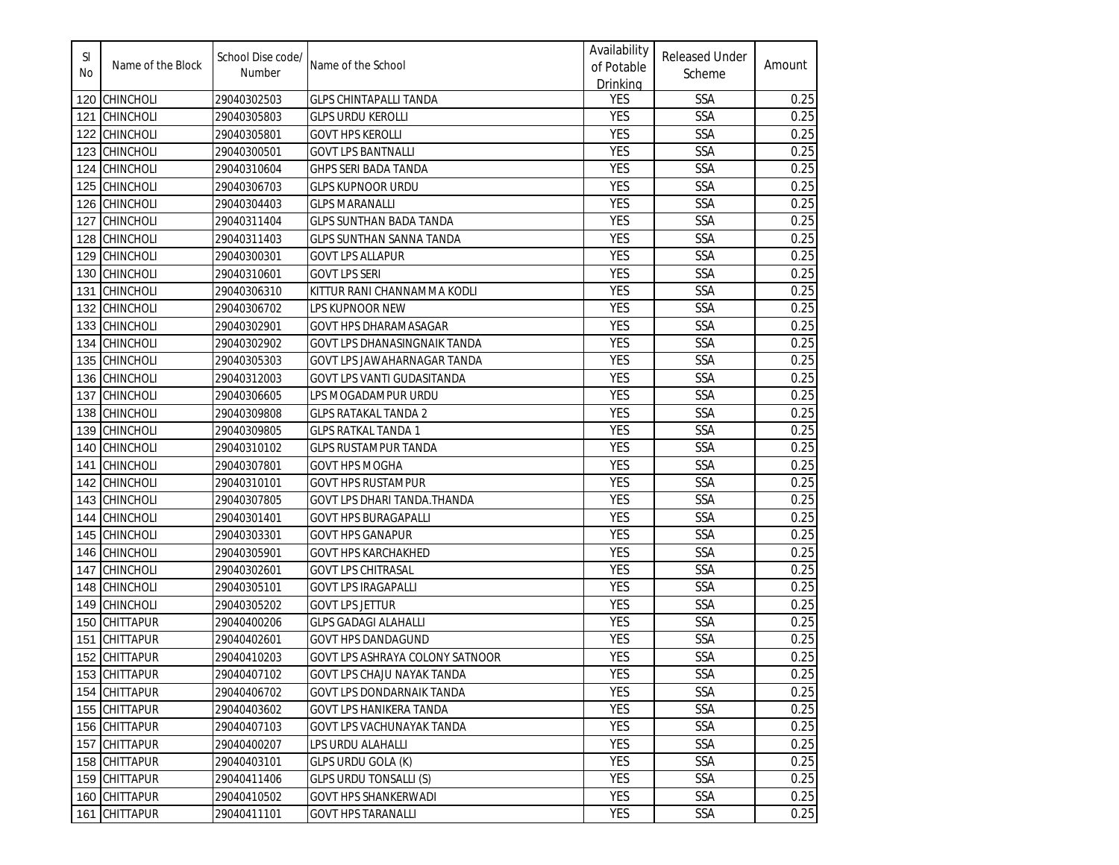| SI<br>No | Name of the Block | School Dise code/<br>Number | Name of the School                     | Availability<br>of Potable<br>Drinking | <b>Released Under</b><br>Scheme | Amount |
|----------|-------------------|-----------------------------|----------------------------------------|----------------------------------------|---------------------------------|--------|
| 120      | <b>CHINCHOLI</b>  | 29040302503                 | <b>GLPS CHINTAPALLI TANDA</b>          | YES                                    | SSA                             | 0.25   |
| 121      | <b>CHINCHOLI</b>  | 29040305803                 | GLPS URDU KEROLLI                      | <b>YES</b>                             | <b>SSA</b>                      | 0.25   |
| 122      | <b>CHINCHOLI</b>  | 29040305801                 | GOVT HPS KEROLLI                       | <b>YES</b>                             | SSA                             | 0.25   |
| 123      | <b>CHINCHOLI</b>  | 29040300501                 | <b>GOVT LPS BANTNALLI</b>              | <b>YES</b>                             | SSA                             | 0.25   |
| 124      | <b>CHINCHOLI</b>  | 29040310604                 | GHPS SERI BADA TANDA                   | <b>YES</b>                             | SSA                             | 0.25   |
| 125      | <b>CHINCHOLI</b>  | 29040306703                 | <b>GLPS KUPNOOR URDU</b>               | YES                                    | SSA                             | 0.25   |
| 126      | <b>CHINCHOLI</b>  | 29040304403                 | <b>GLPS MARANALLI</b>                  | <b>YES</b>                             | SSA                             | 0.25   |
| 127      | <b>CHINCHOLI</b>  | 29040311404                 | <b>GLPS SUNTHAN BADA TANDA</b>         | YES                                    | SSA                             | 0.25   |
| 128      | <b>CHINCHOLI</b>  | 29040311403                 | <b>GLPS SUNTHAN SANNA TANDA</b>        | <b>YES</b>                             | SSA                             | 0.25   |
| 129      | <b>CHINCHOLI</b>  | 29040300301                 | <b>GOVT LPS ALLAPUR</b>                | <b>YES</b>                             | SSA                             | 0.25   |
| 130      | <b>CHINCHOLI</b>  | 29040310601                 | <b>GOVT LPS SERI</b>                   | <b>YES</b>                             | SSA                             | 0.25   |
| 131      | <b>CHINCHOLI</b>  | 29040306310                 | KITTUR RANI CHANNAMMA KODLI            | <b>YES</b>                             | SSA                             | 0.25   |
| 132      | <b>CHINCHOLI</b>  | 29040306702                 | LPS KUPNOOR NEW                        | <b>YES</b>                             | SSA                             | 0.25   |
| 133      | <b>CHINCHOLI</b>  | 29040302901                 | GOVT HPS DHARAMASAGAR                  | <b>YES</b>                             | SSA                             | 0.25   |
| 134      | <b>CHINCHOLI</b>  | 29040302902                 | GOVT LPS DHANASINGNAIK TANDA           | YES                                    | SSA                             | 0.25   |
| 135      | <b>CHINCHOLI</b>  | 29040305303                 | GOVT LPS JAWAHARNAGAR TANDA            | YES                                    | <b>SSA</b>                      | 0.25   |
| 136      | <b>CHINCHOLI</b>  | 29040312003                 | GOVT LPS VANTI GUDASITANDA             | <b>YES</b>                             | SSA                             | 0.25   |
| 137      | <b>CHINCHOLI</b>  | 29040306605                 | LPS MOGADAMPUR URDU                    | <b>YES</b>                             | SSA                             | 0.25   |
| 138      | <b>CHINCHOLI</b>  | 29040309808                 | GLPS RATAKAL TANDA 2                   | <b>YES</b>                             | <b>SSA</b>                      | 0.25   |
| 139      | <b>CHINCHOLI</b>  | 29040309805                 | <b>GLPS RATKAL TANDA 1</b>             | <b>YES</b>                             | SSA                             | 0.25   |
| 140      | <b>CHINCHOLI</b>  | 29040310102                 | GLPS RUSTAMPUR TANDA                   | <b>YES</b>                             | SSA                             | 0.25   |
| 141      | CHINCHOLI         | 29040307801                 | <b>GOVT HPS MOGHA</b>                  | <b>YES</b>                             | SSA                             | 0.25   |
| 142      | <b>CHINCHOLI</b>  | 29040310101                 | <b>GOVT HPS RUSTAMPUR</b>              | <b>YES</b>                             | SSA                             | 0.25   |
| 143      | <b>CHINCHOLI</b>  | 29040307805                 | <b>GOVT LPS DHARI TANDA.THANDA</b>     | YES                                    | SSA                             | 0.25   |
| 144      | <b>CHINCHOLI</b>  | 29040301401                 | <b>GOVT HPS BURAGAPALLI</b>            | YES                                    | SSA                             | 0.25   |
| 145      | <b>CHINCHOLI</b>  | 29040303301                 | <b>GOVT HPS GANAPUR</b>                | <b>YES</b>                             | SSA                             | 0.25   |
| 146      | <b>CHINCHOLI</b>  | 29040305901                 | <b>GOVT HPS KARCHAKHED</b>             | <b>YES</b>                             | SSA                             | 0.25   |
| 147      | <b>CHINCHOLI</b>  | 29040302601                 | <b>GOVT LPS CHITRASAL</b>              | <b>YES</b>                             | <b>SSA</b>                      | 0.25   |
| 148      | <b>CHINCHOLI</b>  | 29040305101                 | <b>GOVT LPS IRAGAPALLI</b>             | <b>YES</b>                             | SSA                             | 0.25   |
| 149      | <b>CHINCHOLI</b>  | 29040305202                 | <b>GOVT LPS JETTUR</b>                 | <b>YES</b>                             | SSA                             | 0.25   |
| 150      | <b>CHITTAPUR</b>  | 29040400206                 | <b>GLPS GADAGI ALAHALLI</b>            | <b>YES</b>                             | SSA                             | 0.25   |
| 151      | <b>CHITTAPUR</b>  | 29040402601                 | <b>GOVT HPS DANDAGUND</b>              | <b>YES</b>                             | SSA                             | 0.25   |
|          | 152 CHITTAPUR     | 29040410203                 | <b>GOVT LPS ASHRAYA COLONY SATNOOR</b> | <b>YES</b>                             | SSA                             | 0.25   |
|          | 153 CHITTAPUR     | 29040407102                 | GOVT LPS CHAJU NAYAK TANDA             | <b>YES</b>                             | <b>SSA</b>                      | 0.25   |
|          | 154 CHITTAPUR     | 29040406702                 | GOVT LPS DONDARNAIK TANDA              | <b>YES</b>                             | SSA                             | 0.25   |
|          | 155 CHITTAPUR     | 29040403602                 | GOVT LPS HANIKERA TANDA                | YES                                    | SSA                             | 0.25   |
|          | 156 CHITTAPUR     | 29040407103                 | GOVT LPS VACHUNAYAK TANDA              | YES                                    | SSA                             | 0.25   |
|          | 157 CHITTAPUR     | 29040400207                 | LPS URDU ALAHALLI                      | YES                                    | SSA                             | 0.25   |
|          | 158 CHITTAPUR     | 29040403101                 | GLPS URDU GOLA (K)                     | YES                                    | SSA                             | 0.25   |
|          | 159 CHITTAPUR     | 29040411406                 | <b>GLPS URDU TONSALLI (S)</b>          | <b>YES</b>                             | SSA                             | 0.25   |
|          | 160 CHITTAPUR     | 29040410502                 | <b>GOVT HPS SHANKERWADI</b>            | YES                                    | SSA                             | 0.25   |
| 161      | <b>CHITTAPUR</b>  | 29040411101                 | <b>GOVT HPS TARANALLI</b>              | YES                                    | SSA                             | 0.25   |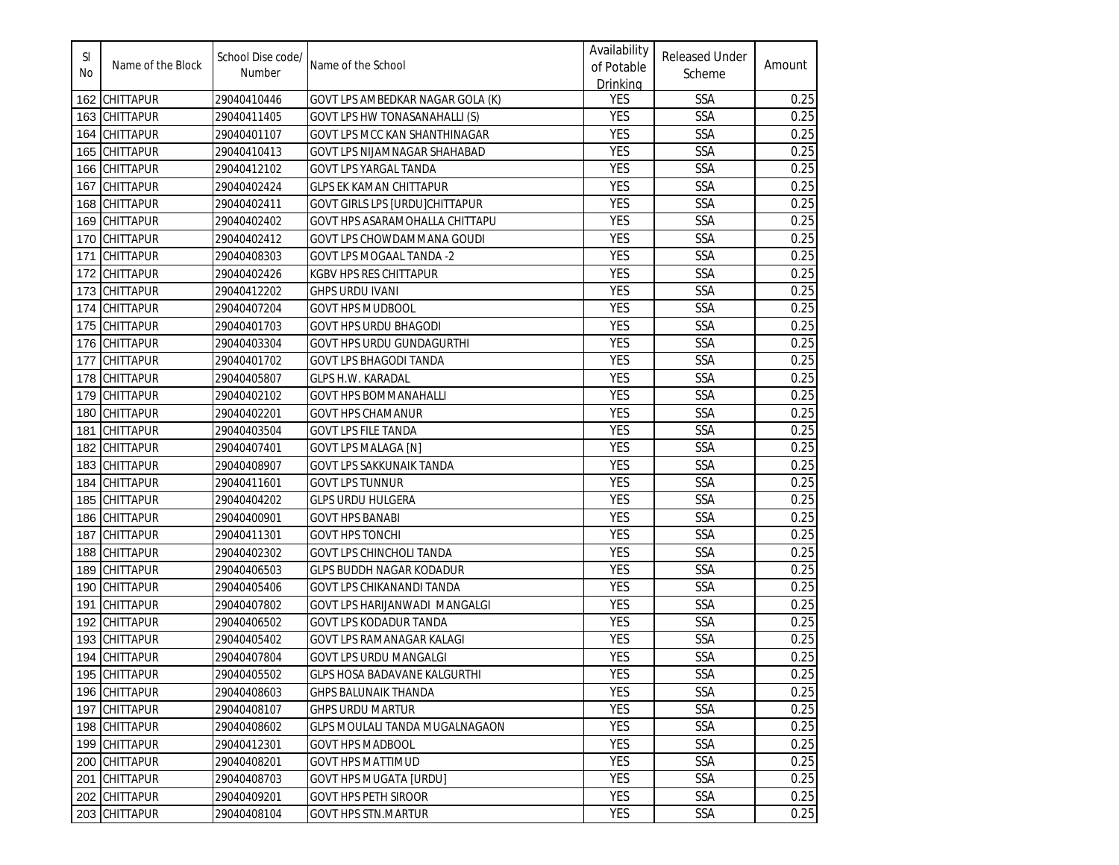| SI<br>No | Name of the Block | School Dise code/<br>Number | Name of the School                  | Availability<br>of Potable<br>Drinking | <b>Released Under</b><br>Scheme | Amount |
|----------|-------------------|-----------------------------|-------------------------------------|----------------------------------------|---------------------------------|--------|
| 162      | CHITTAPUR         | 29040410446                 | GOVT LPS AMBEDKAR NAGAR GOLA (K)    | <b>YES</b>                             | SSA                             | 0.25   |
| 163      | <b>CHITTAPUR</b>  | 29040411405                 | GOVT LPS HW TONASANAHALLI (S)       | <b>YES</b>                             | SSA                             | 0.25   |
| 164      | <b>CHITTAPUR</b>  | 29040401107                 | GOVT LPS MCC KAN SHANTHINAGAR       | <b>YES</b>                             | SSA                             | 0.25   |
| 165      | <b>CHITTAPUR</b>  | 29040410413                 | GOVT LPS NIJAMNAGAR SHAHABAD        | <b>YES</b>                             | SSA                             | 0.25   |
| 166      | <b>CHITTAPUR</b>  | 29040412102                 | GOVT LPS YARGAL TANDA               | <b>YES</b>                             | SSA                             | 0.25   |
| 167      | <b>CHITTAPUR</b>  | 29040402424                 | <b>GLPS EK KAMAN CHITTAPUR</b>      | <b>YES</b>                             | SSA                             | 0.25   |
| 168      | <b>CHITTAPUR</b>  | 29040402411                 | GOVT GIRLS LPS [URDU]CHITTAPUR      | <b>YES</b>                             | SSA                             | 0.25   |
| 169      | <b>CHITTAPUR</b>  | 29040402402                 | GOVT HPS ASARAMOHALLA CHITTAPU      | <b>YES</b>                             | SSA                             | 0.25   |
| 170      | <b>CHITTAPUR</b>  | 29040402412                 | GOVT LPS CHOWDAMMANA GOUDI          | <b>YES</b>                             | <b>SSA</b>                      | 0.25   |
| 171      | <b>CHITTAPUR</b>  | 29040408303                 | GOVT LPS MOGAAL TANDA -2            | <b>YES</b>                             | SSA                             | 0.25   |
| 172      | <b>CHITTAPUR</b>  | 29040402426                 | KGBV HPS RES CHITTAPUR              | <b>YES</b>                             | SSA                             | 0.25   |
| 173      | <b>CHITTAPUR</b>  | 29040412202                 | GHPS URDU IVANI                     | <b>YES</b>                             | SSA                             | 0.25   |
| 174      | <b>CHITTAPUR</b>  | 29040407204                 | <b>GOVT HPS MUDBOOL</b>             | YES                                    | SSA                             | 0.25   |
| 175      | <b>CHITTAPUR</b>  | 29040401703                 | <b>GOVT HPS URDU BHAGODI</b>        | <b>YES</b>                             | SSA                             | 0.25   |
| 176      | <b>CHITTAPUR</b>  | 29040403304                 | <b>GOVT HPS URDU GUNDAGURTHI</b>    | <b>YES</b>                             | SSA                             | 0.25   |
| 177      | <b>CHITTAPUR</b>  | 29040401702                 | <b>GOVT LPS BHAGODI TANDA</b>       | <b>YES</b>                             | SSA                             | 0.25   |
| 178      | <b>CHITTAPUR</b>  | 29040405807                 | GLPS H.W. KARADAL                   | <b>YES</b>                             | <b>SSA</b>                      | 0.25   |
| 179      | <b>CHITTAPUR</b>  | 29040402102                 | GOVT HPS BOMMANAHALLI               | <b>YES</b>                             | <b>SSA</b>                      | 0.25   |
| 180      | <b>CHITTAPUR</b>  | 29040402201                 | GOVT HPS CHAMANUR                   | <b>YES</b>                             | SSA                             | 0.25   |
| 181      | <b>CHITTAPUR</b>  | 29040403504                 | <b>GOVT LPS FILE TANDA</b>          | <b>YES</b>                             | SSA                             | 0.25   |
| 182      | <b>CHITTAPUR</b>  | 29040407401                 | <b>GOVT LPS MALAGA [N]</b>          | <b>YES</b>                             | SSA                             | 0.25   |
| 183      | <b>CHITTAPUR</b>  | 29040408907                 | <b>GOVT LPS SAKKUNAIK TANDA</b>     | <b>YES</b>                             | SSA                             | 0.25   |
| 184      | <b>CHITTAPUR</b>  | 29040411601                 | <b>GOVT LPS TUNNUR</b>              | <b>YES</b>                             | SSA                             | 0.25   |
| 185      | <b>CHITTAPUR</b>  | 29040404202                 | <b>GLPS URDU HULGERA</b>            | <b>YES</b>                             | SSA                             | 0.25   |
| 186      | <b>CHITTAPUR</b>  | 29040400901                 | <b>GOVT HPS BANABI</b>              | <b>YES</b>                             | SSA                             | 0.25   |
| 187      | <b>CHITTAPUR</b>  | 29040411301                 | <b>GOVT HPS TONCHI</b>              | <b>YES</b>                             | <b>SSA</b>                      | 0.25   |
| 188      | <b>CHITTAPUR</b>  | 29040402302                 | <b>GOVT LPS CHINCHOLI TANDA</b>     | <b>YES</b>                             | <b>SSA</b>                      | 0.25   |
| 189      | <b>CHITTAPUR</b>  | 29040406503                 | <b>GLPS BUDDH NAGAR KODADUR</b>     | <b>YES</b>                             | SSA                             | 0.25   |
| 190      | <b>CHITTAPUR</b>  | 29040405406                 | GOVT LPS CHIKANANDI TANDA           | <b>YES</b>                             | SSA                             | 0.25   |
| 191      | <b>CHITTAPUR</b>  | 29040407802                 | GOVT LPS HARIJANWADI MANGALGI       | <b>YES</b>                             | SSA                             | 0.25   |
| 192      | <b>CHITTAPUR</b>  | 29040406502                 | <b>GOVT LPS KODADUR TANDA</b>       | <b>YES</b>                             | <b>SSA</b>                      | 0.25   |
| 193      | <b>CHITTAPUR</b>  | 29040405402                 | GOVT LPS RAMANAGAR KALAGI           | <b>YES</b>                             | SSA                             | 0.25   |
|          | 194 CHITTAPUR     | 29040407804                 | <b>GOVT LPS URDU MANGALGI</b>       | <b>YES</b>                             | SSA                             | 0.25   |
|          | 195 CHITTAPUR     | 29040405502                 | <b>GLPS HOSA BADAVANE KALGURTHI</b> | <b>YES</b>                             | <b>SSA</b>                      | 0.25   |
|          | 196 CHITTAPUR     | 29040408603                 | <b>GHPS BALUNAIK THANDA</b>         | <b>YES</b>                             | SSA                             | 0.25   |
|          | 197 CHITTAPUR     | 29040408107                 | <b>GHPS URDU MARTUR</b>             | YES                                    | SSA                             | 0.25   |
|          | 198 CHITTAPUR     | 29040408602                 | GLPS MOULALI TANDA MUGALNAGAON      | YES                                    | SSA                             | 0.25   |
|          | 199 CHITTAPUR     | 29040412301                 | <b>GOVT HPS MADBOOL</b>             | YES                                    | SSA                             | 0.25   |
|          | 200 CHITTAPUR     | 29040408201                 | <b>GOVT HPS MATTIMUD</b>            | <b>YES</b>                             | SSA                             | 0.25   |
|          | 201 CHITTAPUR     | 29040408703                 | <b>GOVT HPS MUGATA [URDU]</b>       | YES                                    | SSA                             | 0.25   |
|          | 202 CHITTAPUR     | 29040409201                 | <b>GOVT HPS PETH SIROOR</b>         | YES                                    | SSA                             | 0.25   |
|          | 203 CHITTAPUR     | 29040408104                 | <b>GOVT HPS STN.MARTUR</b>          | YES                                    | SSA                             | 0.25   |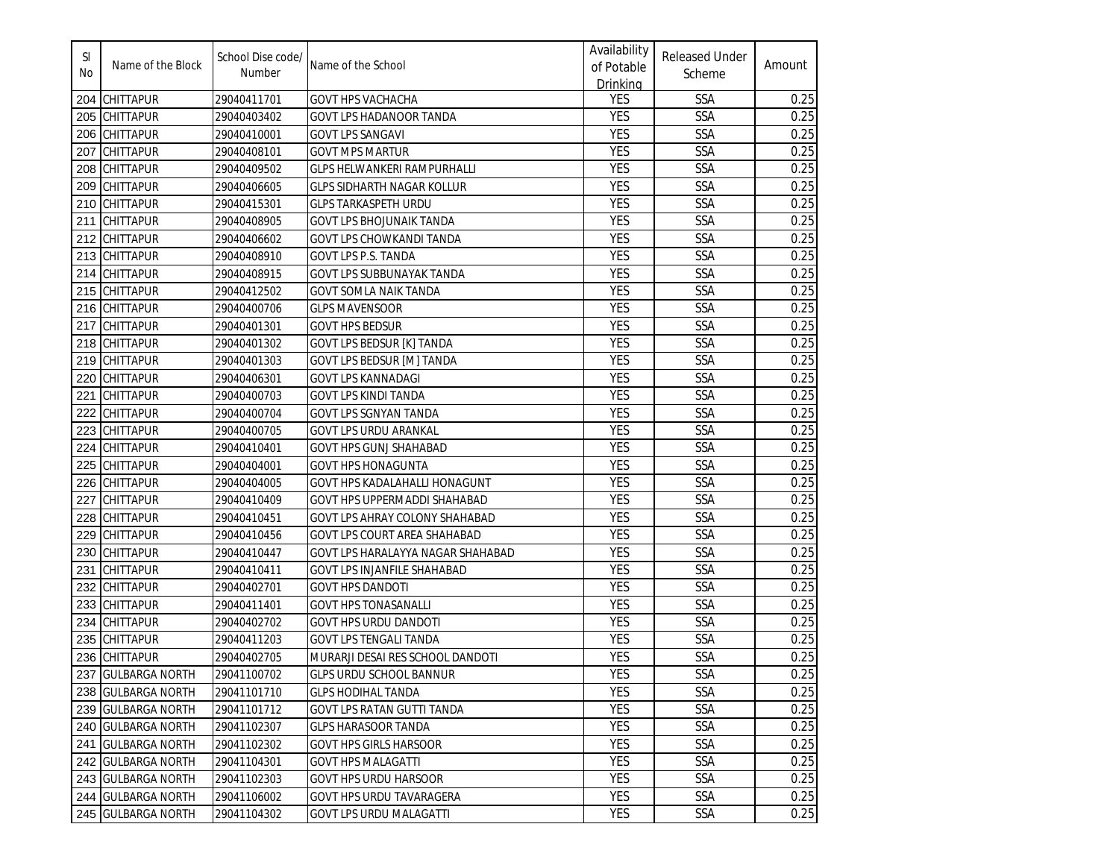| SI<br>No | Name of the Block  | School Dise code/<br>Number | Name of the School                    | Availability<br>of Potable<br>Drinking | <b>Released Under</b><br>Scheme | Amount |
|----------|--------------------|-----------------------------|---------------------------------------|----------------------------------------|---------------------------------|--------|
|          | 204 CHITTAPUR      | 29040411701                 | <b>GOVT HPS VACHACHA</b>              | YES                                    | SSA                             | 0.25   |
|          | 205 CHITTAPUR      | 29040403402                 | GOVT LPS HADANOOR TANDA               | <b>YES</b>                             | <b>SSA</b>                      | 0.25   |
| 206      | <b>CHITTAPUR</b>   | 29040410001                 | GOVT LPS SANGAVI                      | <b>YES</b>                             | SSA                             | 0.25   |
| 207      | <b>CHITTAPUR</b>   | 29040408101                 | <b>GOVT MPS MARTUR</b>                | <b>YES</b>                             | SSA                             | 0.25   |
| 208      | <b>CHITTAPUR</b>   | 29040409502                 | <b>GLPS HELWANKERI RAMPURHALLI</b>    | <b>YES</b>                             | SSA                             | 0.25   |
| 209      | <b>CHITTAPUR</b>   | 29040406605                 | <b>GLPS SIDHARTH NAGAR KOLLUR</b>     | YES                                    | SSA                             | 0.25   |
| 210      | <b>CHITTAPUR</b>   | 29040415301                 | <b>GLPS TARKASPETH URDU</b>           | <b>YES</b>                             | SSA                             | 0.25   |
| 211      | <b>CHITTAPUR</b>   | 29040408905                 | <b>GOVT LPS BHOJUNAIK TANDA</b>       | YES                                    | SSA                             | 0.25   |
| 212      | <b>CHITTAPUR</b>   | 29040406602                 | <b>GOVT LPS CHOWKANDI TANDA</b>       | <b>YES</b>                             | SSA                             | 0.25   |
| 213      | <b>CHITTAPUR</b>   | 29040408910                 | <b>GOVT LPS P.S. TANDA</b>            | <b>YES</b>                             | SSA                             | 0.25   |
| 214      | <b>CHITTAPUR</b>   | 29040408915                 | <b>GOVT LPS SUBBUNAYAK TANDA</b>      | <b>YES</b>                             | SSA                             | 0.25   |
|          | 215 CHITTAPUR      | 29040412502                 | GOVT SOMLA NAIK TANDA                 | YES                                    | SSA                             | 0.25   |
|          | 216 CHITTAPUR      | 29040400706                 | <b>GLPS MAVENSOOR</b>                 | <b>YES</b>                             | SSA                             | 0.25   |
| 217      | <b>CHITTAPUR</b>   | 29040401301                 | <b>GOVT HPS BEDSUR</b>                | <b>YES</b>                             | SSA                             | 0.25   |
|          | 218 CHITTAPUR      | 29040401302                 | <b>GOVT LPS BEDSUR [K] TANDA</b>      | YES                                    | SSA                             | 0.25   |
| 219      | <b>CHITTAPUR</b>   | 29040401303                 | <b>GOVT LPS BEDSUR [M] TANDA</b>      | <b>YES</b>                             | SSA                             | 0.25   |
| 220      | <b>CHITTAPUR</b>   | 29040406301                 | <b>GOVT LPS KANNADAGI</b>             | <b>YES</b>                             | SSA                             | 0.25   |
| 221      | <b>CHITTAPUR</b>   | 29040400703                 | <b>GOVT LPS KINDI TANDA</b>           | <b>YES</b>                             | <b>SSA</b>                      | 0.25   |
| 222      | <b>CHITTAPUR</b>   | 29040400704                 | GOVT LPS SGNYAN TANDA                 | <b>YES</b>                             | <b>SSA</b>                      | 0.25   |
| 223      | <b>CHITTAPUR</b>   | 29040400705                 | GOVT LPS URDU ARANKAL                 | <b>YES</b>                             | <b>SSA</b>                      | 0.25   |
| 224      | <b>CHITTAPUR</b>   | 29040410401                 | GOVT HPS GUNJ SHAHABAD                | <b>YES</b>                             | SSA                             | 0.25   |
| 225      | <b>CHITTAPUR</b>   | 29040404001                 | <b>GOVT HPS HONAGUNTA</b>             | <b>YES</b>                             | SSA                             | 0.25   |
| 226      | <b>CHITTAPUR</b>   | 29040404005                 | GOVT HPS KADALAHALLI HONAGUNT         | <b>YES</b>                             | SSA                             | 0.25   |
| 227      | <b>CHITTAPUR</b>   | 29040410409                 | <b>GOVT HPS UPPERMADDI SHAHABAD</b>   | <b>YES</b>                             | SSA                             | 0.25   |
| 228      | <b>CHITTAPUR</b>   | 29040410451                 | <b>GOVT LPS AHRAY COLONY SHAHABAD</b> | YES                                    | SSA                             | 0.25   |
| 229      | <b>CHITTAPUR</b>   | 29040410456                 | <b>GOVT LPS COURT AREA SHAHABAD</b>   | <b>YES</b>                             | SSA                             | 0.25   |
| 230      | <b>CHITTAPUR</b>   | 29040410447                 | GOVT LPS HARALAYYA NAGAR SHAHABAD     | <b>YES</b>                             | <b>SSA</b>                      | 0.25   |
| 231      | <b>CHITTAPUR</b>   | 29040410411                 | <b>GOVT LPS INJANFILE SHAHABAD</b>    | <b>YES</b>                             | <b>SSA</b>                      | 0.25   |
| 232      | <b>CHITTAPUR</b>   | 29040402701                 | <b>GOVT HPS DANDOTI</b>               | <b>YES</b>                             | SSA                             | 0.25   |
| 233      | <b>CHITTAPUR</b>   | 29040411401                 | <b>GOVT HPS TONASANALLI</b>           | <b>YES</b>                             | SSA                             | 0.25   |
| 234      | <b>CHITTAPUR</b>   | 29040402702                 | <b>GOVT HPS URDU DANDOTI</b>          | <b>YES</b>                             | SSA                             | 0.25   |
|          | 235 CHITTAPUR      | 29040411203                 | <b>GOVT LPS TENGALI TANDA</b>         | <b>YES</b>                             | SSA                             | 0.25   |
|          | 236 CHITTAPUR      | 29040402705                 | MURARJI DESAI RES SCHOOL DANDOTI      | <b>YES</b>                             | SSA                             | 0.25   |
|          | 237 GULBARGA NORTH | 29041100702                 | <b>GLPS URDU SCHOOL BANNUR</b>        | <b>YES</b>                             | <b>SSA</b>                      | 0.25   |
|          | 238 GULBARGA NORTH | 29041101710                 | <b>GLPS HODIHAL TANDA</b>             | <b>YES</b>                             | SSA                             | 0.25   |
|          | 239 GULBARGA NORTH | 29041101712                 | GOVT LPS RATAN GUTTI TANDA            | YES                                    | SSA                             | 0.25   |
|          | 240 GULBARGA NORTH | 29041102307                 | <b>GLPS HARASOOR TANDA</b>            | YES                                    | SSA                             | 0.25   |
|          | 241 GULBARGA NORTH | 29041102302                 | <b>GOVT HPS GIRLS HARSOOR</b>         | YES                                    | <b>SSA</b>                      | 0.25   |
|          | 242 GULBARGA NORTH | 29041104301                 | <b>GOVT HPS MALAGATTI</b>             | YES                                    | SSA                             | 0.25   |
|          | 243 GULBARGA NORTH | 29041102303                 | <b>GOVT HPS URDU HARSOOR</b>          | <b>YES</b>                             | SSA                             | 0.25   |
|          | 244 GULBARGA NORTH | 29041106002                 | <b>GOVT HPS URDU TAVARAGERA</b>       | YES                                    | <b>SSA</b>                      | 0.25   |
|          | 245 GULBARGA NORTH | 29041104302                 | <b>GOVT LPS URDU MALAGATTI</b>        | YES                                    | <b>SSA</b>                      | 0.25   |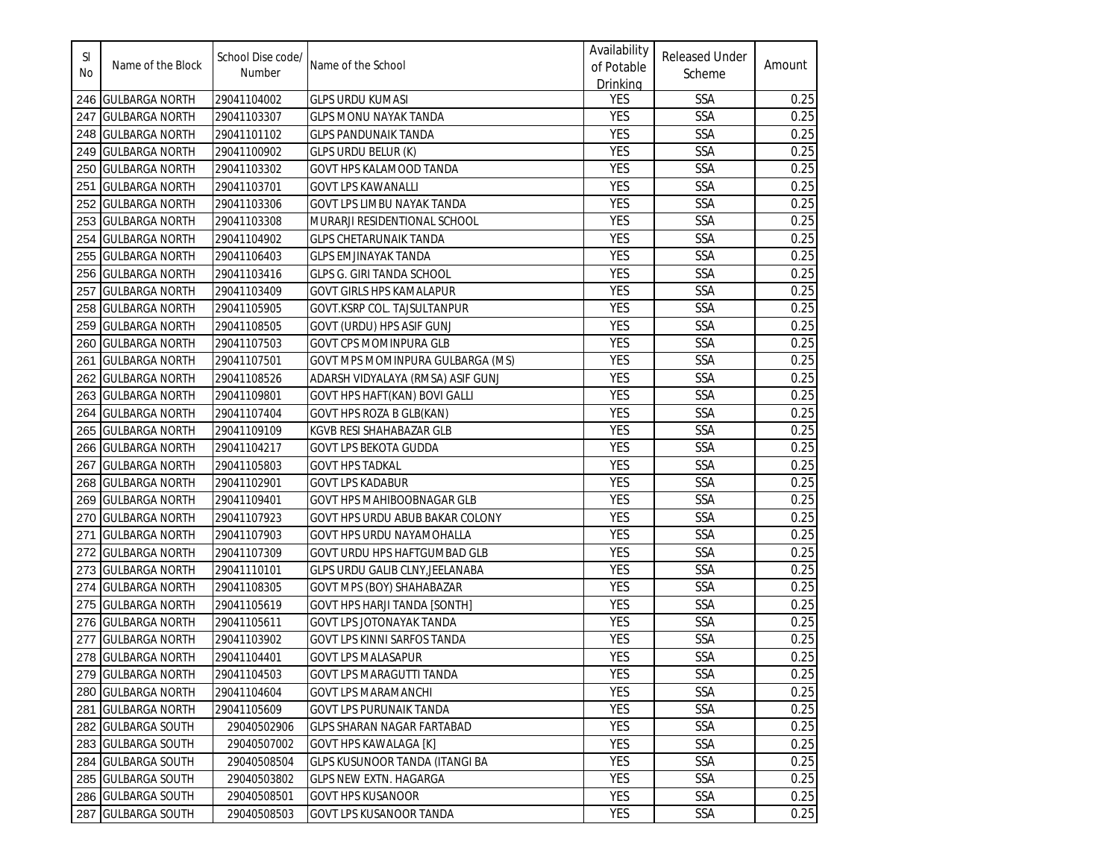| SI.<br>No | Name of the Block     | School Dise code/<br>Number | Name of the School                     | Availability<br>of Potable<br><b>Drinking</b> | <b>Released Under</b><br>Scheme | Amount |
|-----------|-----------------------|-----------------------------|----------------------------------------|-----------------------------------------------|---------------------------------|--------|
|           | 246 GULBARGA NORTH    | 29041104002                 | <b>GLPS URDU KUMASI</b>                | YES                                           | SSA                             | 0.25   |
|           | 247 GULBARGA NORTH    | 29041103307                 | GLPS MONU NAYAK TANDA                  | <b>YES</b>                                    | <b>SSA</b>                      | 0.25   |
|           | 248 GULBARGA NORTH    | 29041101102                 | <b>GLPS PANDUNAIK TANDA</b>            | <b>YES</b>                                    | SSA                             | 0.25   |
|           | 249 GULBARGA NORTH    | 29041100902                 | GLPS URDU BELUR (K)                    | <b>YES</b>                                    | SSA                             | 0.25   |
|           | 250 GULBARGA NORTH    | 29041103302                 | GOVT HPS KALAMOOD TANDA                | <b>YES</b>                                    | SSA                             | 0.25   |
| 251       | <b>GULBARGA NORTH</b> | 29041103701                 | <b>GOVT LPS KAWANALLI</b>              | YES                                           | SSA                             | 0.25   |
| 252       | <b>GULBARGA NORTH</b> | 29041103306                 | GOVT LPS LIMBU NAYAK TANDA             | <b>YES</b>                                    | SSA                             | 0.25   |
|           | 253 GULBARGA NORTH    | 29041103308                 | MURARJI RESIDENTIONAL SCHOOL           | YES                                           | SSA                             | 0.25   |
|           | 254 GULBARGA NORTH    | 29041104902                 | <b>GLPS CHETARUNAIK TANDA</b>          | <b>YES</b>                                    | SSA                             | 0.25   |
|           | 255 GULBARGA NORTH    | 29041106403                 | <b>GLPS EMJINAYAK TANDA</b>            | <b>YES</b>                                    | SSA                             | 0.25   |
|           | 256 GULBARGA NORTH    | 29041103416                 | GLPS G. GIRI TANDA SCHOOL              | <b>YES</b>                                    | SSA                             | 0.25   |
| 257       | <b>GULBARGA NORTH</b> | 29041103409                 | GOVT GIRLS HPS KAMALAPUR               | YES                                           | SSA                             | 0.25   |
|           | 258  GULBARGA NORTH   | 29041105905                 | GOVT.KSRP COL. TAJSULTANPUR            | <b>YES</b>                                    | SSA                             | 0.25   |
|           | 259 GULBARGA NORTH    | 29041108505                 | GOVT (URDU) HPS ASIF GUNJ              | <b>YES</b>                                    | SSA                             | 0.25   |
|           | 260 GULBARGA NORTH    | 29041107503                 | GOVT CPS MOMINPURA GLB                 | YES                                           | SSA                             | 0.25   |
| 261       | <b>GULBARGA NORTH</b> | 29041107501                 | GOVT MPS MOMINPURA GULBARGA (MS)       | YES                                           | SSA                             | 0.25   |
|           | 262 GULBARGA NORTH    | 29041108526                 | ADARSH VIDYALAYA (RMSA) ASIF GUNJ      | <b>YES</b>                                    | SSA                             | 0.25   |
|           | 263 GULBARGA NORTH    | 29041109801                 | GOVT HPS HAFT(KAN) BOVI GALLI          | <b>YES</b>                                    | <b>SSA</b>                      | 0.25   |
| 264       | <b>GULBARGA NORTH</b> | 29041107404                 | GOVT HPS ROZA B GLB(KAN)               | <b>YES</b>                                    | <b>SSA</b>                      | 0.25   |
| 265       | <b>GULBARGA NORTH</b> | 29041109109                 | KGVB RESI SHAHABAZAR GLB               | <b>YES</b>                                    | <b>SSA</b>                      | 0.25   |
| 266       | <b>GULBARGA NORTH</b> | 29041104217                 | GOVT LPS BEKOTA GUDDA                  | <b>YES</b>                                    | SSA                             | 0.25   |
| 267       | <b>GULBARGA NORTH</b> | 29041105803                 | <b>GOVT HPS TADKAL</b>                 | <b>YES</b>                                    | SSA                             | 0.25   |
| 268       | <b>GULBARGA NORTH</b> | 29041102901                 | <b>GOVT LPS KADABUR</b>                | <b>YES</b>                                    | SSA                             | 0.25   |
| 269       | <b>GULBARGA NORTH</b> | 29041109401                 | <b>GOVT HPS MAHIBOOBNAGAR GLB</b>      | <b>YES</b>                                    | SSA                             | 0.25   |
| 270       | <b>GULBARGA NORTH</b> | 29041107923                 | <b>GOVT HPS URDU ABUB BAKAR COLONY</b> | YES                                           | SSA                             | 0.25   |
| 271       | <b>GULBARGA NORTH</b> | 29041107903                 | GOVT HPS URDU NAYAMOHALLA              | <b>YES</b>                                    | SSA                             | 0.25   |
| 272       | <b>GULBARGA NORTH</b> | 29041107309                 | GOVT URDU HPS HAFTGUMBAD GLB           | <b>YES</b>                                    | SSA                             | 0.25   |
|           | 273 GULBARGA NORTH    | 29041110101                 | GLPS URDU GALIB CLNY, JEELANABA        | <b>YES</b>                                    | <b>SSA</b>                      | 0.25   |
|           | 274 GULBARGA NORTH    | 29041108305                 | GOVT MPS (BOY) SHAHABAZAR              | <b>YES</b>                                    | SSA                             | 0.25   |
|           | 275 GULBARGA NORTH    | 29041105619                 | <b>GOVT HPS HARJI TANDA [SONTH]</b>    | <b>YES</b>                                    | SSA                             | 0.25   |
|           | 276 GULBARGA NORTH    | 29041105611                 | <b>GOVT LPS JOTONAYAK TANDA</b>        | <b>YES</b>                                    | SSA                             | 0.25   |
|           | 277 GULBARGA NORTH    | 29041103902                 | GOVT LPS KINNI SARFOS TANDA            | <b>YES</b>                                    | <b>SSA</b>                      | 0.25   |
|           | 278 GULBARGA NORTH    | 29041104401                 | <b>GOVT LPS MALASAPUR</b>              | <b>YES</b>                                    | SSA                             | 0.25   |
|           | 279 GULBARGA NORTH    | 29041104503                 | GOVT LPS MARAGUTTI TANDA               | <b>YES</b>                                    | <b>SSA</b>                      | 0.25   |
|           | 280 GULBARGA NORTH    | 29041104604                 | <b>GOVT LPS MARAMANCHI</b>             | <b>YES</b>                                    | SSA                             | 0.25   |
|           | 281 GULBARGA NORTH    | 29041105609                 | <b>GOVT LPS PURUNAIK TANDA</b>         | YES                                           | SSA                             | 0.25   |
|           | 282 GULBARGA SOUTH    | 29040502906                 | <b>GLPS SHARAN NAGAR FARTABAD</b>      | YES                                           | SSA                             | 0.25   |
|           | 283 GULBARGA SOUTH    | 29040507002                 | <b>GOVT HPS KAWALAGA [K]</b>           | YES                                           | <b>SSA</b>                      | 0.25   |
|           | 284 GULBARGA SOUTH    | 29040508504                 | <b>GLPS KUSUNOOR TANDA (ITANGI BA</b>  | YES                                           | SSA                             | 0.25   |
|           | 285 GULBARGA SOUTH    | 29040503802                 | <b>GLPS NEW EXTN. HAGARGA</b>          | <b>YES</b>                                    | SSA                             | 0.25   |
|           | 286 GULBARGA SOUTH    | 29040508501                 | <b>GOVT HPS KUSANOOR</b>               | YES                                           | <b>SSA</b>                      | 0.25   |
|           | 287 GULBARGA SOUTH    | 29040508503                 | GOVT LPS KUSANOOR TANDA                | YES                                           | SSA                             | 0.25   |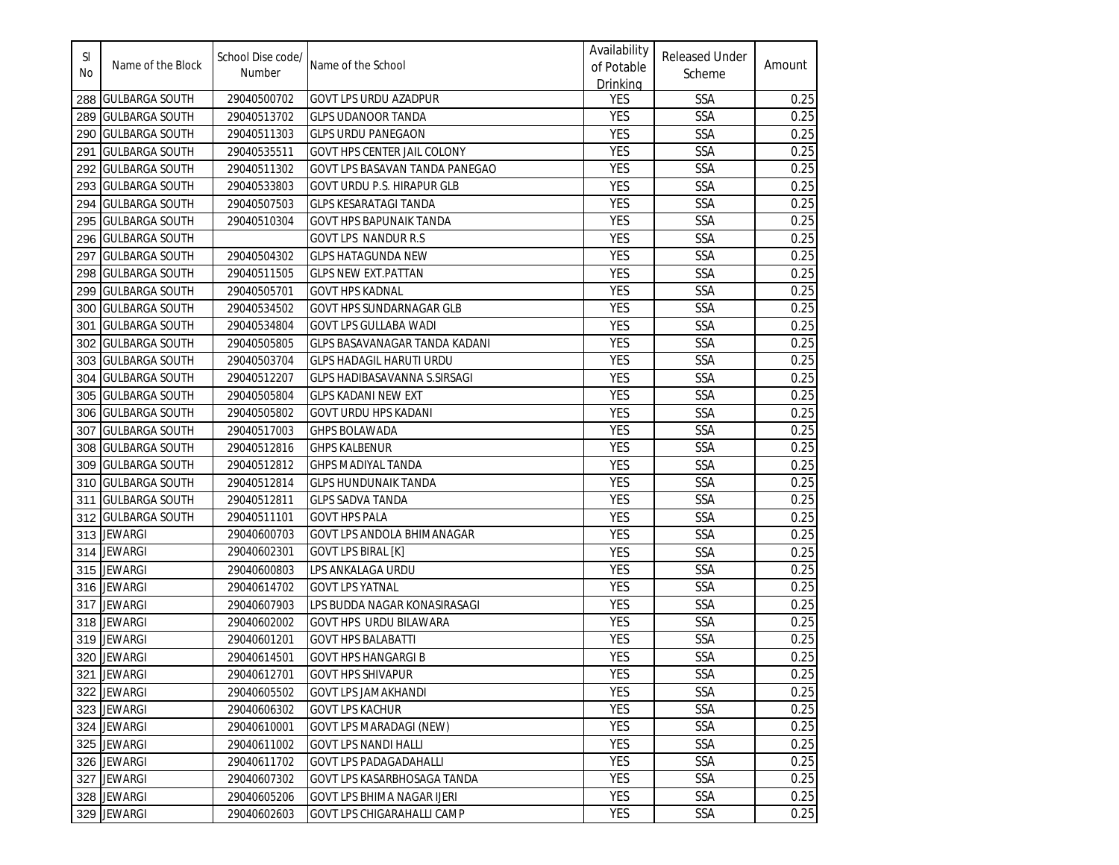| SI<br>No | Name of the Block     | School Dise code/<br>Number | Name of the School                  | Availability<br>of Potable<br><b>Drinking</b> | <b>Released Under</b><br>Scheme | Amount |
|----------|-----------------------|-----------------------------|-------------------------------------|-----------------------------------------------|---------------------------------|--------|
|          | 288 GULBARGA SOUTH    | 29040500702                 | <b>GOVT LPS URDU AZADPUR</b>        | YES                                           | SSA                             | 0.25   |
|          | 289 GULBARGA SOUTH    | 29040513702                 | <b>GLPS UDANOOR TANDA</b>           | <b>YES</b>                                    | SSA                             | 0.25   |
|          | 290 GULBARGA SOUTH    | 29040511303                 | <b>GLPS URDU PANEGAON</b>           | <b>YES</b>                                    | SSA                             | 0.25   |
| 291      | <b>GULBARGA SOUTH</b> | 29040535511                 | <b>GOVT HPS CENTER JAIL COLONY</b>  | <b>YES</b>                                    | SSA                             | 0.25   |
| 292      | <b>GULBARGA SOUTH</b> | 29040511302                 | GOVT LPS BASAVAN TANDA PANEGAO      | <b>YES</b>                                    | SSA                             | 0.25   |
| 293      | <b>GULBARGA SOUTH</b> | 29040533803                 | <b>GOVT URDU P.S. HIRAPUR GLB</b>   | <b>YES</b>                                    | SSA                             | 0.25   |
| 294      | <b>GULBARGA SOUTH</b> | 29040507503                 | <b>GLPS KESARATAGI TANDA</b>        | <b>YES</b>                                    | SSA                             | 0.25   |
|          | 295 GULBARGA SOUTH    | 29040510304                 | <b>GOVT HPS BAPUNAIK TANDA</b>      | <b>YES</b>                                    | SSA                             | 0.25   |
|          | 296 GULBARGA SOUTH    |                             | <b>GOVT LPS NANDUR R.S</b>          | <b>YES</b>                                    | SSA                             | 0.25   |
| 297      | <b>GULBARGA SOUTH</b> | 29040504302                 | <b>GLPS HATAGUNDA NEW</b>           | <b>YES</b>                                    | SSA                             | 0.25   |
|          | 298 GULBARGA SOUTH    | 29040511505                 | <b>GLPS NEW EXT. PATTAN</b>         | YES                                           | SSA                             | 0.25   |
|          | 299 GULBARGA SOUTH    | 29040505701                 | <b>GOVT HPS KADNAL</b>              | <b>YES</b>                                    | SSA                             | 0.25   |
|          | 300 IGULBARGA SOUTH   | 29040534502                 | <b>GOVT HPS SUNDARNAGAR GLB</b>     | <b>YES</b>                                    | SSA                             | 0.25   |
| 301      | <b>GULBARGA SOUTH</b> | 29040534804                 | <b>GOVT LPS GULLABA WADI</b>        | YES                                           | SSA                             | 0.25   |
|          | 302 GULBARGA SOUTH    | 29040505805                 | GLPS BASAVANAGAR TANDA KADANI       | YES                                           | SSA                             | 0.25   |
|          | 303 GULBARGA SOUTH    | 29040503704                 | <b>GLPS HADAGIL HARUTI URDU</b>     | <b>YES</b>                                    | SSA                             | 0.25   |
|          | 304 GULBARGA SOUTH    | 29040512207                 | <b>GLPS HADIBASAVANNA S.SIRSAGI</b> | <b>YES</b>                                    | <b>SSA</b>                      | 0.25   |
|          | 305 GULBARGA SOUTH    | 29040505804                 | <b>GLPS KADANI NEW EXT</b>          | <b>YES</b>                                    | <b>SSA</b>                      | 0.25   |
|          | 306 GULBARGA SOUTH    | 29040505802                 | <b>GOVT URDU HPS KADANI</b>         | <b>YES</b>                                    | SSA                             | 0.25   |
| 307      | <b>GULBARGA SOUTH</b> | 29040517003                 | <b>GHPS BOLAWADA</b>                | <b>YES</b>                                    | SSA                             | 0.25   |
| 308      | <b>GULBARGA SOUTH</b> | 29040512816                 | <b>GHPS KALBENUR</b>                | <b>YES</b>                                    | <b>SSA</b>                      | 0.25   |
| 309      | <b>GULBARGA SOUTH</b> | 29040512812                 | GHPS MADIYAL TANDA                  | <b>YES</b>                                    | SSA                             | 0.25   |
| 310      | <b>GULBARGA SOUTH</b> | 29040512814                 | <b>GLPS HUNDUNAIK TANDA</b>         | <b>YES</b>                                    | SSA                             | 0.25   |
| 311      | <b>GULBARGA SOUTH</b> | 29040512811                 | <b>GLPS SADVA TANDA</b>             | YES                                           | SSA                             | 0.25   |
|          | 312 GULBARGA SOUTH    | 29040511101                 | <b>GOVT HPS PALA</b>                | <b>YES</b>                                    | SSA                             | 0.25   |
|          | 313 JEWARGI           | 29040600703                 | <b>GOVT LPS ANDOLA BHIMANAGAR</b>   | <b>YES</b>                                    | SSA                             | 0.25   |
|          | 314 JEWARGI           | 29040602301                 | <b>GOVT LPS BIRAL [K]</b>           | <b>YES</b>                                    | <b>SSA</b>                      | 0.25   |
|          | 315 JEWARGI           | 29040600803                 | LPS ANKALAGA URDU                   | <b>YES</b>                                    | SSA                             | 0.25   |
|          | 316 JEWARGI           | 29040614702                 | <b>GOVT LPS YATNAL</b>              | <b>YES</b>                                    | SSA                             | 0.25   |
|          | 317 JEWARGI           | 29040607903                 | LPS BUDDA NAGAR KONASIRASAGI        | <b>YES</b>                                    | SSA                             | 0.25   |
|          | 318 JEWARGI           | 29040602002                 | <b>GOVT HPS URDU BILAWARA</b>       | <b>YES</b>                                    | <b>SSA</b>                      | 0.25   |
|          | 319 JEWARGI           | 29040601201                 | <b>GOVT HPS BALABATTI</b>           | <b>YES</b>                                    | SSA                             | 0.25   |
|          | 320 JEWARGI           | 29040614501                 | <b>GOVT HPS HANGARGI B</b>          | <b>YES</b>                                    | SSA                             | 0.25   |
|          | 321 JEWARGI           | 29040612701                 | <b>GOVT HPS SHIVAPUR</b>            | <b>YES</b>                                    | <b>SSA</b>                      | 0.25   |
|          | 322 JEWARGI           | 29040605502                 | <b>GOVT LPS JAMAKHANDI</b>          | <b>YES</b>                                    | SSA                             | 0.25   |
|          | 323 JEWARGI           | 29040606302                 | <b>GOVT LPS KACHUR</b>              | YES                                           | SSA                             | 0.25   |
|          | 324 JEWARGI           | 29040610001                 | <b>GOVT LPS MARADAGI (NEW)</b>      | YES                                           | SSA                             | 0.25   |
|          | 325 JEWARGI           | 29040611002                 | <b>GOVT LPS NANDI HALLI</b>         | YES                                           | SSA                             | 0.25   |
|          | 326 JEWARGI           | 29040611702                 | <b>GOVT LPS PADAGADAHALLI</b>       | YES                                           | SSA                             | 0.25   |
|          | 327 JEWARGI           | 29040607302                 | GOVT LPS KASARBHOSAGA TANDA         | YES                                           | SSA                             | 0.25   |
|          | 328 JEWARGI           | 29040605206                 | <b>GOVT LPS BHIMA NAGAR IJERI</b>   | YES                                           | <b>SSA</b>                      | 0.25   |
|          | 329 JEWARGI           | 29040602603                 | GOVT LPS CHIGARAHALLI CAMP          | YES                                           | SSA                             | 0.25   |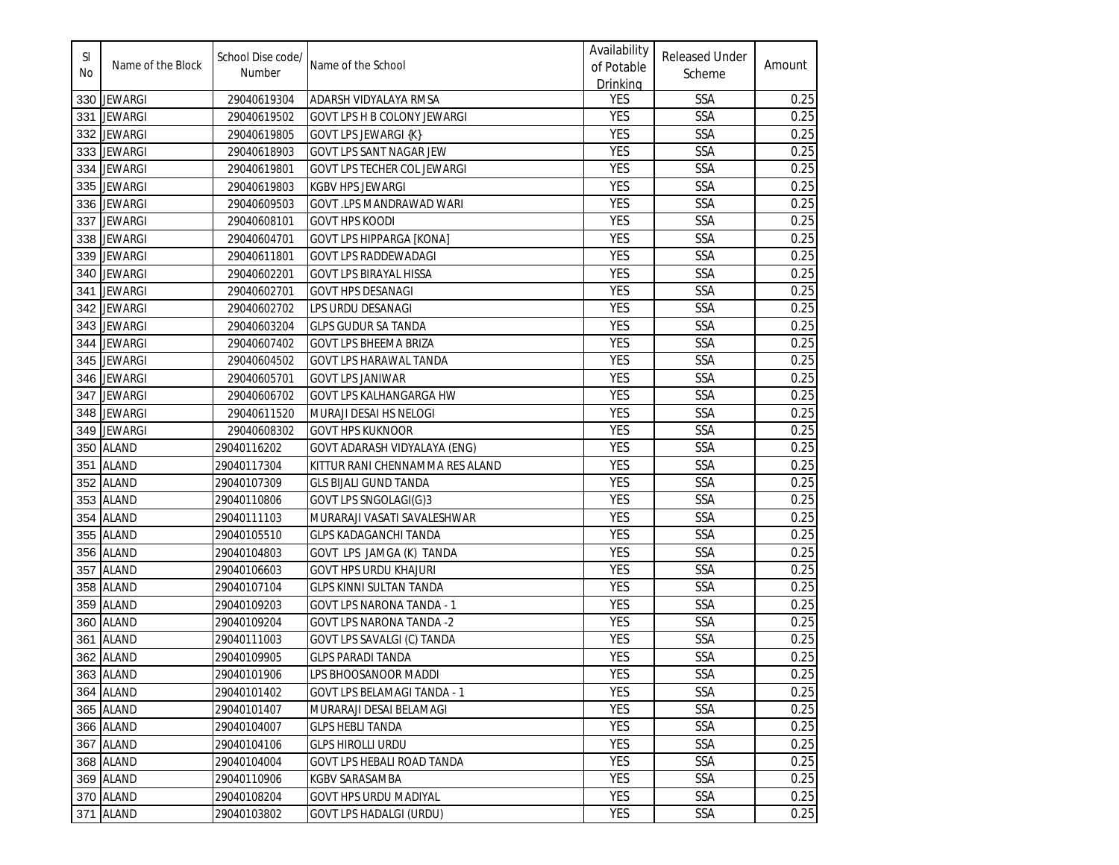| SI<br>No | Name of the Block | School Dise code/<br>Number | Name of the School                 | Availability<br>of Potable<br>Drinking | <b>Released Under</b><br>Scheme | Amount |
|----------|-------------------|-----------------------------|------------------------------------|----------------------------------------|---------------------------------|--------|
|          | 330 JEWARGI       | 29040619304                 | ADARSH VIDYALAYA RMSA              | <b>YES</b>                             | SSA                             | 0.25   |
|          | 331 JEWARGI       | 29040619502                 | GOVT LPS H B COLONY JEWARGI        | <b>YES</b>                             | <b>SSA</b>                      | 0.25   |
|          | 332 JEWARGI       | 29040619805                 | <b>GOVT LPS JEWARGI {K}</b>        | <b>YES</b>                             | SSA                             | 0.25   |
|          | 333 JEWARGI       | 29040618903                 | GOVT LPS SANT NAGAR JEW            | <b>YES</b>                             | SSA                             | 0.25   |
|          | 334 JEWARGI       | 29040619801                 | <b>GOVT LPS TECHER COL JEWARGI</b> | <b>YES</b>                             | SSA                             | 0.25   |
| 335      | <b>JEWARGI</b>    | 29040619803                 | <b>KGBV HPS JEWARGI</b>            | <b>YES</b>                             | SSA                             | 0.25   |
| 336      | <b>JEWARGI</b>    | 29040609503                 | GOVT .LPS MANDRAWAD WARI           | <b>YES</b>                             | SSA                             | 0.25   |
| 337      | <b>JEWARGI</b>    | 29040608101                 | <b>GOVT HPS KOODI</b>              | <b>YES</b>                             | SSA                             | 0.25   |
| 338      | <b>JEWARGI</b>    | 29040604701                 | <b>GOVT LPS HIPPARGA [KONA]</b>    | <b>YES</b>                             | SSA                             | 0.25   |
| 339      | <b>JEWARGI</b>    | 29040611801                 | <b>GOVT LPS RADDEWADAGI</b>        | <b>YES</b>                             | <b>SSA</b>                      | 0.25   |
| 340      | <b>JEWARGI</b>    | 29040602201                 | GOVT LPS BIRAYAL HISSA             | <b>YES</b>                             | SSA                             | 0.25   |
| 341      | <b>JEWARGI</b>    | 29040602701                 | <b>GOVT HPS DESANAGI</b>           | <b>YES</b>                             | SSA                             | 0.25   |
| 342      | <b>JEWARGI</b>    | 29040602702                 | LPS URDU DESANAGI                  | <b>YES</b>                             | SSA                             | 0.25   |
|          | 343 JEWARGI       | 29040603204                 | <b>GLPS GUDUR SA TANDA</b>         | <b>YES</b>                             | SSA                             | 0.25   |
| 344      | <b>JEWARGI</b>    | 29040607402                 | <b>GOVT LPS BHEEMA BRIZA</b>       | <b>YES</b>                             | SSA                             | 0.25   |
| 345      | <b>JEWARGI</b>    | 29040604502                 | <b>GOVT LPS HARAWAL TANDA</b>      | <b>YES</b>                             | SSA                             | 0.25   |
| 346      | <b>JEWARGI</b>    | 29040605701                 | <b>GOVT LPS JANIWAR</b>            | <b>YES</b>                             | SSA                             | 0.25   |
| 347      | <b>JEWARGI</b>    | 29040606702                 | <b>GOVT LPS KALHANGARGA HW</b>     | <b>YES</b>                             | <b>SSA</b>                      | 0.25   |
| 348      | <b>JEWARGI</b>    | 29040611520                 | MURAJI DESAI HS NELOGI             | <b>YES</b>                             | <b>SSA</b>                      | 0.25   |
| 349      | <b>JEWARGI</b>    | 29040608302                 | <b>GOVT HPS KUKNOOR</b>            | <b>YES</b>                             | <b>SSA</b>                      | 0.25   |
| 350      | <b>ALAND</b>      | 29040116202                 | GOVT ADARASH VIDYALAYA (ENG)       | <b>YES</b>                             | SSA                             | 0.25   |
| 351      | <b>ALAND</b>      | 29040117304                 | KITTUR RANI CHENNAMMA RES ALAND    | <b>YES</b>                             | SSA                             | 0.25   |
|          | 352 ALAND         | 29040107309                 | <b>GLS BIJALI GUND TANDA</b>       | <b>YES</b>                             | SSA                             | 0.25   |
| 353      | <b>ALAND</b>      | 29040110806                 | GOVT LPS SNGOLAGI(G)3              | <b>YES</b>                             | SSA                             | 0.25   |
| 354      | <b>ALAND</b>      | 29040111103                 | MURARAJI VASATI SAVALESHWAR        | <b>YES</b>                             | SSA                             | 0.25   |
| 355      | <b>ALAND</b>      | 29040105510                 | <b>GLPS KADAGANCHI TANDA</b>       | <b>YES</b>                             | SSA                             | 0.25   |
|          | 356 ALAND         | 29040104803                 | GOVT LPS JAMGA (K) TANDA           | <b>YES</b>                             | <b>SSA</b>                      | 0.25   |
| 357      | <b>ALAND</b>      | 29040106603                 | <b>GOVT HPS URDU KHAJURI</b>       | <b>YES</b>                             | <b>SSA</b>                      | 0.25   |
| 358      | <b>ALAND</b>      | 29040107104                 | <b>GLPS KINNI SULTAN TANDA</b>     | <b>YES</b>                             | SSA                             | 0.25   |
| 359      | <b>ALAND</b>      | 29040109203                 | <b>GOVT LPS NARONA TANDA - 1</b>   | <b>YES</b>                             | SSA                             | 0.25   |
| 360      | <b>ALAND</b>      | 29040109204                 | <b>GOVT LPS NARONA TANDA -2</b>    | <b>YES</b>                             | <b>SSA</b>                      | 0.25   |
|          | 361 ALAND         | 29040111003                 | GOVT LPS SAVALGI (C) TANDA         | <b>YES</b>                             | <b>SSA</b>                      | 0.25   |
|          | 362 ALAND         | 29040109905                 | <b>GLPS PARADI TANDA</b>           | <b>YES</b>                             | SSA                             | 0.25   |
|          | 363 ALAND         | 29040101906                 | LPS BHOOSANOOR MADDI               | <b>YES</b>                             | <b>SSA</b>                      | 0.25   |
|          | 364 ALAND         | 29040101402                 | GOVT LPS BELAMAGI TANDA - 1        | <b>YES</b>                             | SSA                             | 0.25   |
|          | 365 ALAND         | 29040101407                 | MURARAJI DESAI BELAMAGI            | YES                                    | SSA                             | 0.25   |
|          | 366 ALAND         | 29040104007                 | <b>GLPS HEBLI TANDA</b>            | YES                                    | SSA                             | 0.25   |
|          | 367 ALAND         | 29040104106                 | <b>GLPS HIROLLI URDU</b>           | YES                                    | SSA                             | 0.25   |
|          | 368 ALAND         | 29040104004                 | GOVT LPS HEBALI ROAD TANDA         | <b>YES</b>                             | SSA                             | 0.25   |
|          | 369 ALAND         | 29040110906                 | <b>KGBV SARASAMBA</b>              | <b>YES</b>                             | SSA                             | 0.25   |
|          | 370 ALAND         | 29040108204                 | GOVT HPS URDU MADIYAL              | YES                                    | SSA                             | 0.25   |
|          | 371 ALAND         | 29040103802                 | <b>GOVT LPS HADALGI (URDU)</b>     | YES                                    | SSA                             | 0.25   |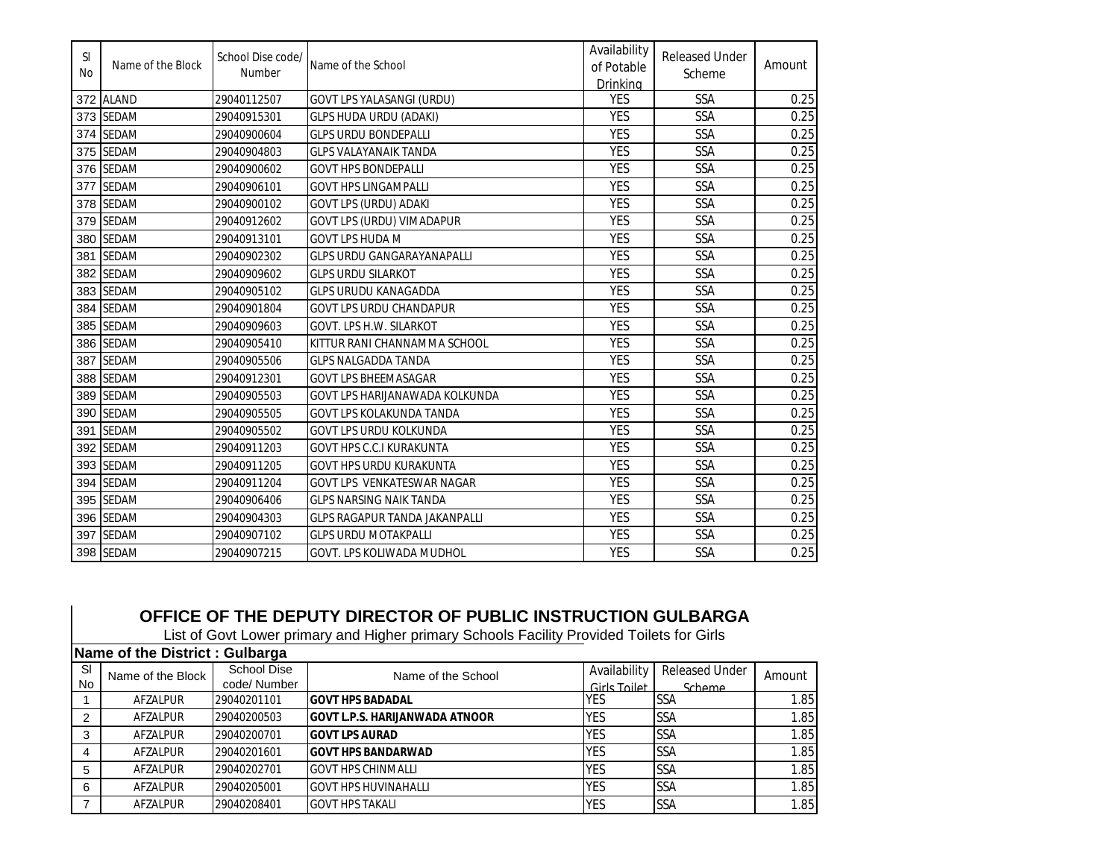| <sup>SI</sup><br>No | Name of the Block | School Dise code/<br>Number | Name of the School                   | Availability<br>of Potable<br>Drinking | <b>Released Under</b><br>Scheme | Amount |
|---------------------|-------------------|-----------------------------|--------------------------------------|----------------------------------------|---------------------------------|--------|
| 372                 | <b>ALAND</b>      | 29040112507                 | GOVT LPS YALASANGI (URDU)            | <b>YES</b>                             | SSA                             | 0.25   |
| 373                 | <b>SEDAM</b>      | 29040915301                 | <b>GLPS HUDA URDU (ADAKI)</b>        | <b>YES</b>                             | SSA                             | 0.25   |
| 374                 | <b>SEDAM</b>      | 29040900604                 | <b>GLPS URDU BONDEPALLI</b>          | <b>YES</b>                             | SSA                             | 0.25   |
| 375                 | <b>SEDAM</b>      | 29040904803                 | <b>GLPS VALAYANAIK TANDA</b>         | <b>YES</b>                             | SSA                             | 0.25   |
| 376                 | <b>SEDAM</b>      | 29040900602                 | <b>GOVT HPS BONDEPALLI</b>           | <b>YES</b>                             | SSA                             | 0.25   |
| 377                 | <b>SEDAM</b>      | 29040906101                 | <b>GOVT HPS LINGAMPALLI</b>          | <b>YES</b>                             | SSA                             | 0.25   |
| 378                 | <b>SEDAM</b>      | 29040900102                 | GOVT LPS (URDU) ADAKI                | <b>YES</b>                             | SSA                             | 0.25   |
| 379                 | <b>SEDAM</b>      | 29040912602                 | GOVT LPS (URDU) VIMADAPUR            | <b>YES</b>                             | SSA                             | 0.25   |
| 380                 | <b>SEDAM</b>      | 29040913101                 | <b>GOVT LPS HUDA M</b>               | <b>YES</b>                             | SSA                             | 0.25   |
| 381                 | <b>SEDAM</b>      | 29040902302                 | <b>GLPS URDU GANGARAYANAPALLI</b>    | <b>YES</b>                             | SSA                             | 0.25   |
| 382                 | <b>SEDAM</b>      | 29040909602                 | <b>GLPS URDU SILARKOT</b>            | <b>YES</b>                             | SSA                             | 0.25   |
| 383                 | <b>SEDAM</b>      | 29040905102                 | <b>GLPS URUDU KANAGADDA</b>          | <b>YES</b>                             | <b>SSA</b>                      | 0.25   |
| 384                 | <b>SEDAM</b>      | 29040901804                 | GOVT LPS URDU CHANDAPUR              | <b>YES</b>                             | <b>SSA</b>                      | 0.25   |
| 385                 | <b>SEDAM</b>      | 29040909603                 | GOVT. LPS H.W. SILARKOT              | <b>YES</b>                             | SSA                             | 0.25   |
|                     | 386 SEDAM         | 29040905410                 | KITTUR RANI CHANNAMMA SCHOOL         | <b>YES</b>                             | <b>SSA</b>                      | 0.25   |
| 387                 | <b>SEDAM</b>      | 29040905506                 | <b>GLPS NALGADDA TANDA</b>           | <b>YES</b>                             | SSA                             | 0.25   |
| 388                 | SEDAM             | 29040912301                 | <b>GOVT LPS BHEEMASAGAR</b>          | <b>YES</b>                             | <b>SSA</b>                      | 0.25   |
| 389                 | <b>SEDAM</b>      | 29040905503                 | GOVT LPS HARIJANAWADA KOLKUNDA       | <b>YES</b>                             | SSA                             | 0.25   |
| 390                 | <b>SEDAM</b>      | 29040905505                 | <b>GOVT LPS KOLAKUNDA TANDA</b>      | <b>YES</b>                             | <b>SSA</b>                      | 0.25   |
| 391                 | <b>SEDAM</b>      | 29040905502                 | <b>GOVT LPS URDU KOLKUNDA</b>        | <b>YES</b>                             | SSA                             | 0.25   |
| 392                 | <b>SEDAM</b>      | 29040911203                 | <b>GOVT HPS C.C.I KURAKUNTA</b>      | <b>YES</b>                             | SSA                             | 0.25   |
| 393                 | <b>SEDAM</b>      | 29040911205                 | <b>GOVT HPS URDU KURAKUNTA</b>       | <b>YES</b>                             | SSA                             | 0.25   |
| 394                 | <b>SEDAM</b>      | 29040911204                 | <b>GOVT LPS VENKATESWAR NAGAR</b>    | <b>YES</b>                             | SSA                             | 0.25   |
| 395                 | <b>SEDAM</b>      | 29040906406                 | <b>GLPS NARSING NAIK TANDA</b>       | <b>YES</b>                             | SSA                             | 0.25   |
| 396                 | <b>SEDAM</b>      | 29040904303                 | <b>GLPS RAGAPUR TANDA JAKANPALLI</b> | <b>YES</b>                             | SSA                             | 0.25   |
| 397                 | <b>SEDAM</b>      | 29040907102                 | <b>GLPS URDU MOTAKPALLI</b>          | <b>YES</b>                             | SSA                             | 0.25   |
|                     | 398 SEDAM         | 29040907215                 | GOVT. LPS KOLIWADA MUDHOL            | <b>YES</b>                             | <b>SSA</b>                      | 0.25   |

## **OFFICE OF THE DEPUTY DIRECTOR OF PUBLIC INSTRUCTION GULBARGA**

List of Govt Lower primary and Higher primary Schools Facility Provided Toilets for Girls

|           | Name of the District: Gulbarga |             |                                 |              |                       |        |  |  |  |
|-----------|--------------------------------|-------------|---------------------------------|--------------|-----------------------|--------|--|--|--|
| <b>SI</b> | Name of the Block              | School Dise | Name of the School              | Availability | <b>Released Under</b> | Amount |  |  |  |
| <b>No</b> |                                | code/Number |                                 | Girls Toilet | Scheme                |        |  |  |  |
|           | AFZALPUR                       | 29040201101 | IGOVT HPS BADADAL               | YES          | SSA                   | 1.85   |  |  |  |
|           | AFZALPUR                       | 29040200503 | IGOVT L.P.S. HARIJANWADA ATNOOR | <b>YES</b>   | <b>SSA</b>            | 1.85   |  |  |  |
|           | AFZALPUR                       | 29040200701 | IGOVT LPS AURAD                 | <b>YES</b>   | <b>SSA</b>            | 1.85   |  |  |  |
|           | AFZALPUR                       | 29040201601 | IGOVT HPS BANDARWAD             | <b>YES</b>   | <b>SSA</b>            | 1.85   |  |  |  |
|           | AFZALPUR                       | 29040202701 | <b>GOVT HPS CHINMALLI</b>       | <b>YES</b>   | <b>SSA</b>            | 1.85   |  |  |  |
| 6         | AFZALPUR                       | 29040205001 | <b>GOVT HPS HUVINAHALLI</b>     | <b>YES</b>   | <b>SSA</b>            | 1.85   |  |  |  |
|           | AFZALPUR                       | 29040208401 | <b>GOVT HPS TAKALI</b>          | <b>YES</b>   | <b>SSA</b>            | 1.85   |  |  |  |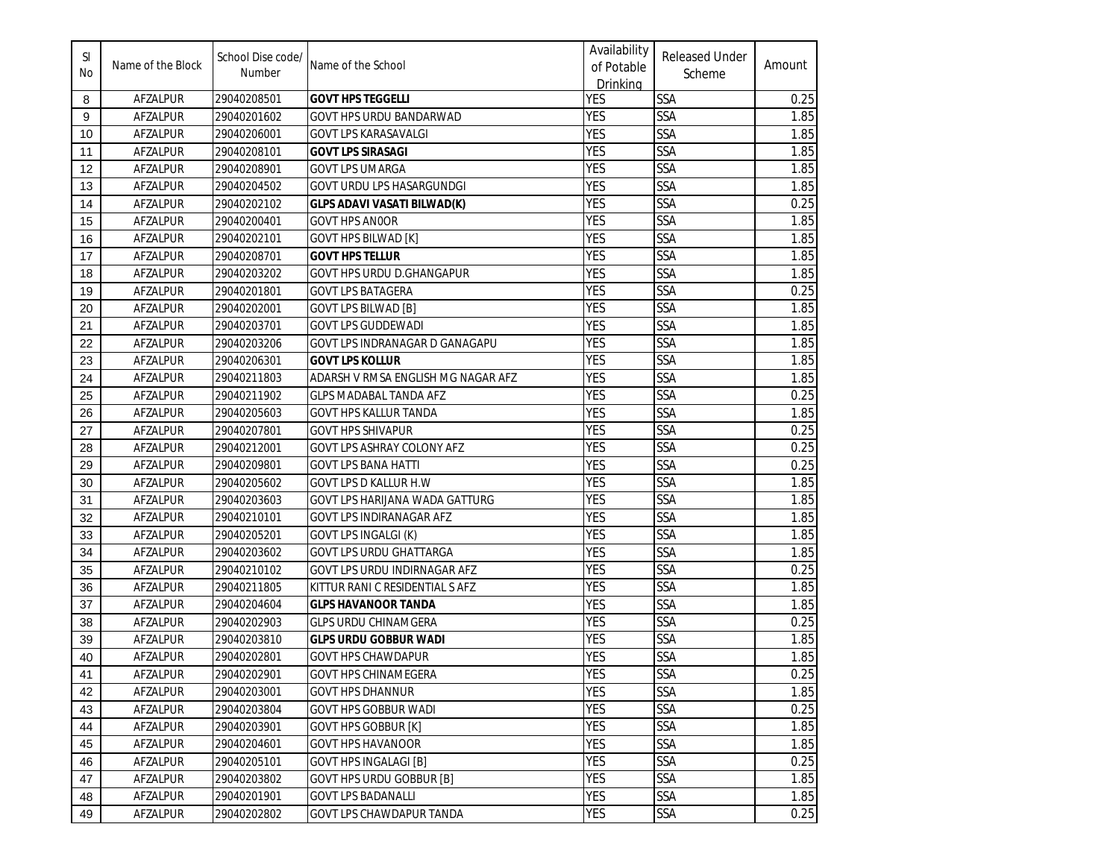| SI<br>No | Name of the Block | School Dise code/<br>Number | Name of the School                    | Availability<br>of Potable<br>Drinking | <b>Released Under</b><br>Scheme | Amount |
|----------|-------------------|-----------------------------|---------------------------------------|----------------------------------------|---------------------------------|--------|
| 8        | AFZALPUR          | 29040208501                 | <b>GOVT HPS TEGGELLI</b>              | <b>YES</b>                             | <b>SSA</b>                      | 0.25   |
| 9        | <b>AFZALPUR</b>   | 29040201602                 | GOVT HPS URDU BANDARWAD               | <b>YES</b>                             | SSA                             | 1.85   |
| 10       | AFZALPUR          | 29040206001                 | GOVT LPS KARASAVALGI                  | <b>YES</b>                             | <b>SSA</b>                      | 1.85   |
| 11       | AFZALPUR          | 29040208101                 | <b>GOVT LPS SIRASAGI</b>              | <b>YES</b>                             | SSA                             | 1.85   |
| 12       | AFZALPUR          | 29040208901                 | <b>GOVT LPS UMARGA</b>                | <b>YES</b>                             | <b>SSA</b>                      | 1.85   |
| 13       | AFZALPUR          | 29040204502                 | <b>GOVT URDU LPS HASARGUNDGI</b>      | <b>YES</b>                             | SSA                             | 1.85   |
| 14       | AFZALPUR          | 29040202102                 | <b>GLPS ADAVI VASATI BILWAD(K)</b>    | <b>YES</b>                             | <b>SSA</b>                      | 0.25   |
| 15       | AFZALPUR          | 29040200401                 | <b>GOVT HPS ANOOR</b>                 | <b>YES</b>                             | <b>SSA</b>                      | 1.85   |
| 16       | AFZALPUR          | 29040202101                 | <b>GOVT HPS BILWAD [K]</b>            | <b>YES</b>                             | <b>SSA</b>                      | 1.85   |
| 17       | AFZALPUR          | 29040208701                 | <b>GOVT HPS TELLUR</b>                | <b>YES</b>                             | <b>SSA</b>                      | 1.85   |
| 18       | AFZALPUR          | 29040203202                 | GOVT HPS URDU D.GHANGAPUR             | <b>YES</b>                             | SSA                             | 1.85   |
| 19       | AFZALPUR          | 29040201801                 | <b>GOVT LPS BATAGERA</b>              | <b>YES</b>                             | SSA                             | 0.25   |
| 20       | AFZALPUR          | 29040202001                 | <b>GOVT LPS BILWAD [B]</b>            | <b>YES</b>                             | <b>SSA</b>                      | 1.85   |
| 21       | AFZALPUR          | 29040203701                 | <b>GOVT LPS GUDDEWADI</b>             | <b>YES</b>                             | <b>SSA</b>                      | 1.85   |
| 22       | <b>AFZALPUR</b>   | 29040203206                 | GOVT LPS INDRANAGAR D GANAGAPU        | <b>YES</b>                             | <b>SSA</b>                      | 1.85   |
| 23       | <b>AFZALPUR</b>   | 29040206301                 | <b>GOVT LPS KOLLUR</b>                | <b>YES</b>                             | <b>SSA</b>                      | 1.85   |
| 24       | AFZALPUR          | 29040211803                 | ADARSH V RMSA ENGLISH MG NAGAR AFZ    | <b>YES</b>                             | <b>SSA</b>                      | 1.85   |
| 25       | <b>AFZALPUR</b>   | 29040211902                 | GLPS MADABAL TANDA AFZ                | <b>YES</b>                             | <b>SSA</b>                      | 0.25   |
| 26       | <b>AFZALPUR</b>   | 29040205603                 | <b>GOVT HPS KALLUR TANDA</b>          | <b>YES</b>                             | SSA                             | 1.85   |
| 27       | AFZALPUR          | 29040207801                 | GOVT HPS SHIVAPUR                     | <b>YES</b>                             | SSA                             | 0.25   |
| 28       | AFZALPUR          | 29040212001                 | GOVT LPS ASHRAY COLONY AFZ            | <b>YES</b>                             | <b>SSA</b>                      | 0.25   |
| 29       | AFZALPUR          | 29040209801                 | <b>GOVT LPS BANA HATTI</b>            | <b>YES</b>                             | SSA                             | 0.25   |
| 30       | AFZALPUR          | 29040205602                 | GOVT LPS D KALLUR H.W                 | <b>YES</b>                             | SSA                             | 1.85   |
| 31       | AFZALPUR          | 29040203603                 | <b>GOVT LPS HARIJANA WADA GATTURG</b> | <b>YES</b>                             | <b>SSA</b>                      | 1.85   |
| 32       | AFZALPUR          | 29040210101                 | <b>GOVT LPS INDIRANAGAR AFZ</b>       | <b>YES</b>                             | <b>SSA</b>                      | 1.85   |
| 33       | AFZALPUR          | 29040205201                 | <b>GOVT LPS INGALGI (K)</b>           | <b>YES</b>                             | <b>SSA</b>                      | 1.85   |
| 34       | AFZALPUR          | 29040203602                 | <b>GOVT LPS URDU GHATTARGA</b>        | <b>YES</b>                             | <b>SSA</b>                      | 1.85   |
| 35       | AFZALPUR          | 29040210102                 | GOVT LPS URDU INDIRNAGAR AFZ          | <b>YES</b>                             | <b>SSA</b>                      | 0.25   |
| 36       | AFZALPUR          | 29040211805                 | KITTUR RANI C RESIDENTIAL S AFZ       | <b>YES</b>                             | SSA                             | 1.85   |
| 37       | AFZALPUR          | 29040204604                 | <b>GLPS HAVANOOR TANDA</b>            | <b>YES</b>                             | SSA                             | 1.85   |
| 38       | AFZALPUR          | 29040202903                 | <b>GLPS URDU CHINAMGERA</b>           | <b>YES</b>                             | <b>SSA</b>                      | 0.25   |
| 39       | <b>AFZALPUR</b>   | 29040203810                 | <b>GLPS URDU GOBBUR WADI</b>          | <b>YES</b>                             | <b>SSA</b>                      | 1.85   |
| 40       | <b>AFZALPUR</b>   | 29040202801                 | <b>GOVT HPS CHAWDAPUR</b>             | <b>YES</b>                             | <b>SSA</b>                      | 1.85   |
| 41       | AFZALPUR          | 29040202901                 | <b>GOVT HPS CHINAMEGERA</b>           | <b>YES</b>                             | <b>SSA</b>                      | 0.25   |
| 42       | AFZALPUR          | 29040203001                 | <b>GOVT HPS DHANNUR</b>               | <b>YES</b>                             | <b>SSA</b>                      | 1.85   |
| 43       | AFZALPUR          | 29040203804                 | <b>GOVT HPS GOBBUR WADI</b>           | <b>YES</b>                             | <b>SSA</b>                      | 0.25   |
| 44       | AFZALPUR          | 29040203901                 | <b>GOVT HPS GOBBUR [K]</b>            | <b>YES</b>                             | <b>SSA</b>                      | 1.85   |
| 45       | AFZALPUR          | 29040204601                 | <b>GOVT HPS HAVANOOR</b>              | <b>YES</b>                             | <b>SSA</b>                      | 1.85   |
| 46       | AFZALPUR          | 29040205101                 | <b>GOVT HPS INGALAGI [B]</b>          | <b>YES</b>                             | <b>SSA</b>                      | 0.25   |
| 47       | AFZALPUR          | 29040203802                 | <b>GOVT HPS URDU GOBBUR [B]</b>       | <b>YES</b>                             | <b>SSA</b>                      | 1.85   |
| 48       | AFZALPUR          | 29040201901                 | <b>GOVT LPS BADANALLI</b>             | <b>YES</b>                             | <b>SSA</b>                      | 1.85   |
| 49       | AFZALPUR          | 29040202802                 | <b>GOVT LPS CHAWDAPUR TANDA</b>       | <b>YES</b>                             | <b>SSA</b>                      | 0.25   |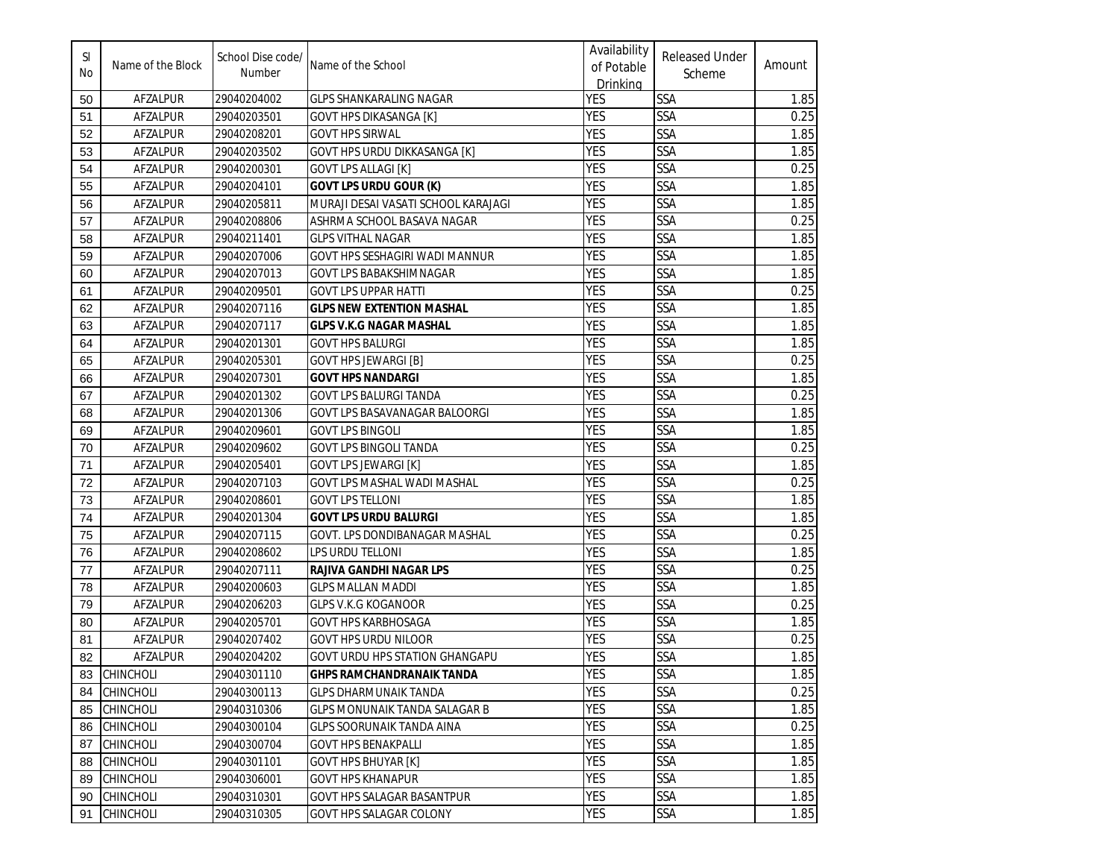| SI<br>No | Name of the Block | School Dise code/<br>Number | Name of the School                    | Availability<br>of Potable<br>Drinking | <b>Released Under</b><br>Scheme | Amount |
|----------|-------------------|-----------------------------|---------------------------------------|----------------------------------------|---------------------------------|--------|
| 50       | AFZALPUR          | 29040204002                 | <b>GLPS SHANKARALING NAGAR</b>        | <b>YES</b>                             | SSA                             | 1.85   |
| 51       | <b>AFZALPUR</b>   | 29040203501                 | <b>GOVT HPS DIKASANGA [K]</b>         | <b>YES</b>                             | SSA                             | 0.25   |
| 52       | AFZALPUR          | 29040208201                 | <b>GOVT HPS SIRWAL</b>                | <b>YES</b>                             | <b>SSA</b>                      | 1.85   |
| 53       | AFZALPUR          | 29040203502                 | GOVT HPS URDU DIKKASANGA [K]          | <b>YES</b>                             | SSA                             | 1.85   |
| 54       | AFZALPUR          | 29040200301                 | <b>GOVT LPS ALLAGI [K]</b>            | <b>YES</b>                             | SSA                             | 0.25   |
| 55       | AFZALPUR          | 29040204101                 | <b>GOVT LPS URDU GOUR (K)</b>         | <b>YES</b>                             | SSA                             | 1.85   |
| 56       | AFZALPUR          | 29040205811                 | MURAJI DESAI VASATI SCHOOL KARAJAGI   | <b>YES</b>                             | SSA                             | 1.85   |
| 57       | AFZALPUR          | 29040208806                 | ASHRMA SCHOOL BASAVA NAGAR            | <b>YES</b>                             | SSA                             | 0.25   |
| 58       | AFZALPUR          | 29040211401                 | <b>GLPS VITHAL NAGAR</b>              | <b>YES</b>                             | <b>SSA</b>                      | 1.85   |
| 59       | AFZALPUR          | 29040207006                 | GOVT HPS SESHAGIRI WADI MANNUR        | <b>YES</b>                             | SSA                             | 1.85   |
| 60       | AFZALPUR          | 29040207013                 | GOVT LPS BABAKSHIMNAGAR               | <b>YES</b>                             | <b>SSA</b>                      | 1.85   |
| 61       | AFZALPUR          | 29040209501                 | <b>GOVT LPS UPPAR HATTI</b>           | <b>YES</b>                             | SSA                             | 0.25   |
| 62       | AFZALPUR          | 29040207116                 | <b>GLPS NEW EXTENTION MASHAL</b>      | <b>YES</b>                             | SSA                             | 1.85   |
| 63       | AFZALPUR          | 29040207117                 | GLPS V.K.G NAGAR MASHAL               | <b>YES</b>                             | SSA                             | 1.85   |
| 64       | <b>AFZALPUR</b>   | 29040201301                 | <b>GOVT HPS BALURGI</b>               | <b>YES</b>                             | SSA                             | 1.85   |
| 65       | AFZALPUR          | 29040205301                 | <b>GOVT HPS JEWARGI [B]</b>           | <b>YES</b>                             | SSA                             | 0.25   |
| 66       | AFZALPUR          | 29040207301                 | <b>GOVT HPS NANDARGI</b>              | <b>YES</b>                             | SSA                             | 1.85   |
| 67       | <b>AFZALPUR</b>   | 29040201302                 | <b>GOVT LPS BALURGI TANDA</b>         | <b>YES</b>                             | SSA                             | 0.25   |
| 68       | <b>AFZALPUR</b>   | 29040201306                 | <b>GOVT LPS BASAVANAGAR BALOORGI</b>  | <b>YES</b>                             | SSA                             | 1.85   |
| 69       | AFZALPUR          | 29040209601                 | <b>GOVT LPS BINGOLI</b>               | <b>YES</b>                             | SSA                             | 1.85   |
| 70       | AFZALPUR          | 29040209602                 | <b>GOVT LPS BINGOLI TANDA</b>         | <b>YES</b>                             | <b>SSA</b>                      | 0.25   |
| 71       | AFZALPUR          | 29040205401                 | <b>GOVT LPS JEWARGI [K]</b>           | <b>YES</b>                             | SSA                             | 1.85   |
| 72       | AFZALPUR          | 29040207103                 | GOVT LPS MASHAL WADI MASHAL           | <b>YES</b>                             | SSA                             | 0.25   |
| 73       | AFZALPUR          | 29040208601                 | <b>GOVT LPS TELLONI</b>               | <b>YES</b>                             | <b>SSA</b>                      | 1.85   |
| 74       | AFZALPUR          | 29040201304                 | <b>GOVT LPS URDU BALURGI</b>          | <b>YES</b>                             | <b>SSA</b>                      | 1.85   |
| 75       | AFZALPUR          | 29040207115                 | GOVT. LPS DONDIBANAGAR MASHAL         | <b>YES</b>                             | SSA                             | 0.25   |
| 76       | AFZALPUR          | 29040208602                 | LPS URDU TELLONI                      | <b>YES</b>                             | <b>SSA</b>                      | 1.85   |
| 77       | AFZALPUR          | 29040207111                 | <b>RAJIVA GANDHI NAGAR LPS</b>        | <b>YES</b>                             | <b>SSA</b>                      | 0.25   |
| 78       | <b>AFZALPUR</b>   | 29040200603                 | <b>GLPS MALLAN MADDI</b>              | <b>YES</b>                             | SSA                             | 1.85   |
| 79       | AFZALPUR          | 29040206203                 | GLPS V.K.G KOGANOOR                   | <b>YES</b>                             | SSA                             | 0.25   |
| 80       | AFZALPUR          | 29040205701                 | <b>GOVT HPS KARBHOSAGA</b>            | <b>YES</b>                             | SSA                             | 1.85   |
| 81       | AFZALPUR          | 29040207402                 | <b>GOVT HPS URDU NILOOR</b>           | <b>YES</b>                             | SSA                             | 0.25   |
| 82       | <b>AFZALPUR</b>   | 29040204202                 | <b>GOVT URDU HPS STATION GHANGAPU</b> | <b>YES</b>                             | SSA                             | 1.85   |
| 83       | CHINCHOLI         | 29040301110                 | <b>GHPS RAMCHANDRANAIK TANDA</b>      | <b>YES</b>                             | <b>SSA</b>                      | 1.85   |
| 84       | <b>CHINCHOLI</b>  | 29040300113                 | <b>GLPS DHARMUNAIK TANDA</b>          | <b>YES</b>                             | SSA                             | 0.25   |
| 85       | <b>CHINCHOLI</b>  | 29040310306                 | GLPS MONUNAIK TANDA SALAGAR B         | <b>YES</b>                             | SSA                             | 1.85   |
| 86       | <b>CHINCHOLI</b>  | 29040300104                 | GLPS SOORUNAIK TANDA AINA             | YES                                    | SSA                             | 0.25   |
| 87       | <b>CHINCHOLI</b>  | 29040300704                 | <b>GOVT HPS BENAKPALLI</b>            | <b>YES</b>                             | SSA                             | 1.85   |
| 88       | <b>CHINCHOLI</b>  | 29040301101                 | <b>GOVT HPS BHUYAR [K]</b>            | <b>YES</b>                             | SSA                             | 1.85   |
| 89       | <b>CHINCHOLI</b>  | 29040306001                 | <b>GOVT HPS KHANAPUR</b>              | <b>YES</b>                             | <b>SSA</b>                      | 1.85   |
| 90       | <b>CHINCHOLI</b>  | 29040310301                 | GOVT HPS SALAGAR BASANTPUR            | <b>YES</b>                             | SSA                             | 1.85   |
| 91       | <b>CHINCHOLI</b>  | 29040310305                 | <b>GOVT HPS SALAGAR COLONY</b>        | YES                                    | SSA                             | 1.85   |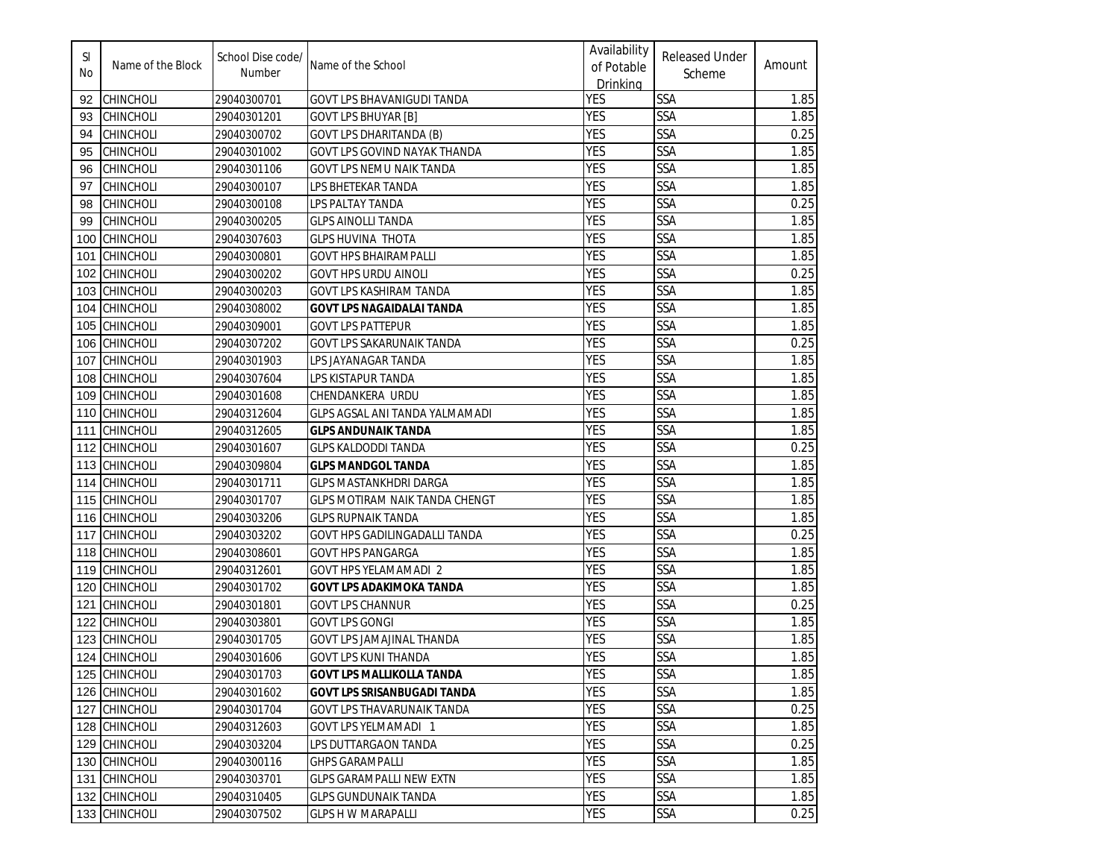| SI<br>No | Name of the Block | School Dise code/<br>Number | Name of the School                    | Availability<br>of Potable<br><b>Drinking</b> | <b>Released Under</b><br>Scheme | Amount |
|----------|-------------------|-----------------------------|---------------------------------------|-----------------------------------------------|---------------------------------|--------|
| 92       | CHINCHOLI         | 29040300701                 | GOVT LPS BHAVANIGUDI TANDA            | <b>YES</b>                                    | <b>SSA</b>                      | 1.85   |
| 93       | <b>CHINCHOLI</b>  | 29040301201                 | <b>GOVT LPS BHUYAR [B]</b>            | <b>YES</b>                                    | SSA                             | 1.85   |
| 94       | CHINCHOLI         | 29040300702                 | GOVT LPS DHARITANDA (B)               | <b>YES</b>                                    | SSA                             | 0.25   |
| 95       | <b>CHINCHOLI</b>  | 29040301002                 | GOVT LPS GOVIND NAYAK THANDA          | <b>YES</b>                                    | SSA                             | 1.85   |
| 96       | <b>CHINCHOLI</b>  | 29040301106                 | GOVT LPS NEMU NAIK TANDA              | <b>YES</b>                                    | <b>SSA</b>                      | 1.85   |
| 97       | <b>CHINCHOLI</b>  | 29040300107                 | LPS BHETEKAR TANDA                    | <b>YES</b>                                    | SSA                             | 1.85   |
| 98       | <b>CHINCHOLI</b>  | 29040300108                 | LPS PALTAY TANDA                      | <b>YES</b>                                    | <b>SSA</b>                      | 0.25   |
| 99       | <b>CHINCHOLI</b>  | 29040300205                 | <b>GLPS AINOLLI TANDA</b>             | <b>YES</b>                                    | <b>SSA</b>                      | 1.85   |
| 100      | <b>CHINCHOLI</b>  | 29040307603                 | <b>GLPS HUVINA THOTA</b>              | <b>YES</b>                                    | SSA                             | 1.85   |
| 101      | <b>CHINCHOLI</b>  | 29040300801                 | <b>GOVT HPS BHAIRAMPALLI</b>          | <b>YES</b>                                    | SSA                             | 1.85   |
| 102      | <b>CHINCHOLI</b>  | 29040300202                 | <b>GOVT HPS URDU AINOLI</b>           | <b>YES</b>                                    | SSA                             | 0.25   |
| 103      | <b>CHINCHOLI</b>  | 29040300203                 | <b>GOVT LPS KASHIRAM TANDA</b>        | <b>YES</b>                                    | SSA                             | 1.85   |
| 104      | <b>CHINCHOLI</b>  | 29040308002                 | <b>GOVT LPS NAGAIDALAI TANDA</b>      | <b>YES</b>                                    | <b>SSA</b>                      | 1.85   |
| 105      | <b>CHINCHOLI</b>  | 29040309001                 | <b>GOVT LPS PATTEPUR</b>              | <b>YES</b>                                    | SSA                             | 1.85   |
| 106      | <b>CHINCHOLI</b>  | 29040307202                 | GOVT LPS SAKARUNAIK TANDA             | <b>YES</b>                                    | SSA                             | 0.25   |
| 107      | <b>CHINCHOLI</b>  | 29040301903                 | LPS JAYANAGAR TANDA                   | <b>YES</b>                                    | <b>SSA</b>                      | 1.85   |
| 108      | <b>CHINCHOLI</b>  | 29040307604                 | LPS KISTAPUR TANDA                    | <b>YES</b>                                    | SSA                             | 1.85   |
| 109      | <b>CHINCHOLI</b>  | 29040301608                 | CHENDANKERA URDU                      | <b>YES</b>                                    | <b>SSA</b>                      | 1.85   |
| 110      | <b>CHINCHOLI</b>  | 29040312604                 | GLPS AGSAL ANI TANDA YALMAMADI        | <b>YES</b>                                    | SSA                             | 1.85   |
| 111      | <b>CHINCHOLI</b>  | 29040312605                 | <b>GLPS ANDUNAIK TANDA</b>            | <b>YES</b>                                    | <b>SSA</b>                      | 1.85   |
| 112      | <b>CHINCHOLI</b>  | 29040301607                 | <b>GLPS KALDODDI TANDA</b>            | <b>YES</b>                                    | SSA                             | 0.25   |
| 113      | <b>CHINCHOLI</b>  | 29040309804                 | GLPS MANDGOL TANDA                    | <b>YES</b>                                    | SSA                             | 1.85   |
| 114      | <b>CHINCHOLI</b>  | 29040301711                 | GLPS MASTANKHDRI DARGA                | <b>YES</b>                                    | SSA                             | 1.85   |
| 115      | <b>CHINCHOLI</b>  | 29040301707                 | <b>GLPS MOTIRAM NAIK TANDA CHENGT</b> | <b>YES</b>                                    | SSA                             | 1.85   |
| 116      | <b>CHINCHOLI</b>  | 29040303206                 | <b>GLPS RUPNAIK TANDA</b>             | <b>YES</b>                                    | <b>SSA</b>                      | 1.85   |
| 117      | <b>CHINCHOLI</b>  | 29040303202                 | GOVT HPS GADILINGADALLI TANDA         | <b>YES</b>                                    | SSA                             | 0.25   |
| 118      | <b>CHINCHOLI</b>  | 29040308601                 | <b>GOVT HPS PANGARGA</b>              | <b>YES</b>                                    | SSA                             | 1.85   |
| 119      | <b>CHINCHOLI</b>  | 29040312601                 | <b>GOVT HPS YELAMAMADI 2</b>          | <b>YES</b>                                    | SSA                             | 1.85   |
| 120      | <b>CHINCHOLI</b>  | 29040301702                 | <b>GOVT LPS ADAKIMOKA TANDA</b>       | <b>YES</b>                                    | SSA                             | 1.85   |
| 121      | <b>CHINCHOLI</b>  | 29040301801                 | <b>GOVT LPS CHANNUR</b>               | <b>YES</b>                                    | SSA                             | 0.25   |
| 122      | <b>CHINCHOLI</b>  | 29040303801                 | <b>GOVT LPS GONGI</b>                 | <b>YES</b>                                    | SSA                             | 1.85   |
| 123      | <b>CHINCHOLI</b>  | 29040301705                 | <b>GOVT LPS JAMAJINAL THANDA</b>      | <b>YES</b>                                    | SSA                             | 1.85   |
|          | 124 CHINCHOLI     | 29040301606                 | <b>GOVT LPS KUNI THANDA</b>           | <b>YES</b>                                    | SSA                             | 1.85   |
|          | 125 CHINCHOLI     | 29040301703                 | <b>GOVT LPS MALLIKOLLA TANDA</b>      | <b>YES</b>                                    | <b>SSA</b>                      | 1.85   |
|          | 126 CHINCHOLI     | 29040301602                 | GOVT LPS SRISANBUGADI TANDA           | <b>YES</b>                                    | <b>SSA</b>                      | 1.85   |
|          | 127 CHINCHOLI     | 29040301704                 | <b>GOVT LPS THAVARUNAIK TANDA</b>     | <b>YES</b>                                    | <b>SSA</b>                      | 0.25   |
|          | 128 CHINCHOLI     | 29040312603                 | GOVT LPS YELMAMADI 1                  | YES                                           | <b>SSA</b>                      | 1.85   |
|          | 129 CHINCHOLI     | 29040303204                 | LPS DUTTARGAON TANDA                  | YES                                           | SSA                             | 0.25   |
|          | 130 CHINCHOLI     | 29040300116                 | <b>GHPS GARAMPALLI</b>                | <b>YES</b>                                    | <b>SSA</b>                      | 1.85   |
|          | 131 CHINCHOLI     | 29040303701                 | <b>GLPS GARAMPALLI NEW EXTN</b>       | <b>YES</b>                                    | <b>SSA</b>                      | 1.85   |
|          | 132 CHINCHOLI     | 29040310405                 | <b>GLPS GUNDUNAIK TANDA</b>           | <b>YES</b>                                    | <b>SSA</b>                      | 1.85   |
|          | 133 CHINCHOLI     | 29040307502                 | <b>GLPS H W MARAPALLI</b>             | YES                                           | <b>SSA</b>                      | 0.25   |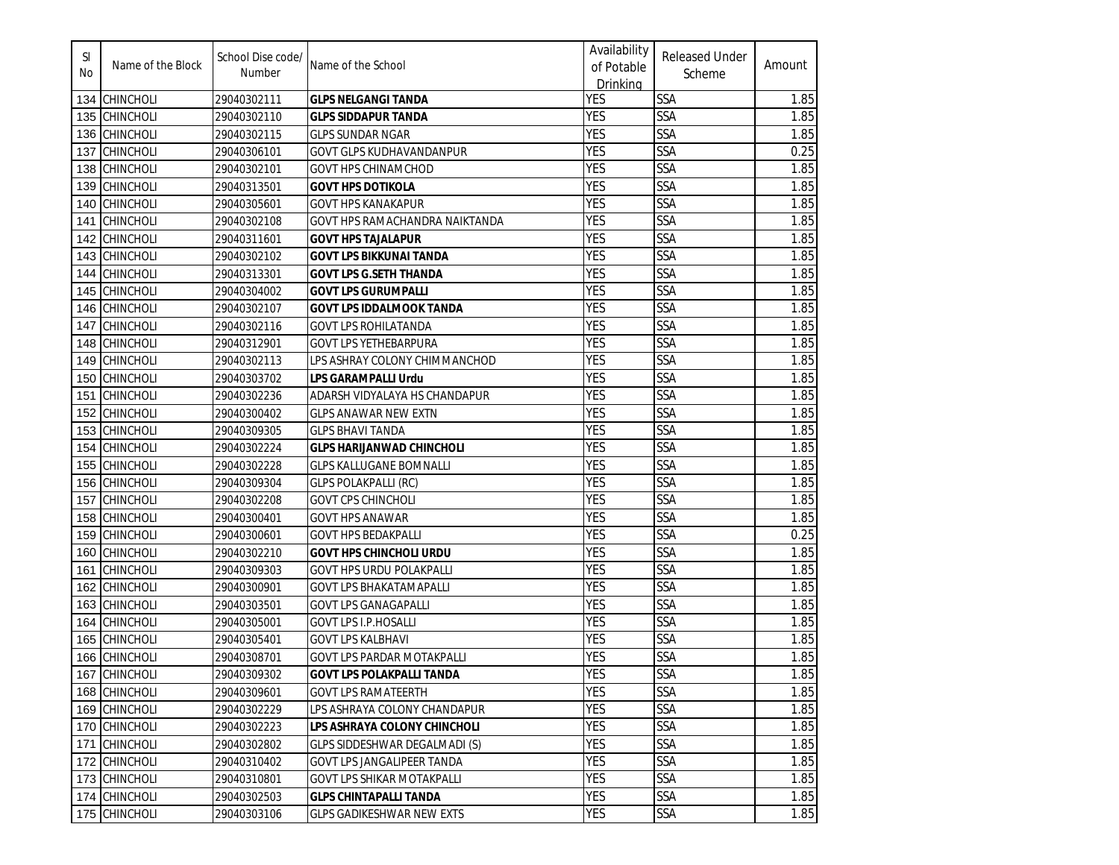| SI<br>No | Name of the Block | School Dise code/<br>Number | Name of the School                | Availability<br>of Potable<br>Drinking | <b>Released Under</b><br>Scheme | Amount |
|----------|-------------------|-----------------------------|-----------------------------------|----------------------------------------|---------------------------------|--------|
| 134      | <b>CHINCHOLI</b>  | 29040302111                 | <b>GLPS NELGANGI TANDA</b>        | YES                                    | SSA                             | 1.85   |
| 135      | <b>CHINCHOLI</b>  | 29040302110                 | GLPS SIDDAPUR TANDA               | <b>YES</b>                             | SSA                             | 1.85   |
| 136      | <b>CHINCHOLI</b>  | 29040302115                 | GLPS SUNDAR NGAR                  | <b>YES</b>                             | SSA                             | 1.85   |
| 137      | <b>CHINCHOLI</b>  | 29040306101                 | GOVT GLPS KUDHAVANDANPUR          | <b>YES</b>                             | SSA                             | 0.25   |
| 138      | <b>CHINCHOLI</b>  | 29040302101                 | <b>GOVT HPS CHINAMCHOD</b>        | <b>YES</b>                             | SSA                             | 1.85   |
| 139      | <b>CHINCHOLI</b>  | 29040313501                 | <b>GOVT HPS DOTIKOLA</b>          | <b>YES</b>                             | <b>SSA</b>                      | 1.85   |
| 140      | <b>CHINCHOLI</b>  | 29040305601                 | <b>GOVT HPS KANAKAPUR</b>         | <b>YES</b>                             | <b>SSA</b>                      | 1.85   |
| 141      | <b>CHINCHOLI</b>  | 29040302108                 | GOVT HPS RAMACHANDRA NAIKTANDA    | <b>YES</b>                             | SSA                             | 1.85   |
| 142      | <b>CHINCHOLI</b>  | 29040311601                 | <b>GOVT HPS TAJALAPUR</b>         | <b>YES</b>                             | SSA                             | 1.85   |
| 143      | <b>CHINCHOLI</b>  | 29040302102                 | <b>GOVT LPS BIKKUNAI TANDA</b>    | <b>YES</b>                             | <b>SSA</b>                      | 1.85   |
| 144      | <b>CHINCHOLI</b>  | 29040313301                 | <b>GOVT LPS G.SETH THANDA</b>     | <b>YES</b>                             | <b>SSA</b>                      | 1.85   |
| 145      | <b>CHINCHOLI</b>  | 29040304002                 | <b>GOVT LPS GURUMPALLI</b>        | <b>YES</b>                             | SSA                             | 1.85   |
| 146      | <b>CHINCHOLI</b>  | 29040302107                 | GOVT LPS IDDALMOOK TANDA          | <b>YES</b>                             | SSA                             | 1.85   |
| 147      | <b>CHINCHOLI</b>  | 29040302116                 | GOVT LPS ROHILATANDA              | <b>YES</b>                             | SSA                             | 1.85   |
| 148      | <b>CHINCHOLI</b>  | 29040312901                 | GOVT LPS YETHEBARPURA             | <b>YES</b>                             | SSA                             | 1.85   |
| 149      | <b>CHINCHOLI</b>  | 29040302113                 | LPS ASHRAY COLONY CHIMMANCHOD     | <b>YES</b>                             | SSA                             | 1.85   |
| 150      | <b>CHINCHOLI</b>  | 29040303702                 | LPS GARAMPALLI Urdu               | <b>YES</b>                             | SSA                             | 1.85   |
| 151      | <b>CHINCHOLI</b>  | 29040302236                 | ADARSH VIDYALAYA HS CHANDAPUR     | <b>YES</b>                             | SSA                             | 1.85   |
| 152      | <b>CHINCHOLI</b>  | 29040300402                 | GLPS ANAWAR NEW EXTN              | <b>YES</b>                             | SSA                             | 1.85   |
| 153      | <b>CHINCHOLI</b>  | 29040309305                 | GLPS BHAVI TANDA                  | <b>YES</b>                             | SSA                             | 1.85   |
| 154      | <b>CHINCHOLI</b>  | 29040302224                 | <b>GLPS HARIJANWAD CHINCHOLI</b>  | <b>YES</b>                             | SSA                             | 1.85   |
| 155      | <b>CHINCHOLI</b>  | 29040302228                 | GLPS KALLUGANE BOMNALLI           | <b>YES</b>                             | SSA                             | 1.85   |
| 156      | <b>CHINCHOLI</b>  | 29040309304                 | <b>GLPS POLAKPALLI (RC)</b>       | <b>YES</b>                             | SSA                             | 1.85   |
| 157      | <b>CHINCHOLI</b>  | 29040302208                 | <b>GOVT CPS CHINCHOLI</b>         | <b>YES</b>                             | <b>SSA</b>                      | 1.85   |
| 158      | <b>CHINCHOLI</b>  | 29040300401                 | <b>GOVT HPS ANAWAR</b>            | <b>YES</b>                             | SSA                             | 1.85   |
| 159      | <b>CHINCHOLI</b>  | 29040300601                 | <b>GOVT HPS BEDAKPALLI</b>        | <b>YES</b>                             | SSA                             | 0.25   |
| 160      | <b>CHINCHOLI</b>  | 29040302210                 | <b>GOVT HPS CHINCHOLI URDU</b>    | <b>YES</b>                             | <b>SSA</b>                      | 1.85   |
| 161      | <b>CHINCHOLI</b>  | 29040309303                 | GOVT HPS URDU POLAKPALLI          | <b>YES</b>                             | <b>SSA</b>                      | 1.85   |
| 162      | <b>CHINCHOLI</b>  | 29040300901                 | <b>GOVT LPS BHAKATAMAPALLI</b>    | <b>YES</b>                             | SSA                             | 1.85   |
| 163      | <b>CHINCHOLI</b>  | 29040303501                 | GOVT LPS GANAGAPALLI              | <b>YES</b>                             | SSA                             | 1.85   |
| 164      | <b>CHINCHOLI</b>  | 29040305001                 | GOVT LPS I.P.HOSALLI              | <b>YES</b>                             | SSA                             | 1.85   |
| 165      | <b>CHINCHOLI</b>  | 29040305401                 | <b>GOVT LPS KALBHAVI</b>          | <b>YES</b>                             | SSA                             | 1.85   |
|          | 166 CHINCHOLI     | 29040308701                 | <b>GOVT LPS PARDAR MOTAKPALLI</b> | <b>YES</b>                             | SSA                             | 1.85   |
|          | 167 CHINCHOLI     | 29040309302                 | <b>GOVT LPS POLAKPALLI TANDA</b>  | <b>YES</b>                             | <b>SSA</b>                      | 1.85   |
|          | 168 CHINCHOLI     | 29040309601                 | <b>GOVT LPS RAMATEERTH</b>        | <b>YES</b>                             | SSA                             | 1.85   |
|          | 169 CHINCHOLI     | 29040302229                 | LPS ASHRAYA COLONY CHANDAPUR      | <b>YES</b>                             | SSA                             | 1.85   |
|          | 170 CHINCHOLI     | 29040302223                 | LPS ASHRAYA COLONY CHINCHOLI      | YES                                    | SSA                             | 1.85   |
|          | 171 CHINCHOLI     | 29040302802                 | GLPS SIDDESHWAR DEGALMADI (S)     | <b>YES</b>                             | SSA                             | 1.85   |
|          | 172 CHINCHOLI     | 29040310402                 | GOVT LPS JANGALIPEER TANDA        | <b>YES</b>                             | SSA                             | 1.85   |
|          | 173 CHINCHOLI     | 29040310801                 | <b>GOVT LPS SHIKAR MOTAKPALLI</b> | <b>YES</b>                             | <b>SSA</b>                      | 1.85   |
|          | 174 CHINCHOLI     | 29040302503                 | <b>GLPS CHINTAPALLI TANDA</b>     | <b>YES</b>                             | SSA                             | 1.85   |
|          | 175 CHINCHOLI     | 29040303106                 | <b>GLPS GADIKESHWAR NEW EXTS</b>  | YES                                    | SSA                             | 1.85   |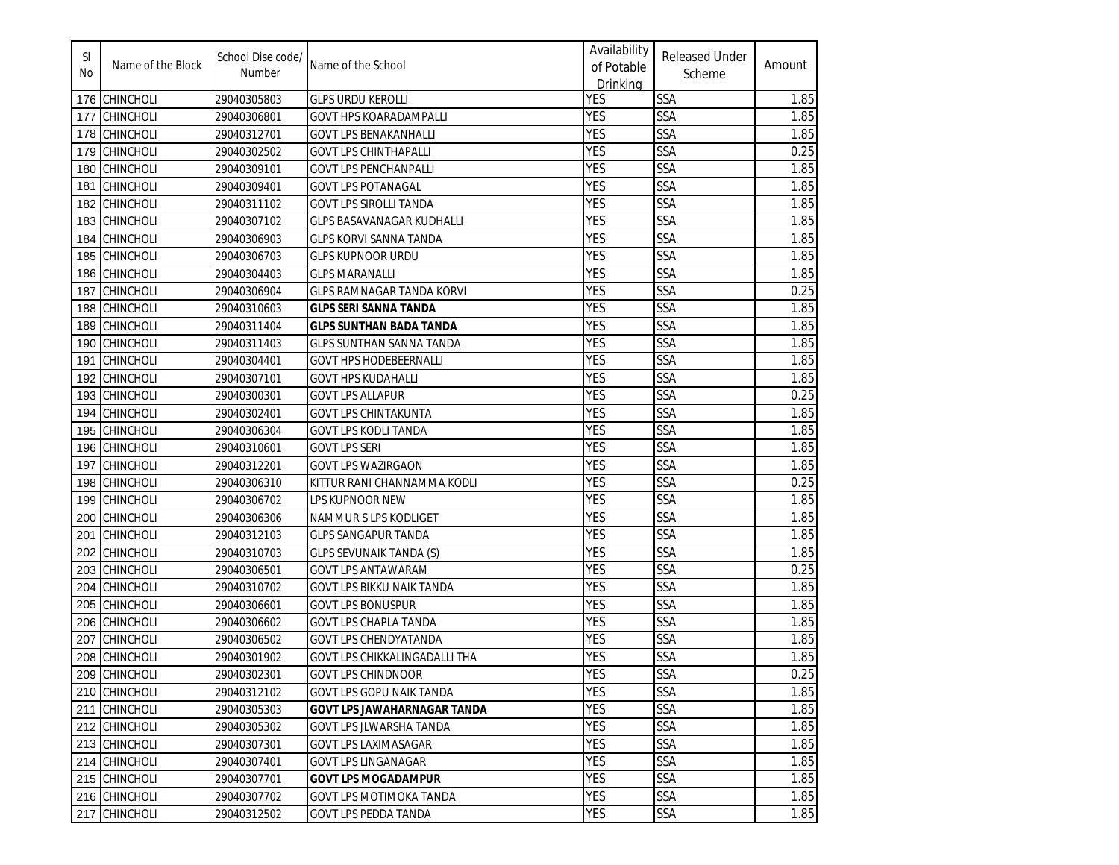| SI<br>No | Name of the Block | School Dise code/<br>Number | Name of the School                   | Availability<br>of Potable<br>Drinking | <b>Released Under</b><br>Scheme | Amount |
|----------|-------------------|-----------------------------|--------------------------------------|----------------------------------------|---------------------------------|--------|
|          | 176 CHINCHOLI     | 29040305803                 | <b>GLPS URDU KEROLLI</b>             | <b>YES</b>                             | SSA                             | 1.85   |
| 177      | <b>CHINCHOLI</b>  | 29040306801                 | GOVT HPS KOARADAMPALLI               | <b>YES</b>                             | SSA                             | 1.85   |
| 178      | <b>CHINCHOLI</b>  | 29040312701                 | GOVT LPS BENAKANHALLI                | <b>YES</b>                             | SSA                             | 1.85   |
| 179      | <b>CHINCHOLI</b>  | 29040302502                 | GOVT LPS CHINTHAPALLI                | <b>YES</b>                             | SSA                             | 0.25   |
| 180      | <b>CHINCHOLI</b>  | 29040309101                 | GOVT LPS PENCHANPALLI                | <b>YES</b>                             | SSA                             | 1.85   |
| 181      | <b>CHINCHOLI</b>  | 29040309401                 | GOVT LPS POTANAGAL                   | <b>YES</b>                             | SSA                             | 1.85   |
| 182      | <b>CHINCHOLI</b>  | 29040311102                 | <b>GOVT LPS SIROLLI TANDA</b>        | <b>YES</b>                             | SSA                             | 1.85   |
| 183      | <b>CHINCHOLI</b>  | 29040307102                 | GLPS BASAVANAGAR KUDHALLI            | <b>YES</b>                             | SSA                             | 1.85   |
| 184      | <b>CHINCHOLI</b>  | 29040306903                 | <b>GLPS KORVI SANNA TANDA</b>        | <b>YES</b>                             | <b>SSA</b>                      | 1.85   |
| 185      | <b>CHINCHOLI</b>  | 29040306703                 | <b>GLPS KUPNOOR URDU</b>             | <b>YES</b>                             | <b>SSA</b>                      | 1.85   |
| 186      | <b>CHINCHOLI</b>  | 29040304403                 | <b>GLPS MARANALLI</b>                | <b>YES</b>                             | SSA                             | 1.85   |
| 187      | <b>CHINCHOLI</b>  | 29040306904                 | GLPS RAMNAGAR TANDA KORVI            | <b>YES</b>                             | <b>SSA</b>                      | 0.25   |
| 188      | <b>CHINCHOLI</b>  | 29040310603                 | <b>GLPS SERI SANNA TANDA</b>         | <b>YES</b>                             | SSA                             | 1.85   |
| 189      | <b>CHINCHOLI</b>  | 29040311404                 | GLPS SUNTHAN BADA TANDA              | <b>YES</b>                             | SSA                             | 1.85   |
| 190      | <b>CHINCHOLI</b>  | 29040311403                 | <b>GLPS SUNTHAN SANNA TANDA</b>      | <b>YES</b>                             | SSA                             | 1.85   |
| 191      | <b>CHINCHOLI</b>  | 29040304401                 | <b>GOVT HPS HODEBEERNALLI</b>        | <b>YES</b>                             | SSA                             | 1.85   |
| 192      | <b>CHINCHOLI</b>  | 29040307101                 | GOVT HPS KUDAHALLI                   | <b>YES</b>                             | SSA                             | 1.85   |
| 193      | <b>CHINCHOLI</b>  | 29040300301                 | <b>GOVT LPS ALLAPUR</b>              | <b>YES</b>                             | SSA                             | 0.25   |
| 194      | <b>CHINCHOLI</b>  | 29040302401                 | <b>GOVT LPS CHINTAKUNTA</b>          | <b>YES</b>                             | SSA                             | 1.85   |
| 195      | <b>CHINCHOLI</b>  | 29040306304                 | GOVT LPS KODLI TANDA                 | <b>YES</b>                             | SSA                             | 1.85   |
| 196      | <b>CHINCHOLI</b>  | 29040310601                 | <b>GOVT LPS SERI</b>                 | <b>YES</b>                             | SSA                             | 1.85   |
| 197      | <b>CHINCHOLI</b>  | 29040312201                 | <b>GOVT LPS WAZIRGAON</b>            | <b>YES</b>                             | SSA                             | 1.85   |
| 198      | <b>CHINCHOLI</b>  | 29040306310                 | KITTUR RANI CHANNAMMA KODLI          | <b>YES</b>                             | SSA                             | 0.25   |
| 199      | <b>CHINCHOLI</b>  | 29040306702                 | LPS KUPNOOR NEW                      | <b>YES</b>                             | SSA                             | 1.85   |
| 200      | <b>CHINCHOLI</b>  | 29040306306                 | NAMMUR S LPS KODLIGET                | <b>YES</b>                             | <b>SSA</b>                      | 1.85   |
| 201      | <b>CHINCHOLI</b>  | 29040312103                 | <b>GLPS SANGAPUR TANDA</b>           | <b>YES</b>                             | SSA                             | 1.85   |
| 202      | <b>CHINCHOLI</b>  | 29040310703                 | <b>GLPS SEVUNAIK TANDA (S)</b>       | <b>YES</b>                             | SSA                             | 1.85   |
| 203      | <b>CHINCHOLI</b>  | 29040306501                 | <b>GOVT LPS ANTAWARAM</b>            | <b>YES</b>                             | <b>SSA</b>                      | 0.25   |
| 204      | <b>CHINCHOLI</b>  | 29040310702                 | GOVT LPS BIKKU NAIK TANDA            | <b>YES</b>                             | <b>SSA</b>                      | 1.85   |
| 205      | <b>CHINCHOLI</b>  | 29040306601                 | <b>GOVT LPS BONUSPUR</b>             | <b>YES</b>                             | SSA                             | 1.85   |
| 206      | <b>CHINCHOLI</b>  | 29040306602                 | GOVT LPS CHAPLA TANDA                | <b>YES</b>                             | SSA                             | 1.85   |
| 207      | <b>CHINCHOLI</b>  | 29040306502                 | <b>GOVT LPS CHENDYATANDA</b>         | <b>YES</b>                             | SSA                             | 1.85   |
|          | 208 CHINCHOLI     | 29040301902                 | <b>GOVT LPS CHIKKALINGADALLI THA</b> | <b>YES</b>                             | SSA                             | 1.85   |
|          | 209 CHINCHOLI     | 29040302301                 | <b>GOVT LPS CHINDNOOR</b>            | <b>YES</b>                             | <b>SSA</b>                      | 0.25   |
|          | 210 CHINCHOLI     | 29040312102                 | GOVT LPS GOPU NAIK TANDA             | <b>YES</b>                             | <b>SSA</b>                      | 1.85   |
|          | 211 CHINCHOLI     | 29040305303                 | <b>GOVT LPS JAWAHARNAGAR TANDA</b>   | <b>YES</b>                             | <b>SSA</b>                      | 1.85   |
|          | 212 CHINCHOLI     | 29040305302                 | GOVT LPS JLWARSHA TANDA              | <b>YES</b>                             | <b>SSA</b>                      | 1.85   |
|          | 213 CHINCHOLI     | 29040307301                 | GOVT LPS LAXIMASAGAR                 | <b>YES</b>                             | SSA                             | 1.85   |
|          | 214 CHINCHOLI     | 29040307401                 | GOVT LPS LINGANAGAR                  | <b>YES</b>                             | SSA                             | 1.85   |
|          | 215 CHINCHOLI     | 29040307701                 | <b>GOVT LPS MOGADAMPUR</b>           | <b>YES</b>                             | SSA                             | 1.85   |
|          | 216 CHINCHOLI     | 29040307702                 | GOVT LPS MOTIMOKA TANDA              | <b>YES</b>                             | SSA                             | 1.85   |
|          | 217 CHINCHOLI     | 29040312502                 | <b>GOVT LPS PEDDA TANDA</b>          | <b>YES</b>                             | SSA                             | 1.85   |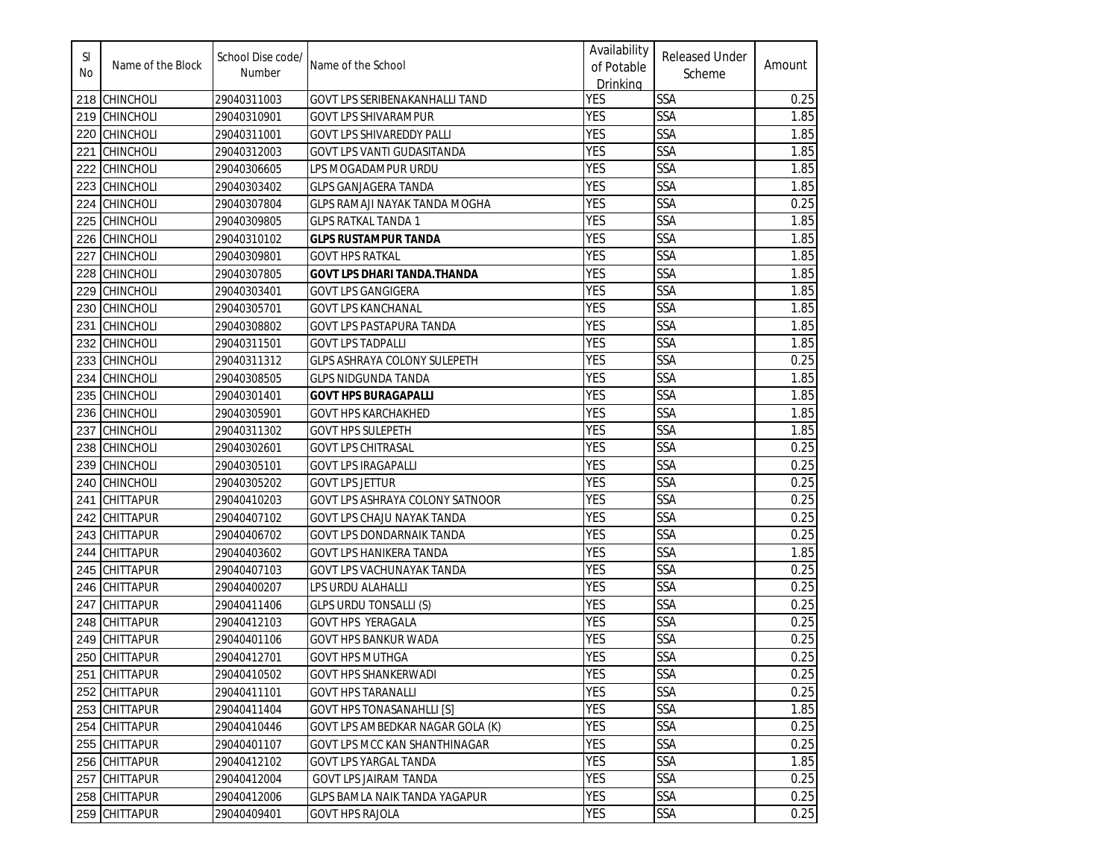| SI<br>No. | Name of the Block | School Dise code/<br>Number | Name of the School                   | Availability<br>of Potable<br>Drinking | <b>Released Under</b><br>Scheme | Amount |
|-----------|-------------------|-----------------------------|--------------------------------------|----------------------------------------|---------------------------------|--------|
| 218       | <b>CHINCHOLI</b>  | 29040311003                 | GOVT LPS SERIBENAKANHALLI TAND       | <b>YES</b>                             | <b>SSA</b>                      | 0.25   |
| 219       | <b>CHINCHOLI</b>  | 29040310901                 | GOVT LPS SHIVARAMPUR                 | <b>YES</b>                             | <b>SSA</b>                      | 1.85   |
| 220       | <b>CHINCHOLI</b>  | 29040311001                 | GOVT LPS SHIVAREDDY PALLI            | <b>YES</b>                             | SSA                             | 1.85   |
| 221       | <b>CHINCHOLI</b>  | 29040312003                 | GOVT LPS VANTI GUDASITANDA           | <b>YES</b>                             | <b>SSA</b>                      | 1.85   |
| 222       | <b>CHINCHOLI</b>  | 29040306605                 | LPS MOGADAMPUR URDU                  | <b>YES</b>                             | <b>SSA</b>                      | 1.85   |
| 223       | <b>CHINCHOLI</b>  | 29040303402                 | <b>GLPS GANJAGERA TANDA</b>          | <b>YES</b>                             | <b>SSA</b>                      | 1.85   |
| 224       | <b>CHINCHOLI</b>  | 29040307804                 | <b>GLPS RAMAJI NAYAK TANDA MOGHA</b> | <b>YES</b>                             | <b>SSA</b>                      | 0.25   |
| 225       | <b>CHINCHOLI</b>  | 29040309805                 | <b>GLPS RATKAL TANDA 1</b>           | <b>YES</b>                             | <b>SSA</b>                      | 1.85   |
| 226       | <b>CHINCHOLI</b>  | 29040310102                 | <b>GLPS RUSTAMPUR TANDA</b>          | <b>YES</b>                             | <b>SSA</b>                      | 1.85   |
| 227       | <b>CHINCHOLI</b>  | 29040309801                 | <b>GOVT HPS RATKAL</b>               | <b>YES</b>                             | <b>SSA</b>                      | 1.85   |
| 228       | <b>CHINCHOLI</b>  | 29040307805                 | <b>GOVT LPS DHARI TANDA. THANDA</b>  | <b>YES</b>                             | <b>SSA</b>                      | 1.85   |
| 229       | <b>CHINCHOLI</b>  | 29040303401                 | GOVT LPS GANGIGERA                   | <b>YES</b>                             | <b>SSA</b>                      | 1.85   |
| 230       | <b>CHINCHOLI</b>  | 29040305701                 | <b>GOVT LPS KANCHANAL</b>            | <b>YES</b>                             | <b>SSA</b>                      | 1.85   |
| 231       | <b>CHINCHOLI</b>  | 29040308802                 | GOVT LPS PASTAPURA TANDA             | <b>YES</b>                             | SSA                             | 1.85   |
| 232       | <b>CHINCHOLI</b>  | 29040311501                 | <b>GOVT LPS TADPALLI</b>             | <b>YES</b>                             | SSA                             | 1.85   |
| 233       | <b>CHINCHOLI</b>  | 29040311312                 | <b>GLPS ASHRAYA COLONY SULEPETH</b>  | <b>YES</b>                             | <b>SSA</b>                      | 0.25   |
| 234       | <b>CHINCHOLI</b>  | 29040308505                 | <b>GLPS NIDGUNDA TANDA</b>           | <b>YES</b>                             | <b>SSA</b>                      | 1.85   |
| 235       | <b>CHINCHOLI</b>  | 29040301401                 | <b>GOVT HPS BURAGAPALLI</b>          | <b>YES</b>                             | SSA                             | 1.85   |
| 236       | <b>CHINCHOLI</b>  | 29040305901                 | <b>GOVT HPS KARCHAKHED</b>           | <b>YES</b>                             | SSA                             | 1.85   |
| 237       | <b>CHINCHOLI</b>  | 29040311302                 | <b>GOVT HPS SULEPETH</b>             | <b>YES</b>                             | <b>SSA</b>                      | 1.85   |
| 238       | <b>CHINCHOLI</b>  | 29040302601                 | <b>GOVT LPS CHITRASAL</b>            | <b>YES</b>                             | SSA                             | 0.25   |
| 239       | CHINCHOLI         | 29040305101                 | <b>GOVT LPS IRAGAPALLI</b>           | <b>YES</b>                             | SSA                             | 0.25   |
| 240       | <b>CHINCHOLI</b>  | 29040305202                 | <b>GOVT LPS JETTUR</b>               | <b>YES</b>                             | <b>SSA</b>                      | 0.25   |
| 241       | <b>CHITTAPUR</b>  | 29040410203                 | GOVT LPS ASHRAYA COLONY SATNOOR      | <b>YES</b>                             | <b>SSA</b>                      | 0.25   |
| 242       | <b>CHITTAPUR</b>  | 29040407102                 | <b>GOVT LPS CHAJU NAYAK TANDA</b>    | <b>YES</b>                             | <b>SSA</b>                      | 0.25   |
| 243       | <b>CHITTAPUR</b>  | 29040406702                 | <b>GOVT LPS DONDARNAIK TANDA</b>     | <b>YES</b>                             | <b>SSA</b>                      | 0.25   |
| 244       | <b>CHITTAPUR</b>  | 29040403602                 | <b>GOVT LPS HANIKERA TANDA</b>       | <b>YES</b>                             | <b>SSA</b>                      | 1.85   |
| 245       | <b>CHITTAPUR</b>  | 29040407103                 | GOVT LPS VACHUNAYAK TANDA            | <b>YES</b>                             | <b>SSA</b>                      | 0.25   |
| 246       | <b>CHITTAPUR</b>  | 29040400207                 | LPS URDU ALAHALLI                    | <b>YES</b>                             | <b>SSA</b>                      | 0.25   |
| 247       | <b>CHITTAPUR</b>  | 29040411406                 | <b>GLPS URDU TONSALLI (S)</b>        | <b>YES</b>                             | SSA                             | 0.25   |
| 248       | <b>CHITTAPUR</b>  | 29040412103                 | <b>GOVT HPS YERAGALA</b>             | <b>YES</b>                             | <b>SSA</b>                      | 0.25   |
| 249       | <b>CHITTAPUR</b>  | 29040401106                 | <b>GOVT HPS BANKUR WADA</b>          | <b>YES</b>                             | SSA                             | 0.25   |
| 250       | <b>CHITTAPUR</b>  | 29040412701                 | <b>GOVT HPS MUTHGA</b>               | <b>YES</b>                             | <b>SSA</b>                      | 0.25   |
|           | 251 CHITTAPUR     | 29040410502                 | <b>GOVT HPS SHANKERWADI</b>          | <b>YES</b>                             | <b>SSA</b>                      | 0.25   |
|           | 252 CHITTAPUR     | 29040411101                 | <b>GOVT HPS TARANALLI</b>            | <b>YES</b>                             | <b>SSA</b>                      | 0.25   |
|           | 253 CHITTAPUR     | 29040411404                 | <b>GOVT HPS TONASANAHLLI [S]</b>     | <b>YES</b>                             | <b>SSA</b>                      | 1.85   |
|           | 254 CHITTAPUR     | 29040410446                 | GOVT LPS AMBEDKAR NAGAR GOLA (K)     | <b>YES</b>                             | <b>SSA</b>                      | 0.25   |
|           | 255 CHITTAPUR     | 29040401107                 | GOVT LPS MCC KAN SHANTHINAGAR        | <b>YES</b>                             | <b>SSA</b>                      | 0.25   |
|           | 256 CHITTAPUR     | 29040412102                 | <b>GOVT LPS YARGAL TANDA</b>         | <b>YES</b>                             | <b>SSA</b>                      | 1.85   |
|           | 257 CHITTAPUR     | 29040412004                 | <b>GOVT LPS JAIRAM TANDA</b>         | <b>YES</b>                             | <b>SSA</b>                      | 0.25   |
|           | 258 CHITTAPUR     | 29040412006                 | <b>GLPS BAMLA NAIK TANDA YAGAPUR</b> | <b>YES</b>                             | SSA                             | 0.25   |
|           | 259 CHITTAPUR     | 29040409401                 | <b>GOVT HPS RAJOLA</b>               | YES                                    | SSA                             | 0.25   |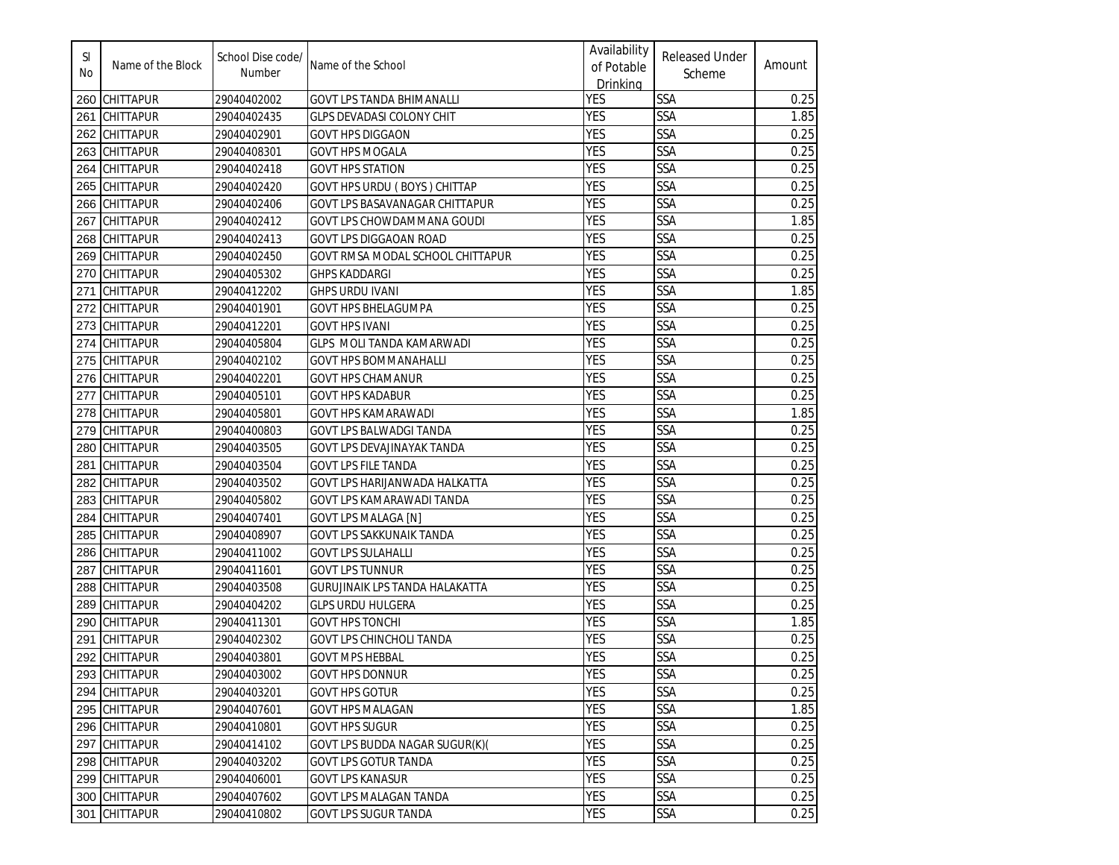| SI<br>No | Name of the Block | School Dise code/<br>Number | Name of the School                    | Availability<br>of Potable<br>Drinking | <b>Released Under</b><br>Scheme | Amount |
|----------|-------------------|-----------------------------|---------------------------------------|----------------------------------------|---------------------------------|--------|
| 260      | <b>CHITTAPUR</b>  | 29040402002                 | <b>GOVT LPS TANDA BHIMANALLI</b>      | YES                                    | <b>SSA</b>                      | 0.25   |
| 261      | <b>CHITTAPUR</b>  | 29040402435                 | <b>GLPS DEVADASI COLONY CHIT</b>      | <b>YES</b>                             | <b>SSA</b>                      | 1.85   |
| 262      | <b>CHITTAPUR</b>  | 29040402901                 | GOVT HPS DIGGAON                      | <b>YES</b>                             | <b>SSA</b>                      | 0.25   |
| 263      | <b>CHITTAPUR</b>  | 29040408301                 | <b>GOVT HPS MOGALA</b>                | <b>YES</b>                             | SSA                             | 0.25   |
| 264      | <b>CHITTAPUR</b>  | 29040402418                 | <b>GOVT HPS STATION</b>               | <b>YES</b>                             | <b>SSA</b>                      | 0.25   |
| 265      | <b>CHITTAPUR</b>  | 29040402420                 | <b>GOVT HPS URDU (BOYS) CHITTAP</b>   | <b>YES</b>                             | <b>SSA</b>                      | 0.25   |
| 266      | <b>CHITTAPUR</b>  | 29040402406                 | GOVT LPS BASAVANAGAR CHITTAPUR        | <b>YES</b>                             | <b>SSA</b>                      | 0.25   |
| 267      | <b>CHITTAPUR</b>  | 29040402412                 | GOVT LPS CHOWDAMMANA GOUDI            | <b>YES</b>                             | <b>SSA</b>                      | 1.85   |
| 268      | <b>CHITTAPUR</b>  | 29040402413                 | <b>GOVT LPS DIGGAOAN ROAD</b>         | <b>YES</b>                             | SSA                             | 0.25   |
| 269      | <b>CHITTAPUR</b>  | 29040402450                 | GOVT RMSA MODAL SCHOOL CHITTAPUR      | <b>YES</b>                             | <b>SSA</b>                      | 0.25   |
| 270      | <b>CHITTAPUR</b>  | 29040405302                 | <b>GHPS KADDARGI</b>                  | <b>YES</b>                             | <b>SSA</b>                      | 0.25   |
| 271      | <b>CHITTAPUR</b>  | 29040412202                 | <b>GHPS URDU IVANI</b>                | <b>YES</b>                             | <b>SSA</b>                      | 1.85   |
| 272      | <b>CHITTAPUR</b>  | 29040401901                 | <b>GOVT HPS BHELAGUMPA</b>            | <b>YES</b>                             | <b>SSA</b>                      | 0.25   |
| 273      | <b>CHITTAPUR</b>  | 29040412201                 | <b>GOVT HPS IVANI</b>                 | <b>YES</b>                             | SSA                             | 0.25   |
| 274      | <b>CHITTAPUR</b>  | 29040405804                 | GLPS MOLI TANDA KAMARWADI             | <b>YES</b>                             | SSA                             | 0.25   |
| 275      | <b>CHITTAPUR</b>  | 29040402102                 | <b>GOVT HPS BOMMANAHALLI</b>          | <b>YES</b>                             | SSA                             | 0.25   |
| 276      | <b>CHITTAPUR</b>  | 29040402201                 | <b>GOVT HPS CHAMANUR</b>              | <b>YES</b>                             | SSA                             | 0.25   |
| 277      | <b>CHITTAPUR</b>  | 29040405101                 | <b>GOVT HPS KADABUR</b>               | <b>YES</b>                             | SSA                             | 0.25   |
| 278      | <b>CHITTAPUR</b>  | 29040405801                 | GOVT HPS KAMARAWADI                   | <b>YES</b>                             | <b>SSA</b>                      | 1.85   |
| 279      | <b>CHITTAPUR</b>  | 29040400803                 | GOVT LPS BALWADGI TANDA               | <b>YES</b>                             | <b>SSA</b>                      | 0.25   |
| 280      | <b>CHITTAPUR</b>  | 29040403505                 | GOVT LPS DEVAJINAYAK TANDA            | <b>YES</b>                             | SSA                             | 0.25   |
| 281      | <b>CHITTAPUR</b>  | 29040403504                 | <b>GOVT LPS FILE TANDA</b>            | <b>YES</b>                             | SSA                             | 0.25   |
| 282      | <b>CHITTAPUR</b>  | 29040403502                 | GOVT LPS HARIJANWADA HALKATTA         | <b>YES</b>                             | SSA                             | 0.25   |
| 283      | <b>CHITTAPUR</b>  | 29040405802                 | GOVT LPS KAMARAWADI TANDA             | YES                                    | SSA                             | 0.25   |
| 284      | <b>CHITTAPUR</b>  | 29040407401                 | <b>GOVT LPS MALAGA [N]</b>            | <b>YES</b>                             | <b>SSA</b>                      | 0.25   |
| 285      | <b>CHITTAPUR</b>  | 29040408907                 | <b>GOVT LPS SAKKUNAIK TANDA</b>       | <b>YES</b>                             | SSA                             | 0.25   |
| 286      | <b>CHITTAPUR</b>  | 29040411002                 | <b>GOVT LPS SULAHALLI</b>             | <b>YES</b>                             | SSA                             | 0.25   |
| 287      | CHITTAPUR         | 29040411601                 | <b>GOVT LPS TUNNUR</b>                | <b>YES</b>                             | <b>SSA</b>                      | 0.25   |
| 288      | <b>CHITTAPUR</b>  | 29040403508                 | <b>GURUJINAIK LPS TANDA HALAKATTA</b> | <b>YES</b>                             | SSA                             | 0.25   |
| 289      | <b>CHITTAPUR</b>  | 29040404202                 | <b>GLPS URDU HULGERA</b>              | <b>YES</b>                             | SSA                             | 0.25   |
| 290      | <b>CHITTAPUR</b>  | 29040411301                 | <b>GOVT HPS TONCHI</b>                | <b>YES</b>                             | SSA                             | 1.85   |
| 291      | <b>CHITTAPUR</b>  | 29040402302                 | <b>GOVT LPS CHINCHOLI TANDA</b>       | <b>YES</b>                             | SSA                             | 0.25   |
|          | 292 CHITTAPUR     | 29040403801                 | <b>GOVT MPS HEBBAL</b>                | <b>YES</b>                             | SSA                             | 0.25   |
|          | 293 CHITTAPUR     | 29040403002                 | <b>GOVT HPS DONNUR</b>                | <b>YES</b>                             | <b>SSA</b>                      | 0.25   |
|          | 294 CHITTAPUR     | 29040403201                 | <b>GOVT HPS GOTUR</b>                 | <b>YES</b>                             | SSA                             | 0.25   |
|          | 295 CHITTAPUR     | 29040407601                 | <b>GOVT HPS MALAGAN</b>               | <b>YES</b>                             | SSA                             | 1.85   |
|          | 296 CHITTAPUR     | 29040410801                 | <b>GOVT HPS SUGUR</b>                 | <b>YES</b>                             | <b>SSA</b>                      | 0.25   |
|          | 297 CHITTAPUR     | 29040414102                 | GOVT LPS BUDDA NAGAR SUGUR(K)(        | <b>YES</b>                             | SSA                             | 0.25   |
|          | 298 CHITTAPUR     | 29040403202                 | <b>GOVT LPS GOTUR TANDA</b>           | <b>YES</b>                             | <b>SSA</b>                      | 0.25   |
|          | 299 CHITTAPUR     | 29040406001                 | <b>GOVT LPS KANASUR</b>               | <b>YES</b>                             | <b>SSA</b>                      | 0.25   |
|          | 300 CHITTAPUR     | 29040407602                 | GOVT LPS MALAGAN TANDA                | <b>YES</b>                             | <b>SSA</b>                      | 0.25   |
| 301      | <b>CHITTAPUR</b>  | 29040410802                 | <b>GOVT LPS SUGUR TANDA</b>           | <b>YES</b>                             | SSA                             | 0.25   |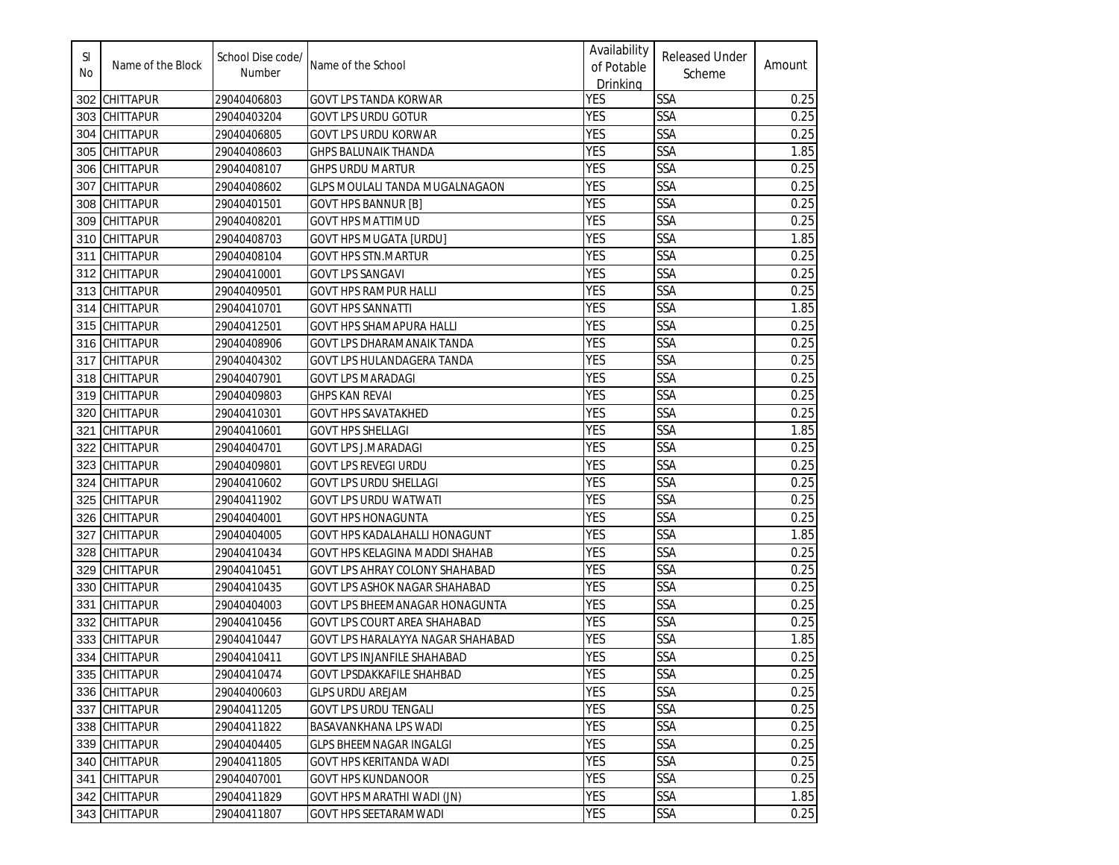| SI<br>No | Name of the Block | School Dise code/<br>Number | Name of the School                  | Availability<br>of Potable<br>Drinking | <b>Released Under</b><br>Scheme | Amount |
|----------|-------------------|-----------------------------|-------------------------------------|----------------------------------------|---------------------------------|--------|
| 302      | <b>CHITTAPUR</b>  | 29040406803                 | <b>GOVT LPS TANDA KORWAR</b>        | <b>YES</b>                             | SSA                             | 0.25   |
| 303      | <b>CHITTAPUR</b>  | 29040403204                 | <b>GOVT LPS URDU GOTUR</b>          | <b>YES</b>                             | <b>SSA</b>                      | 0.25   |
| 304      | <b>CHITTAPUR</b>  | 29040406805                 | <b>GOVT LPS URDU KORWAR</b>         | <b>YES</b>                             | <b>SSA</b>                      | 0.25   |
| 305      | <b>CHITTAPUR</b>  | 29040408603                 | GHPS BALUNAIK THANDA                | <b>YES</b>                             | <b>SSA</b>                      | 1.85   |
| 306      | <b>CHITTAPUR</b>  | 29040408107                 | GHPS URDU MARTUR                    | <b>YES</b>                             | <b>SSA</b>                      | 0.25   |
| 307      | <b>CHITTAPUR</b>  | 29040408602                 | GLPS MOULALI TANDA MUGALNAGAON      | <b>YES</b>                             | <b>SSA</b>                      | 0.25   |
| 308      | <b>CHITTAPUR</b>  | 29040401501                 | <b>GOVT HPS BANNUR [B]</b>          | <b>YES</b>                             | <b>SSA</b>                      | 0.25   |
| 309      | <b>CHITTAPUR</b>  | 29040408201                 | <b>GOVT HPS MATTIMUD</b>            | <b>YES</b>                             | SSA                             | 0.25   |
| 310      | <b>CHITTAPUR</b>  | 29040408703                 | <b>GOVT HPS MUGATA [URDU]</b>       | <b>YES</b>                             | SSA                             | 1.85   |
| 311      | <b>CHITTAPUR</b>  | 29040408104                 | <b>GOVT HPS STN.MARTUR</b>          | <b>YES</b>                             | SSA                             | 0.25   |
| 312      | <b>CHITTAPUR</b>  | 29040410001                 | <b>GOVT LPS SANGAVI</b>             | <b>YES</b>                             | <b>SSA</b>                      | 0.25   |
| 313      | <b>CHITTAPUR</b>  | 29040409501                 | <b>GOVT HPS RAMPUR HALLI</b>        | <b>YES</b>                             | SSA                             | 0.25   |
| 314      | <b>CHITTAPUR</b>  | 29040410701                 | <b>GOVT HPS SANNATTI</b>            | <b>YES</b>                             | SSA                             | 1.85   |
| 315      | <b>CHITTAPUR</b>  | 29040412501                 | GOVT HPS SHAMAPURA HALLI            | <b>YES</b>                             | SSA                             | 0.25   |
| 316      | <b>CHITTAPUR</b>  | 29040408906                 | GOVT LPS DHARAMANAIK TANDA          | <b>YES</b>                             | SSA                             | 0.25   |
| 317      | <b>CHITTAPUR</b>  | 29040404302                 | GOVT LPS HULANDAGERA TANDA          | <b>YES</b>                             | SSA                             | 0.25   |
| 318      | <b>CHITTAPUR</b>  | 29040407901                 | <b>GOVT LPS MARADAGI</b>            | <b>YES</b>                             | SSA                             | 0.25   |
| 319      | <b>CHITTAPUR</b>  | 29040409803                 | <b>GHPS KAN REVAI</b>               | YES                                    | SSA                             | 0.25   |
| 320      | <b>CHITTAPUR</b>  | 29040410301                 | <b>GOVT HPS SAVATAKHED</b>          | <b>YES</b>                             | SSA                             | 0.25   |
| 321      | <b>CHITTAPUR</b>  | 29040410601                 | <b>GOVT HPS SHELLAGI</b>            | <b>YES</b>                             | <b>SSA</b>                      | 1.85   |
| 322      | <b>CHITTAPUR</b>  | 29040404701                 | GOVT LPS J.MARADAGI                 | <b>YES</b>                             | <b>SSA</b>                      | 0.25   |
| 323      | <b>CHITTAPUR</b>  | 29040409801                 | <b>GOVT LPS REVEGI URDU</b>         | <b>YES</b>                             | SSA                             | 0.25   |
| 324      | <b>CHITTAPUR</b>  | 29040410602                 | GOVT LPS URDU SHELLAGI              | <b>YES</b>                             | SSA                             | 0.25   |
| 325      | <b>CHITTAPUR</b>  | 29040411902                 | <b>GOVT LPS URDU WATWATI</b>        | YES                                    | SSA                             | 0.25   |
| 326      | <b>CHITTAPUR</b>  | 29040404001                 | <b>GOVT HPS HONAGUNTA</b>           | <b>YES</b>                             | SSA                             | 0.25   |
| 327      | <b>CHITTAPUR</b>  | 29040404005                 | GOVT HPS KADALAHALLI HONAGUNT       | <b>YES</b>                             | SSA                             | 1.85   |
| 328      | <b>CHITTAPUR</b>  | 29040410434                 | GOVT HPS KELAGINA MADDI SHAHAB      | <b>YES</b>                             | SSA                             | 0.25   |
| 329      | <b>CHITTAPUR</b>  | 29040410451                 | GOVT LPS AHRAY COLONY SHAHABAD      | <b>YES</b>                             | SSA                             | 0.25   |
| 330      | <b>CHITTAPUR</b>  | 29040410435                 | GOVT LPS ASHOK NAGAR SHAHABAD       | <b>YES</b>                             | <b>SSA</b>                      | 0.25   |
| 331      | <b>CHITTAPUR</b>  | 29040404003                 | GOVT LPS BHEEMANAGAR HONAGUNTA      | <b>YES</b>                             | SSA                             | 0.25   |
| 332      | <b>CHITTAPUR</b>  | 29040410456                 | <b>GOVT LPS COURT AREA SHAHABAD</b> | <b>YES</b>                             | SSA                             | 0.25   |
| 333      | <b>CHITTAPUR</b>  | 29040410447                 | GOVT LPS HARALAYYA NAGAR SHAHABAD   | <b>YES</b>                             | SSA                             | 1.85   |
|          | 334 CHITTAPUR     | 29040410411                 | <b>GOVT LPS INJANFILE SHAHABAD</b>  | <b>YES</b>                             | SSA                             | 0.25   |
|          | 335 CHITTAPUR     | 29040410474                 | GOVT LPSDAKKAFILE SHAHBAD           | <b>YES</b>                             | <b>SSA</b>                      | 0.25   |
|          | 336 CHITTAPUR     | 29040400603                 | <b>GLPS URDU AREJAM</b>             | <b>YES</b>                             | SSA                             | 0.25   |
|          | 337 CHITTAPUR     | 29040411205                 | <b>GOVT LPS URDU TENGALI</b>        | <b>YES</b>                             | SSA                             | 0.25   |
|          | 338 CHITTAPUR     | 29040411822                 | <b>BASAVANKHANA LPS WADI</b>        | <b>YES</b>                             | SSA                             | 0.25   |
|          | 339 CHITTAPUR     | 29040404405                 | GLPS BHEEMNAGAR INGALGI             | <b>YES</b>                             | SSA                             | 0.25   |
|          | 340 CHITTAPUR     | 29040411805                 | GOVT HPS KERITANDA WADI             | <b>YES</b>                             | SSA                             | 0.25   |
|          | 341 CHITTAPUR     | 29040407001                 | <b>GOVT HPS KUNDANOOR</b>           | YES                                    | SSA                             | 0.25   |
|          | 342 CHITTAPUR     | 29040411829                 | GOVT HPS MARATHI WADI (JN)          | <b>YES</b>                             | SSA                             | 1.85   |
|          | 343 CHITTAPUR     | 29040411807                 | <b>GOVT HPS SEETARAMWADI</b>        | YES                                    | <b>SSA</b>                      | 0.25   |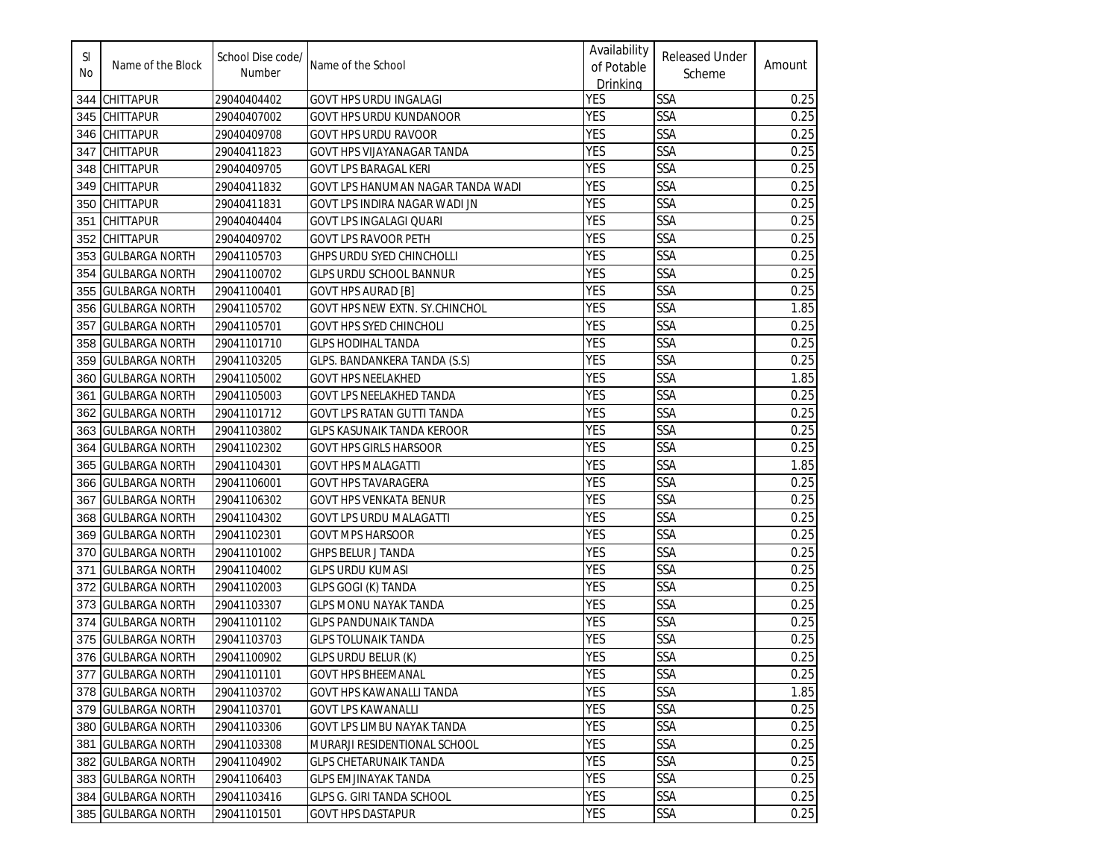| SI<br>No. | Name of the Block     | School Dise code/<br>Number | Name of the School                | Availability<br>of Potable<br>Drinking | <b>Released Under</b><br>Scheme | Amount |
|-----------|-----------------------|-----------------------------|-----------------------------------|----------------------------------------|---------------------------------|--------|
| 344       | <b>CHITTAPUR</b>      | 29040404402                 | GOVT HPS URDU INGALAGI            | YES                                    | SSA                             | 0.25   |
| 345       | <b>CHITTAPUR</b>      | 29040407002                 | GOVT HPS URDU KUNDANOOR           | <b>YES</b>                             | <b>SSA</b>                      | 0.25   |
| 346       | <b>CHITTAPUR</b>      | 29040409708                 | GOVT HPS URDU RAVOOR              | <b>YES</b>                             | <b>SSA</b>                      | 0.25   |
| 347       | <b>CHITTAPUR</b>      | 29040411823                 | GOVT HPS VIJAYANAGAR TANDA        | <b>YES</b>                             | SSA                             | 0.25   |
| 348       | <b>CHITTAPUR</b>      | 29040409705                 | <b>GOVT LPS BARAGAL KERI</b>      | <b>YES</b>                             | <b>SSA</b>                      | 0.25   |
| 349       | <b>CHITTAPUR</b>      | 29040411832                 | GOVT LPS HANUMAN NAGAR TANDA WADI | <b>YES</b>                             | <b>SSA</b>                      | 0.25   |
| 350       | <b>CHITTAPUR</b>      | 29040411831                 | GOVT LPS INDIRA NAGAR WADI JN     | <b>YES</b>                             | <b>SSA</b>                      | 0.25   |
| 351       | <b>CHITTAPUR</b>      | 29040404404                 | <b>GOVT LPS INGALAGI QUARI</b>    | <b>YES</b>                             | <b>SSA</b>                      | 0.25   |
| 352       | <b>CHITTAPUR</b>      | 29040409702                 | <b>GOVT LPS RAVOOR PETH</b>       | <b>YES</b>                             | <b>SSA</b>                      | 0.25   |
| 353       | <b>GULBARGA NORTH</b> | 29041105703                 | GHPS URDU SYED CHINCHOLLI         | <b>YES</b>                             | <b>SSA</b>                      | 0.25   |
| 354       | <b>GULBARGA NORTH</b> | 29041100702                 | GLPS URDU SCHOOL BANNUR           | <b>YES</b>                             | <b>SSA</b>                      | 0.25   |
| 355       | <b>GULBARGA NORTH</b> | 29041100401                 | <b>GOVT HPS AURAD [B]</b>         | <b>YES</b>                             | SSA                             | 0.25   |
| 356       | <b>GULBARGA NORTH</b> | 29041105702                 | GOVT HPS NEW EXTN. SY.CHINCHOL    | <b>YES</b>                             | <b>SSA</b>                      | 1.85   |
| 357       | <b>GULBARGA NORTH</b> | 29041105701                 | <b>GOVT HPS SYED CHINCHOLI</b>    | <b>YES</b>                             | SSA                             | 0.25   |
| 358       | <b>GULBARGA NORTH</b> | 29041101710                 | <b>GLPS HODIHAL TANDA</b>         | <b>YES</b>                             | SSA                             | 0.25   |
| 359       | <b>GULBARGA NORTH</b> | 29041103205                 | GLPS. BANDANKERA TANDA (S.S)      | <b>YES</b>                             | <b>SSA</b>                      | 0.25   |
| 360       | <b>GULBARGA NORTH</b> | 29041105002                 | <b>GOVT HPS NEELAKHED</b>         | <b>YES</b>                             | <b>SSA</b>                      | 1.85   |
| 361       | <b>GULBARGA NORTH</b> | 29041105003                 | GOVT LPS NEELAKHED TANDA          | <b>YES</b>                             | SSA                             | 0.25   |
| 362       | <b>GULBARGA NORTH</b> | 29041101712                 | <b>GOVT LPS RATAN GUTTI TANDA</b> | <b>YES</b>                             | SSA                             | 0.25   |
| 363       | <b>GULBARGA NORTH</b> | 29041103802                 | GLPS KASUNAIK TANDA KEROOR        | <b>YES</b>                             | <b>SSA</b>                      | 0.25   |
| 364       | <b>GULBARGA NORTH</b> | 29041102302                 | <b>GOVT HPS GIRLS HARSOOR</b>     | <b>YES</b>                             | SSA                             | 0.25   |
| 365       | <b>GULBARGA NORTH</b> | 29041104301                 | <b>GOVT HPS MALAGATTI</b>         | <b>YES</b>                             | <b>SSA</b>                      | 1.85   |
| 366       | <b>GULBARGA NORTH</b> | 29041106001                 | <b>GOVT HPS TAVARAGERA</b>        | <b>YES</b>                             | <b>SSA</b>                      | 0.25   |
| 367       | <b>GULBARGA NORTH</b> | 29041106302                 | <b>GOVT HPS VENKATA BENUR</b>     | <b>YES</b>                             | <b>SSA</b>                      | 0.25   |
| 368       | <b>GULBARGA NORTH</b> | 29041104302                 | <b>GOVT LPS URDU MALAGATTI</b>    | <b>YES</b>                             | <b>SSA</b>                      | 0.25   |
| 369       | <b>GULBARGA NORTH</b> | 29041102301                 | <b>GOVT MPS HARSOOR</b>           | <b>YES</b>                             | <b>SSA</b>                      | 0.25   |
| 370       | <b>GULBARGA NORTH</b> | 29041101002                 | <b>GHPS BELUR J TANDA</b>         | <b>YES</b>                             | <b>SSA</b>                      | 0.25   |
| 371       | <b>GULBARGA NORTH</b> | 29041104002                 | <b>GLPS URDU KUMASI</b>           | <b>YES</b>                             | <b>SSA</b>                      | 0.25   |
| 372       | <b>GULBARGA NORTH</b> | 29041102003                 | GLPS GOGI (K) TANDA               | <b>YES</b>                             | SSA                             | 0.25   |
| 373       | <b>GULBARGA NORTH</b> | 29041103307                 | <b>GLPS MONU NAYAK TANDA</b>      | <b>YES</b>                             | SSA                             | 0.25   |
| 374       | <b>GULBARGA NORTH</b> | 29041101102                 | <b>GLPS PANDUNAIK TANDA</b>       | <b>YES</b>                             | <b>SSA</b>                      | 0.25   |
| 375       | <b>GULBARGA NORTH</b> | 29041103703                 | <b>GLPS TOLUNAIK TANDA</b>        | <b>YES</b>                             | SSA                             | 0.25   |
|           | 376 GULBARGA NORTH    | 29041100902                 | <b>GLPS URDU BELUR (K)</b>        | <b>YES</b>                             | <b>SSA</b>                      | 0.25   |
|           | 377 GULBARGA NORTH    | 29041101101                 | <b>GOVT HPS BHEEMANAL</b>         | <b>YES</b>                             | <b>SSA</b>                      | 0.25   |
|           | 378 GULBARGA NORTH    | 29041103702                 | GOVT HPS KAWANALLI TANDA          | <b>YES</b>                             | <b>SSA</b>                      | 1.85   |
|           | 379 GULBARGA NORTH    | 29041103701                 | <b>GOVT LPS KAWANALLI</b>         | YES                                    | <b>SSA</b>                      | 0.25   |
|           | 380 GULBARGA NORTH    | 29041103306                 | GOVT LPS LIMBU NAYAK TANDA        | <b>YES</b>                             | <b>SSA</b>                      | 0.25   |
|           | 381 GULBARGA NORTH    | 29041103308                 | MURARJI RESIDENTIONAL SCHOOL      | <b>YES</b>                             | SSA                             | 0.25   |
|           | 382 GULBARGA NORTH    | 29041104902                 | <b>GLPS CHETARUNAIK TANDA</b>     | <b>YES</b>                             | <b>SSA</b>                      | 0.25   |
|           | 383 GULBARGA NORTH    | 29041106403                 | <b>GLPS EMJINAYAK TANDA</b>       | <b>YES</b>                             | <b>SSA</b>                      | 0.25   |
| 384       | <b>GULBARGA NORTH</b> | 29041103416                 | <b>GLPS G. GIRI TANDA SCHOOL</b>  | <b>YES</b>                             | <b>SSA</b>                      | 0.25   |
|           | 385 GULBARGA NORTH    | 29041101501                 | <b>GOVT HPS DASTAPUR</b>          | <b>YES</b>                             | SSA                             | 0.25   |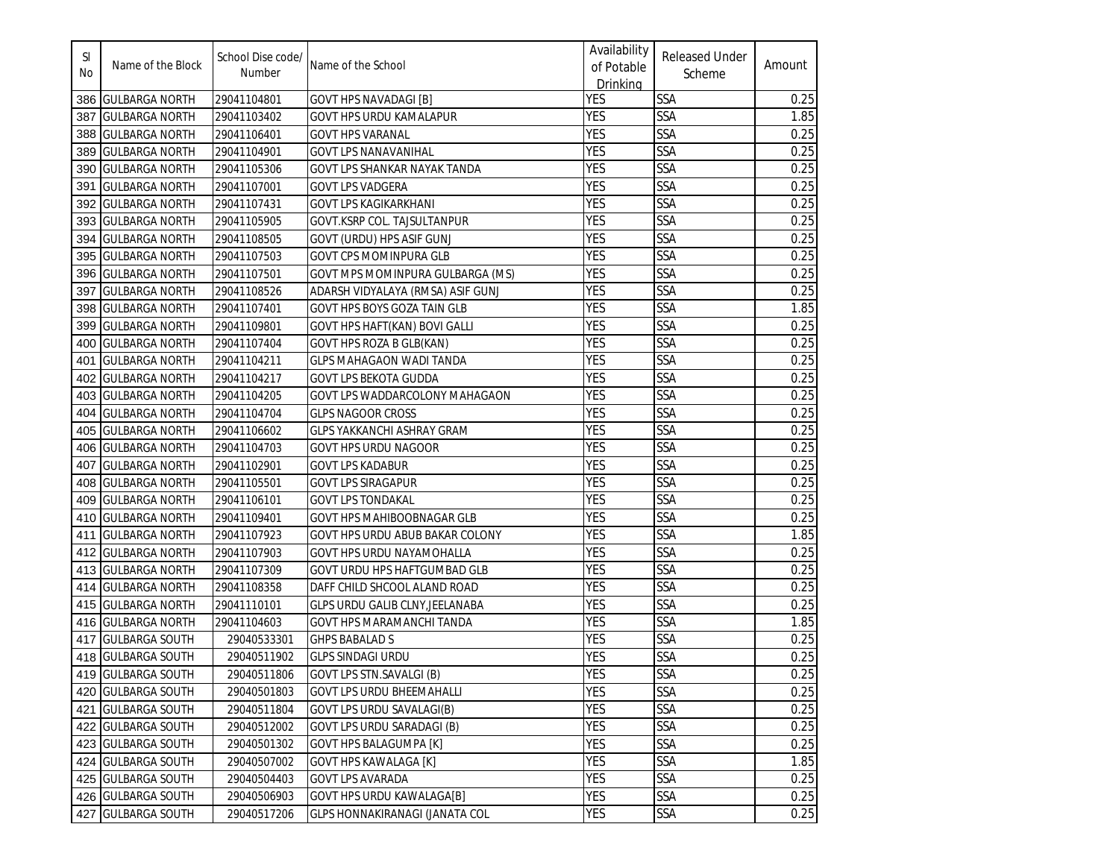| SI<br>No | Name of the Block     | School Dise code/<br>Number | Name of the School                     | Availability<br>of Potable<br>Drinking | <b>Released Under</b><br>Scheme | Amount |
|----------|-----------------------|-----------------------------|----------------------------------------|----------------------------------------|---------------------------------|--------|
|          | 386 GULBARGA NORTH    | 29041104801                 | <b>GOVT HPS NAVADAGI [B]</b>           | <b>YES</b>                             | <b>SSA</b>                      | 0.25   |
| 387      | <b>GULBARGA NORTH</b> | 29041103402                 | GOVT HPS URDU KAMALAPUR                | <b>YES</b>                             | <b>SSA</b>                      | 1.85   |
| 388      | <b>GULBARGA NORTH</b> | 29041106401                 | <b>GOVT HPS VARANAL</b>                | <b>YES</b>                             | <b>SSA</b>                      | 0.25   |
| 389      | <b>GULBARGA NORTH</b> | 29041104901                 | GOVT LPS NANAVANIHAL                   | <b>YES</b>                             | <b>SSA</b>                      | 0.25   |
| 390      | <b>GULBARGA NORTH</b> | 29041105306                 | GOVT LPS SHANKAR NAYAK TANDA           | <b>YES</b>                             | <b>SSA</b>                      | 0.25   |
| 391      | <b>GULBARGA NORTH</b> | 29041107001                 | <b>GOVT LPS VADGERA</b>                | <b>YES</b>                             | <b>SSA</b>                      | 0.25   |
| 392      | <b>GULBARGA NORTH</b> | 29041107431                 | <b>GOVT LPS KAGIKARKHANI</b>           | <b>YES</b>                             | <b>SSA</b>                      | 0.25   |
| 393      | <b>GULBARGA NORTH</b> | 29041105905                 | GOVT.KSRP COL. TAJSULTANPUR            | <b>YES</b>                             | <b>SSA</b>                      | 0.25   |
| 394      | <b>GULBARGA NORTH</b> | 29041108505                 | GOVT (URDU) HPS ASIF GUNJ              | <b>YES</b>                             | <b>SSA</b>                      | 0.25   |
|          | 395 GULBARGA NORTH    | 29041107503                 | <b>GOVT CPS MOMINPURA GLB</b>          | <b>YES</b>                             | <b>SSA</b>                      | 0.25   |
|          | 396 GULBARGA NORTH    | 29041107501                 | GOVT MPS MOMINPURA GULBARGA (MS)       | <b>YES</b>                             | <b>SSA</b>                      | 0.25   |
| 397      | <b>GULBARGA NORTH</b> | 29041108526                 | ADARSH VIDYALAYA (RMSA) ASIF GUNJ      | <b>YES</b>                             | <b>SSA</b>                      | 0.25   |
| 398      | <b>GULBARGA NORTH</b> | 29041107401                 | GOVT HPS BOYS GOZA TAIN GLB            | <b>YES</b>                             | <b>SSA</b>                      | 1.85   |
| 399      | <b>GULBARGA NORTH</b> | 29041109801                 | GOVT HPS HAFT(KAN) BOVI GALLI          | <b>YES</b>                             | <b>SSA</b>                      | 0.25   |
| 400      | <b>GULBARGA NORTH</b> | 29041107404                 | <b>GOVT HPS ROZA B GLB(KAN)</b>        | <b>YES</b>                             | <b>SSA</b>                      | 0.25   |
| 401      | <b>GULBARGA NORTH</b> | 29041104211                 | <b>GLPS MAHAGAON WADI TANDA</b>        | <b>YES</b>                             | <b>SSA</b>                      | 0.25   |
| 402      | <b>GULBARGA NORTH</b> | 29041104217                 | <b>GOVT LPS BEKOTA GUDDA</b>           | <b>YES</b>                             | <b>SSA</b>                      | 0.25   |
| 403      | <b>GULBARGA NORTH</b> | 29041104205                 | <b>GOVT LPS WADDARCOLONY MAHAGAON</b>  | <b>YES</b>                             | <b>SSA</b>                      | 0.25   |
| 404      | <b>GULBARGA NORTH</b> | 29041104704                 | <b>GLPS NAGOOR CROSS</b>               | <b>YES</b>                             | <b>SSA</b>                      | 0.25   |
| 405      | <b>GULBARGA NORTH</b> | 29041106602                 | <b>GLPS YAKKANCHI ASHRAY GRAM</b>      | <b>YES</b>                             | SSA                             | 0.25   |
| 406      | <b>GULBARGA NORTH</b> | 29041104703                 | GOVT HPS URDU NAGOOR                   | <b>YES</b>                             | <b>SSA</b>                      | 0.25   |
| 407      | <b>GULBARGA NORTH</b> | 29041102901                 | GOVT LPS KADABUR                       | <b>YES</b>                             | <b>SSA</b>                      | 0.25   |
| 408      | <b>GULBARGA NORTH</b> | 29041105501                 | <b>GOVT LPS SIRAGAPUR</b>              | <b>YES</b>                             | <b>SSA</b>                      | 0.25   |
| 409      | <b>GULBARGA NORTH</b> | 29041106101                 | <b>GOVT LPS TONDAKAL</b>               | <b>YES</b>                             | <b>SSA</b>                      | 0.25   |
| 410      | <b>GULBARGA NORTH</b> | 29041109401                 | <b>GOVT HPS MAHIBOOBNAGAR GLB</b>      | <b>YES</b>                             | <b>SSA</b>                      | 0.25   |
| 411      | <b>GULBARGA NORTH</b> | 29041107923                 | GOVT HPS URDU ABUB BAKAR COLONY        | <b>YES</b>                             | <b>SSA</b>                      | 1.85   |
| 412      | <b>GULBARGA NORTH</b> | 29041107903                 | GOVT HPS URDU NAYAMOHALLA              | <b>YES</b>                             | <b>SSA</b>                      | 0.25   |
|          | 413 GULBARGA NORTH    | 29041107309                 | GOVT URDU HPS HAFTGUMBAD GLB           | <b>YES</b>                             | <b>SSA</b>                      | 0.25   |
|          | 414 GULBARGA NORTH    | 29041108358                 | DAFF CHILD SHCOOL ALAND ROAD           | <b>YES</b>                             | <b>SSA</b>                      | 0.25   |
|          | 415 GULBARGA NORTH    | 29041110101                 | <b>GLPS URDU GALIB CLNY, JEELANABA</b> | <b>YES</b>                             | <b>SSA</b>                      | 0.25   |
|          | 416 GULBARGA NORTH    | 29041104603                 | GOVT HPS MARAMANCHI TANDA              | <b>YES</b>                             | <b>SSA</b>                      | 1.85   |
|          | 417 GULBARGA SOUTH    | 29040533301                 | <b>GHPS BABALAD S</b>                  | <b>YES</b>                             | <b>SSA</b>                      | 0.25   |
|          | 418 GULBARGA SOUTH    | 29040511902                 | <b>GLPS SINDAGI URDU</b>               | <b>YES</b>                             | <b>SSA</b>                      | 0.25   |
|          | 419 GULBARGA SOUTH    | 29040511806                 | <b>GOVT LPS STN.SAVALGI (B)</b>        | <b>YES</b>                             | <b>SSA</b>                      | 0.25   |
|          | 420 GULBARGA SOUTH    | 29040501803                 | <b>GOVT LPS URDU BHEEMAHALLI</b>       | <b>YES</b>                             | <b>SSA</b>                      | 0.25   |
|          | 421 GULBARGA SOUTH    | 29040511804                 | <b>GOVT LPS URDU SAVALAGI(B)</b>       | <b>YES</b>                             | <b>SSA</b>                      | 0.25   |
|          | 422 GULBARGA SOUTH    | 29040512002                 | GOVT LPS URDU SARADAGI (B)             | <b>YES</b>                             | <b>SSA</b>                      | 0.25   |
|          | 423 GULBARGA SOUTH    | 29040501302                 | <b>GOVT HPS BALAGUMPA [K]</b>          | <b>YES</b>                             | SSA                             | 0.25   |
|          | 424 GULBARGA SOUTH    | 29040507002                 | GOVT HPS KAWALAGA [K]                  | <b>YES</b>                             | <b>SSA</b>                      | 1.85   |
|          | 425 GULBARGA SOUTH    | 29040504403                 | <b>GOVT LPS AVARADA</b>                | <b>YES</b>                             | <b>SSA</b>                      | 0.25   |
|          | 426 GULBARGA SOUTH    | 29040506903                 | <b>GOVT HPS URDU KAWALAGA[B]</b>       | <b>YES</b>                             | <b>SSA</b>                      | 0.25   |
|          | 427 GULBARGA SOUTH    | 29040517206                 | GLPS HONNAKIRANAGI (JANATA COL         | <b>YES</b>                             | SSA                             | 0.25   |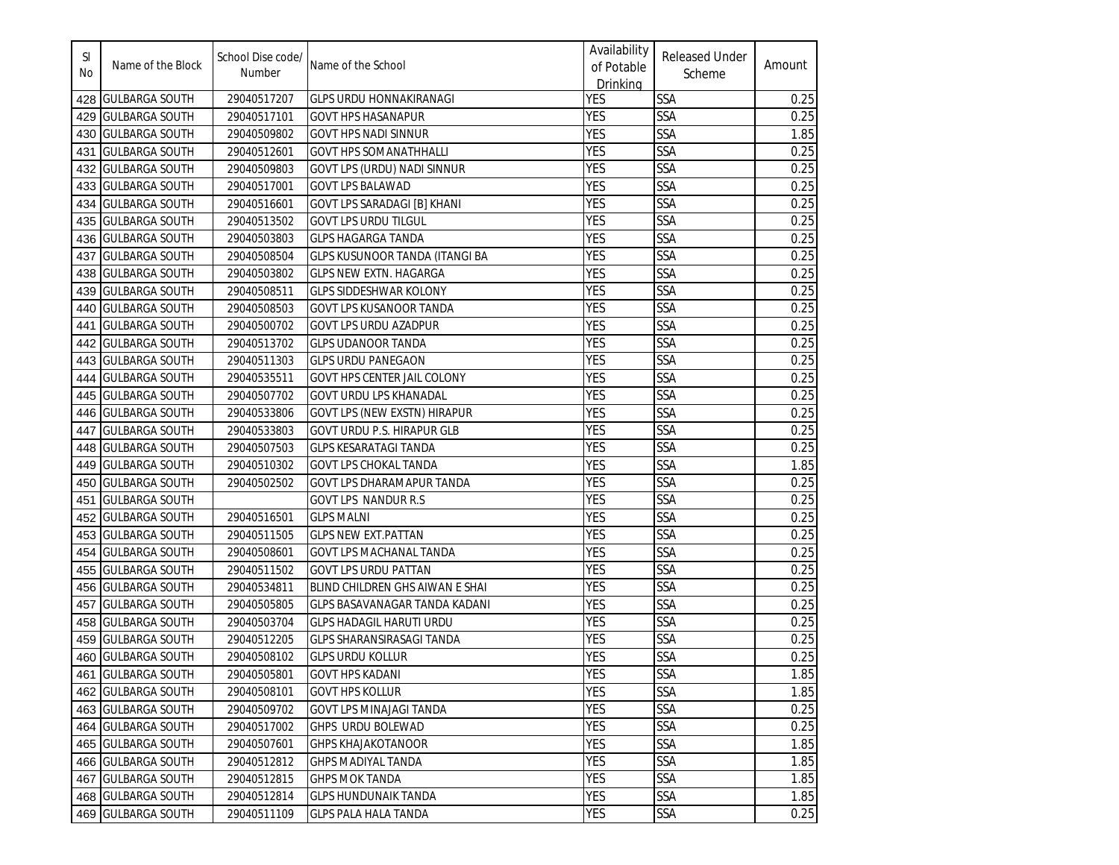| SI<br>No | Name of the Block     | School Dise code/<br>Number | Name of the School                  | Availability<br>of Potable<br>Drinking | <b>Released Under</b><br>Scheme | Amount |
|----------|-----------------------|-----------------------------|-------------------------------------|----------------------------------------|---------------------------------|--------|
| 428      | <b>GULBARGA SOUTH</b> | 29040517207                 | <b>GLPS URDU HONNAKIRANAGI</b>      | <b>YES</b>                             | <b>SSA</b>                      | 0.25   |
| 429      | <b>GULBARGA SOUTH</b> | 29040517101                 | <b>GOVT HPS HASANAPUR</b>           | <b>YES</b>                             | <b>SSA</b>                      | 0.25   |
| 430      | <b>GULBARGA SOUTH</b> | 29040509802                 | <b>GOVT HPS NADI SINNUR</b>         | YES                                    | <b>SSA</b>                      | 1.85   |
| 431      | <b>GULBARGA SOUTH</b> | 29040512601                 | <b>GOVT HPS SOMANATHHALLI</b>       | <b>YES</b>                             | SSA                             | 0.25   |
| 432      | <b>GULBARGA SOUTH</b> | 29040509803                 | GOVT LPS (URDU) NADI SINNUR         | <b>YES</b>                             | <b>SSA</b>                      | 0.25   |
| 433      | <b>GULBARGA SOUTH</b> | 29040517001                 | <b>GOVT LPS BALAWAD</b>             | YES                                    | <b>SSA</b>                      | 0.25   |
| 434      | <b>GULBARGA SOUTH</b> | 29040516601                 | GOVT LPS SARADAGI [B] KHANI         | YES                                    | <b>SSA</b>                      | 0.25   |
| 435      | <b>GULBARGA SOUTH</b> | 29040513502                 | <b>GOVT LPS URDU TILGUL</b>         | <b>YES</b>                             | <b>SSA</b>                      | 0.25   |
| 436      | <b>GULBARGA SOUTH</b> | 29040503803                 | <b>GLPS HAGARGA TANDA</b>           | <b>YES</b>                             | <b>SSA</b>                      | 0.25   |
| 437      | <b>GULBARGA SOUTH</b> | 29040508504                 | GLPS KUSUNOOR TANDA (ITANGI BA      | <b>YES</b>                             | <b>SSA</b>                      | 0.25   |
| 438      | <b>GULBARGA SOUTH</b> | 29040503802                 | <b>GLPS NEW EXTN. HAGARGA</b>       | <b>YES</b>                             | <b>SSA</b>                      | 0.25   |
| 439      | <b>GULBARGA SOUTH</b> | 29040508511                 | <b>GLPS SIDDESHWAR KOLONY</b>       | <b>YES</b>                             | <b>SSA</b>                      | 0.25   |
| 440      | <b>GULBARGA SOUTH</b> | 29040508503                 | <b>GOVT LPS KUSANOOR TANDA</b>      | <b>YES</b>                             | <b>SSA</b>                      | 0.25   |
| 441      | <b>GULBARGA SOUTH</b> | 29040500702                 | <b>GOVT LPS URDU AZADPUR</b>        | <b>YES</b>                             | <b>SSA</b>                      | 0.25   |
| 442      | <b>GULBARGA SOUTH</b> | 29040513702                 | <b>GLPS UDANOOR TANDA</b>           | <b>YES</b>                             | SSA                             | 0.25   |
| 443      | <b>GULBARGA SOUTH</b> | 29040511303                 | <b>GLPS URDU PANEGAON</b>           | <b>YES</b>                             | SSA                             | 0.25   |
| 444      | <b>GULBARGA SOUTH</b> | 29040535511                 | <b>GOVT HPS CENTER JAIL COLONY</b>  | YES                                    | SSA                             | 0.25   |
| 445      | <b>GULBARGA SOUTH</b> | 29040507702                 | <b>GOVT URDU LPS KHANADAL</b>       | <b>YES</b>                             | <b>SSA</b>                      | 0.25   |
| 446      | <b>GULBARGA SOUTH</b> | 29040533806                 | <b>GOVT LPS (NEW EXSTN) HIRAPUR</b> | YES                                    | <b>SSA</b>                      | 0.25   |
| 447      | <b>GULBARGA SOUTH</b> | 29040533803                 | GOVT URDU P.S. HIRAPUR GLB          | YES                                    | <b>SSA</b>                      | 0.25   |
| 448      | <b>GULBARGA SOUTH</b> | 29040507503                 | <b>GLPS KESARATAGI TANDA</b>        | YES                                    | <b>SSA</b>                      | 0.25   |
| 449      | <b>GULBARGA SOUTH</b> | 29040510302                 | GOVT LPS CHOKAL TANDA               | <b>YES</b>                             | <b>SSA</b>                      | 1.85   |
| 450      | <b>GULBARGA SOUTH</b> | 29040502502                 | GOVT LPS DHARAMAPUR TANDA           | YES                                    | <b>SSA</b>                      | 0.25   |
| 451      | <b>GULBARGA SOUTH</b> |                             | <b>GOVT LPS NANDUR R.S</b>          | YES                                    | <b>SSA</b>                      | 0.25   |
| 452      | <b>GULBARGA SOUTH</b> | 29040516501                 | <b>GLPS MALNI</b>                   | YES                                    | <b>SSA</b>                      | 0.25   |
| 453      | <b>GULBARGA SOUTH</b> | 29040511505                 | <b>GLPS NEW EXT. PATTAN</b>         | <b>YES</b>                             | <b>SSA</b>                      | 0.25   |
| 454      | <b>GULBARGA SOUTH</b> | 29040508601                 | <b>GOVT LPS MACHANAL TANDA</b>      | <b>YES</b>                             | <b>SSA</b>                      | 0.25   |
| 455      | <b>GULBARGA SOUTH</b> | 29040511502                 | <b>GOVT LPS URDU PATTAN</b>         | <b>YES</b>                             | <b>SSA</b>                      | 0.25   |
| 456      | <b>GULBARGA SOUTH</b> | 29040534811                 | BLIND CHILDREN GHS AIWAN E SHAI     | <b>YES</b>                             | <b>SSA</b>                      | 0.25   |
| 457      | <b>GULBARGA SOUTH</b> | 29040505805                 | GLPS BASAVANAGAR TANDA KADANI       | <b>YES</b>                             | SSA                             | 0.25   |
| 458      | <b>GULBARGA SOUTH</b> | 29040503704                 | <b>GLPS HADAGIL HARUTI URDU</b>     | <b>YES</b>                             | <b>SSA</b>                      | 0.25   |
| 459      | <b>GULBARGA SOUTH</b> | 29040512205                 | <b>GLPS SHARANSIRASAGI TANDA</b>    | <b>YES</b>                             | SSA                             | 0.25   |
|          | 460 GULBARGA SOUTH    | 29040508102                 | <b>GLPS URDU KOLLUR</b>             | <b>YES</b>                             | <b>SSA</b>                      | 0.25   |
|          | 461 GULBARGA SOUTH    | 29040505801                 | <b>GOVT HPS KADANI</b>              | <b>YES</b>                             | <b>SSA</b>                      | 1.85   |
|          | 462 GULBARGA SOUTH    | 29040508101                 | <b>GOVT HPS KOLLUR</b>              | <b>YES</b>                             | <b>SSA</b>                      | 1.85   |
|          | 463 GULBARGA SOUTH    | 29040509702                 | <b>GOVT LPS MINAJAGI TANDA</b>      | <b>YES</b>                             | SSA                             | 0.25   |
|          | 464 GULBARGA SOUTH    | 29040517002                 | GHPS URDU BOLEWAD                   | <b>YES</b>                             | <b>SSA</b>                      | 0.25   |
|          | 465 GULBARGA SOUTH    | 29040507601                 | <b>GHPS KHAJAKOTANOOR</b>           | <b>YES</b>                             | SSA                             | 1.85   |
|          | 466 GULBARGA SOUTH    | 29040512812                 | <b>GHPS MADIYAL TANDA</b>           | <b>YES</b>                             | <b>SSA</b>                      | 1.85   |
| 467      | <b>GULBARGA SOUTH</b> | 29040512815                 | <b>GHPS MOK TANDA</b>               | <b>YES</b>                             | <b>SSA</b>                      | 1.85   |
|          | 468 GULBARGA SOUTH    | 29040512814                 | <b>GLPS HUNDUNAIK TANDA</b>         | <b>YES</b>                             | <b>SSA</b>                      | 1.85   |
|          | 469 GULBARGA SOUTH    | 29040511109                 | GLPS PALA HALA TANDA                | YES                                    | <b>SSA</b>                      | 0.25   |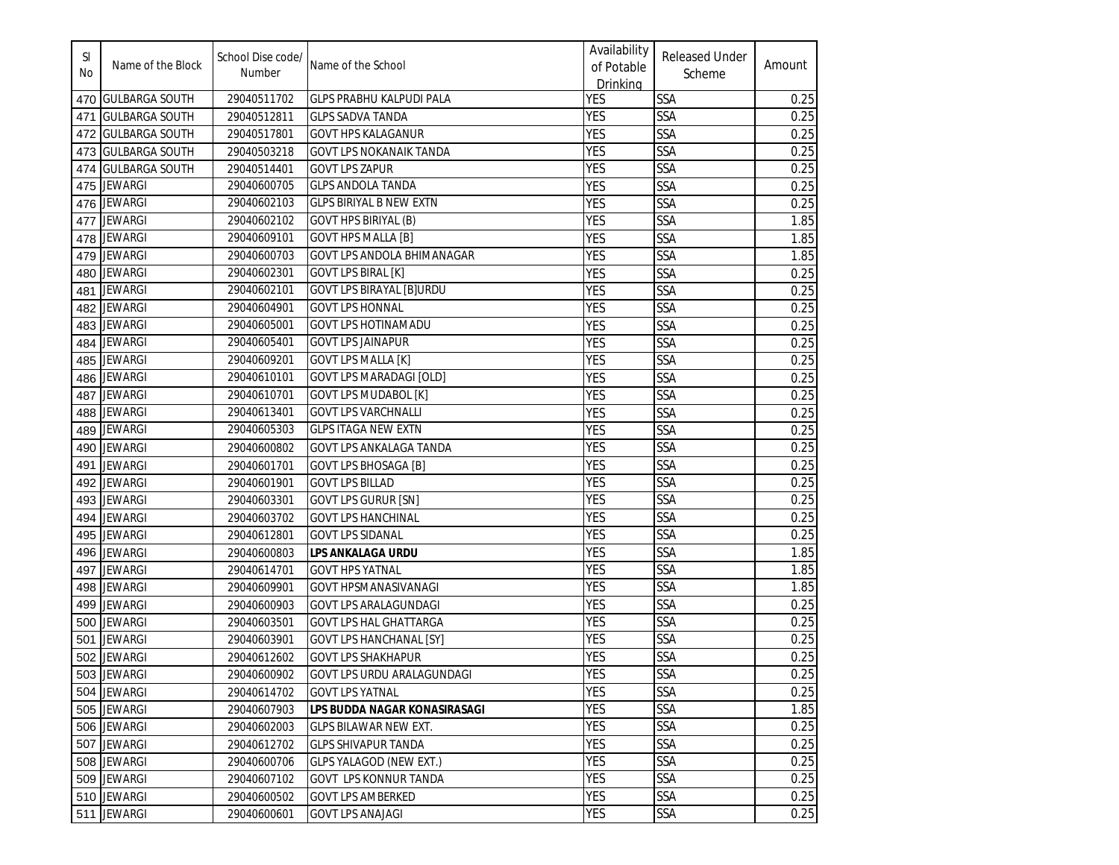| SI<br>No | Name of the Block     | School Dise code/<br>Number | Name of the School                | Availability<br>of Potable<br>Drinking | <b>Released Under</b><br>Scheme | Amount |
|----------|-----------------------|-----------------------------|-----------------------------------|----------------------------------------|---------------------------------|--------|
| 470      | <b>GULBARGA SOUTH</b> | 29040511702                 | <b>GLPS PRABHU KALPUDI PALA</b>   | <b>YES</b>                             | <b>SSA</b>                      | 0.25   |
| 471      | <b>GULBARGA SOUTH</b> | 29040512811                 | <b>GLPS SADVA TANDA</b>           | <b>YES</b>                             | <b>SSA</b>                      | 0.25   |
| 472      | <b>GULBARGA SOUTH</b> | 29040517801                 | <b>GOVT HPS KALAGANUR</b>         | <b>YES</b>                             | <b>SSA</b>                      | 0.25   |
| 473      | <b>GULBARGA SOUTH</b> | 29040503218                 | <b>GOVT LPS NOKANAIK TANDA</b>    | <b>YES</b>                             | SSA                             | 0.25   |
|          | 474 GULBARGA SOUTH    | 29040514401                 | <b>GOVT LPS ZAPUR</b>             | <b>YES</b>                             | <b>SSA</b>                      | 0.25   |
| 475      | <b>JEWARGI</b>        | 29040600705                 | <b>GLPS ANDOLA TANDA</b>          | <b>YES</b>                             | <b>SSA</b>                      | 0.25   |
|          | 476 JEWARGI           | 29040602103                 | <b>GLPS BIRIYAL B NEW EXTN</b>    | <b>YES</b>                             | <b>SSA</b>                      | 0.25   |
| 477      | <b>JEWARGI</b>        | 29040602102                 | <b>GOVT HPS BIRIYAL (B)</b>       | <b>YES</b>                             | <b>SSA</b>                      | 1.85   |
|          | 478 JEWARGI           | 29040609101                 | <b>GOVT HPS MALLA [B]</b>         | <b>YES</b>                             | <b>SSA</b>                      | 1.85   |
|          | 479 JEWARGI           | 29040600703                 | <b>GOVT LPS ANDOLA BHIMANAGAR</b> | <b>YES</b>                             | <b>SSA</b>                      | 1.85   |
| 480      | <b>JEWARGI</b>        | 29040602301                 | <b>GOVT LPS BIRAL [K]</b>         | <b>YES</b>                             | <b>SSA</b>                      | 0.25   |
|          | 481 JEWARGI           | 29040602101                 | <b>GOVT LPS BIRAYAL [B]URDU</b>   | <b>YES</b>                             | <b>SSA</b>                      | 0.25   |
|          | 482 JEWARGI           | 29040604901                 | <b>GOVT LPS HONNAL</b>            | <b>YES</b>                             | <b>SSA</b>                      | 0.25   |
|          | 483 JEWARGI           | 29040605001                 | <b>GOVT LPS HOTINAMADU</b>        | <b>YES</b>                             | <b>SSA</b>                      | 0.25   |
|          | 484 JEWARGI           | 29040605401                 | <b>GOVT LPS JAINAPUR</b>          | <b>YES</b>                             | SSA                             | 0.25   |
|          | 485 JEWARGI           | 29040609201                 | <b>GOVT LPS MALLA [K]</b>         | <b>YES</b>                             | SSA                             | 0.25   |
|          | 486 JEWARGI           | 29040610101                 | <b>GOVT LPS MARADAGI [OLD]</b>    | YES                                    | SSA                             | 0.25   |
| 487      | <b>JEWARGI</b>        | 29040610701                 | <b>GOVT LPS MUDABOL [K]</b>       | <b>YES</b>                             | SSA                             | 0.25   |
|          | 488 JEWARGI           | 29040613401                 | <b>GOVT LPS VARCHNALLI</b>        | <b>YES</b>                             | <b>SSA</b>                      | 0.25   |
| 489      | <b>JEWARGI</b>        | 29040605303                 | <b>GLPS ITAGA NEW EXTN</b>        | <b>YES</b>                             | <b>SSA</b>                      | 0.25   |
| 490      | <b>JEWARGI</b>        | 29040600802                 | GOVT LPS ANKALAGA TANDA           | <b>YES</b>                             | <b>SSA</b>                      | 0.25   |
| 491      | <b>JEWARGI</b>        | 29040601701                 | <b>GOVT LPS BHOSAGA [B]</b>       | <b>YES</b>                             | <b>SSA</b>                      | 0.25   |
| 492      | <b>JEWARGI</b>        | 29040601901                 | <b>GOVT LPS BILLAD</b>            | YES                                    | <b>SSA</b>                      | 0.25   |
| 493      | <b>JEWARGI</b>        | 29040603301                 | <b>GOVT LPS GURUR [SN]</b>        | YES                                    | <b>SSA</b>                      | 0.25   |
| 494      | <b>JEWARGI</b>        | 29040603702                 | <b>GOVT LPS HANCHINAL</b>         | <b>YES</b>                             | <b>SSA</b>                      | 0.25   |
| 495      | <b>JEWARGI</b>        | 29040612801                 | <b>GOVT LPS SIDANAL</b>           | <b>YES</b>                             | <b>SSA</b>                      | 0.25   |
|          | 496 JEWARGI           | 29040600803                 | <b>LPS ANKALAGA URDU</b>          | <b>YES</b>                             | <b>SSA</b>                      | 1.85   |
| 497      | <b>JEWARGI</b>        | 29040614701                 | <b>GOVT HPS YATNAL</b>            | <b>YES</b>                             | <b>SSA</b>                      | 1.85   |
| 498      | <b>JEWARGI</b>        | 29040609901                 | <b>GOVT HPSMANASIVANAGI</b>       | <b>YES</b>                             | <b>SSA</b>                      | 1.85   |
| 499      | JEWARGI               | 29040600903                 | <b>GOVT LPS ARALAGUNDAGI</b>      | <b>YES</b>                             | SSA                             | 0.25   |
|          | 500 JEWARGI           | 29040603501                 | <b>GOVT LPS HAL GHATTARGA</b>     | <b>YES</b>                             | <b>SSA</b>                      | 0.25   |
|          | 501 JEWARGI           | 29040603901                 | <b>GOVT LPS HANCHANAL [SY]</b>    | <b>YES</b>                             | <b>SSA</b>                      | 0.25   |
|          | 502 JEWARGI           | 29040612602                 | <b>GOVT LPS SHAKHAPUR</b>         | <b>YES</b>                             | <b>SSA</b>                      | 0.25   |
|          | 503 JEWARGI           | 29040600902                 | GOVT LPS URDU ARALAGUNDAGI        | <b>YES</b>                             | <b>SSA</b>                      | 0.25   |
|          | 504 JEWARGI           | 29040614702                 | <b>GOVT LPS YATNAL</b>            | <b>YES</b>                             | <b>SSA</b>                      | 0.25   |
|          | 505 JEWARGI           | 29040607903                 | LPS BUDDA NAGAR KONASIRASAGI      | <b>YES</b>                             | SSA                             | 1.85   |
|          | 506 JEWARGI           | 29040602003                 | GLPS BILAWAR NEW EXT.             | <b>YES</b>                             | SSA                             | 0.25   |
|          | 507 JEWARGI           | 29040612702                 | <b>GLPS SHIVAPUR TANDA</b>        | <b>YES</b>                             | SSA                             | 0.25   |
|          | 508 JEWARGI           | 29040600706                 | <b>GLPS YALAGOD (NEW EXT.)</b>    | <b>YES</b>                             | <b>SSA</b>                      | 0.25   |
|          | 509 JEWARGI           | 29040607102                 | <b>GOVT LPS KONNUR TANDA</b>      | <b>YES</b>                             | <b>SSA</b>                      | 0.25   |
|          | 510 JEWARGI           | 29040600502                 | <b>GOVT LPS AMBERKED</b>          | YES                                    | <b>SSA</b>                      | 0.25   |
|          | 511 JEWARGI           | 29040600601                 | <b>GOVT LPS ANAJAGI</b>           | YES                                    | <b>SSA</b>                      | 0.25   |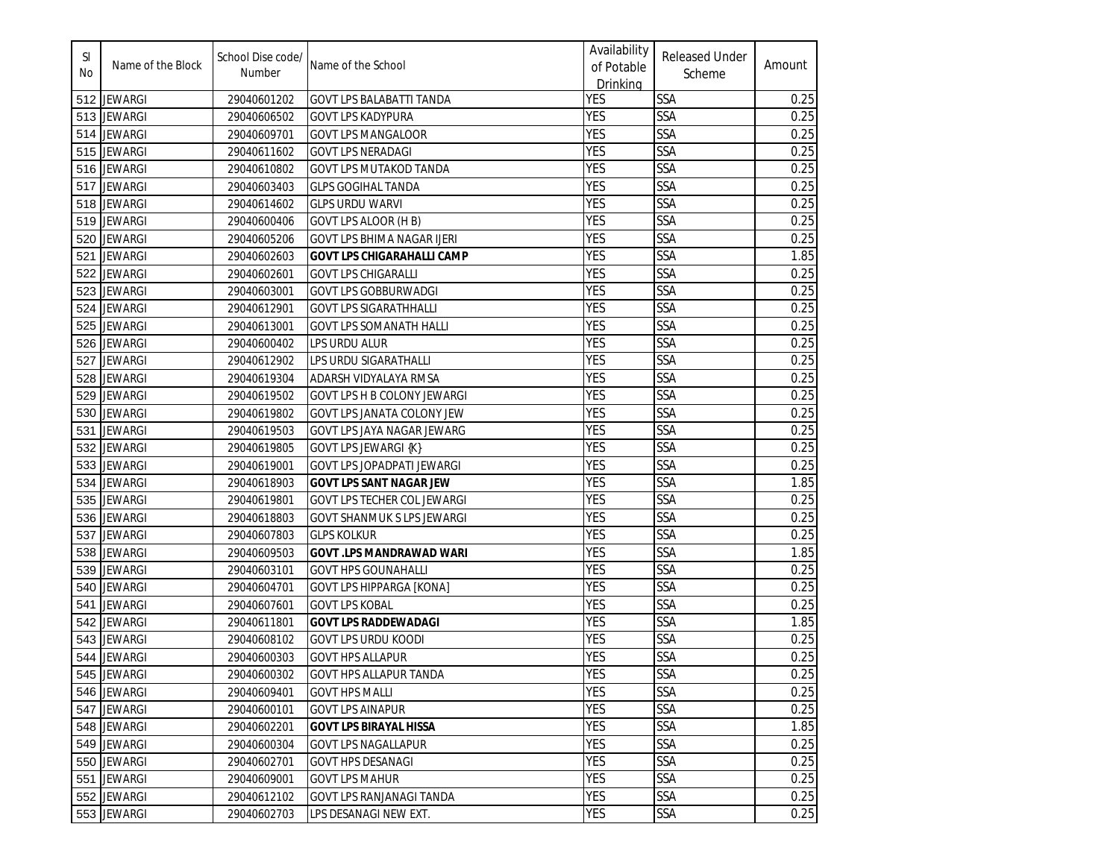| SI<br>No | Name of the Block | School Dise code/<br>Number | Name of the School                 | Availability<br>of Potable<br><b>Drinking</b> | <b>Released Under</b><br>Scheme | Amount |
|----------|-------------------|-----------------------------|------------------------------------|-----------------------------------------------|---------------------------------|--------|
|          | 512 JEWARGI       | 29040601202                 | <b>GOVT LPS BALABATTI TANDA</b>    | <b>YES</b>                                    | SSA                             | 0.25   |
|          | 513 JEWARGI       | 29040606502                 | <b>GOVT LPS KADYPURA</b>           | <b>YES</b>                                    | SSA                             | 0.25   |
|          | 514 JEWARGI       | 29040609701                 | <b>GOVT LPS MANGALOOR</b>          | <b>YES</b>                                    | <b>SSA</b>                      | 0.25   |
|          | 515 JEWARGI       | 29040611602                 | GOVT LPS NERADAGI                  | <b>YES</b>                                    | <b>SSA</b>                      | 0.25   |
| 516      | <b>JEWARGI</b>    | 29040610802                 | <b>GOVT LPS MUTAKOD TANDA</b>      | <b>YES</b>                                    | SSA                             | 0.25   |
| 517      | <b>JEWARGI</b>    | 29040603403                 | <b>GLPS GOGIHAL TANDA</b>          | <b>YES</b>                                    | SSA                             | 0.25   |
| 518      | <b>JEWARGI</b>    | 29040614602                 | <b>GLPS URDU WARVI</b>             | <b>YES</b>                                    | <b>SSA</b>                      | 0.25   |
| 519      | <b>JEWARGI</b>    | 29040600406                 | GOVT LPS ALOOR (H B)               | <b>YES</b>                                    | SSA                             | 0.25   |
| 520      | <b>JEWARGI</b>    | 29040605206                 | <b>GOVT LPS BHIMA NAGAR IJERI</b>  | <b>YES</b>                                    | SSA                             | 0.25   |
| 521      | <b>JEWARGI</b>    | 29040602603                 | <b>GOVT LPS CHIGARAHALLI CAMP</b>  | <b>YES</b>                                    | SSA                             | 1.85   |
| 522      | <b>JEWARGI</b>    | 29040602601                 | <b>GOVT LPS CHIGARALLI</b>         | <b>YES</b>                                    | SSA                             | 0.25   |
| 523      | <b>JEWARGI</b>    | 29040603001                 | <b>GOVT LPS GOBBURWADGI</b>        | <b>YES</b>                                    | <b>SSA</b>                      | 0.25   |
| 524      | <b>JEWARGI</b>    | 29040612901                 | <b>GOVT LPS SIGARATHHALLI</b>      | <b>YES</b>                                    | SSA                             | 0.25   |
| 525      | <b>JEWARGI</b>    | 29040613001                 | <b>GOVT LPS SOMANATH HALLI</b>     | <b>YES</b>                                    | SSA                             | 0.25   |
| 526      | <b>JEWARGI</b>    | 29040600402                 | LPS URDU ALUR                      | <b>YES</b>                                    | SSA                             | 0.25   |
| 527      | <b>JEWARGI</b>    | 29040612902                 | LPS URDU SIGARATHALLI              | <b>YES</b>                                    | SSA                             | 0.25   |
| 528      | <b>JEWARGI</b>    | 29040619304                 | ADARSH VIDYALAYA RMSA              | <b>YES</b>                                    | SSA                             | 0.25   |
| 529      | <b>JEWARGI</b>    | 29040619502                 | <b>GOVT LPS H B COLONY JEWARGI</b> | <b>YES</b>                                    | SSA                             | 0.25   |
| 530      | <b>JEWARGI</b>    | 29040619802                 | GOVT LPS JANATA COLONY JEW         | <b>YES</b>                                    | <b>SSA</b>                      | 0.25   |
| 531      | <b>JEWARGI</b>    | 29040619503                 | GOVT LPS JAYA NAGAR JEWARG         | <b>YES</b>                                    | SSA                             | 0.25   |
| 532      | <b>JEWARGI</b>    | 29040619805                 | <b>GOVT LPS JEWARGI {K}</b>        | <b>YES</b>                                    | SSA                             | 0.25   |
| 533      | <b>JEWARGI</b>    | 29040619001                 | GOVT LPS JOPADPATI JEWARGI         | <b>YES</b>                                    | SSA                             | 0.25   |
| 534      | JEWARGI           | 29040618903                 | <b>GOVT LPS SANT NAGAR JEW</b>     | <b>YES</b>                                    | SSA                             | 1.85   |
| 535      | <b>JEWARGI</b>    | 29040619801                 | GOVT LPS TECHER COL JEWARGI        | <b>YES</b>                                    | SSA                             | 0.25   |
| 536      | JEWARGI           | 29040618803                 | <b>GOVT SHANMUK S LPS JEWARGI</b>  | <b>YES</b>                                    | SSA                             | 0.25   |
| 537      | <b>JEWARGI</b>    | 29040607803                 | <b>GLPS KOLKUR</b>                 | <b>YES</b>                                    | SSA                             | 0.25   |
| 538      | <b>JEWARGI</b>    | 29040609503                 | <b>GOVT .LPS MANDRAWAD WARI</b>    | <b>YES</b>                                    | SSA                             | 1.85   |
| 539      | <b>JEWARGI</b>    | 29040603101                 | <b>GOVT HPS GOUNAHALLI</b>         | <b>YES</b>                                    | <b>SSA</b>                      | 0.25   |
| 540      | <b>JEWARGI</b>    | 29040604701                 | <b>GOVT LPS HIPPARGA [KONA]</b>    | <b>YES</b>                                    | <b>SSA</b>                      | 0.25   |
| 541      | <b>JEWARGI</b>    | 29040607601                 | <b>GOVT LPS KOBAL</b>              | <b>YES</b>                                    | SSA                             | 0.25   |
| 542      | <b>JEWARGI</b>    | 29040611801                 | <b>GOVT LPS RADDEWADAGI</b>        | <b>YES</b>                                    | SSA                             | 1.85   |
| 543      | <b>JEWARGI</b>    | 29040608102                 | <b>GOVT LPS URDU KOODI</b>         | <b>YES</b>                                    | SSA                             | 0.25   |
|          | 544 JEWARGI       | 29040600303                 | <b>GOVT HPS ALLAPUR</b>            | <b>YES</b>                                    | SSA                             | 0.25   |
|          | 545 JEWARGI       | 29040600302                 | <b>GOVT HPS ALLAPUR TANDA</b>      | <b>YES</b>                                    | SSA                             | 0.25   |
|          | 546 JEWARGI       | 29040609401                 | <b>GOVT HPS MALLI</b>              | <b>YES</b>                                    | SSA                             | 0.25   |
|          | 547 JEWARGI       | 29040600101                 | <b>GOVT LPS AINAPUR</b>            | <b>YES</b>                                    | SSA                             | 0.25   |
|          | 548 JEWARGI       | 29040602201                 | <b>GOVT LPS BIRAYAL HISSA</b>      | <b>YES</b>                                    | <b>SSA</b>                      | 1.85   |
|          | 549 JEWARGI       | 29040600304                 | <b>GOVT LPS NAGALLAPUR</b>         | <b>YES</b>                                    | SSA                             | 0.25   |
|          | 550 JEWARGI       | 29040602701                 | <b>GOVT HPS DESANAGI</b>           | <b>YES</b>                                    | SSA                             | 0.25   |
|          | 551 JEWARGI       | 29040609001                 | <b>GOVT LPS MAHUR</b>              | <b>YES</b>                                    | <b>SSA</b>                      | 0.25   |
|          | 552 JEWARGI       | 29040612102                 | GOVT LPS RANJANAGI TANDA           | <b>YES</b>                                    | SSA                             | 0.25   |
|          | 553 JEWARGI       | 29040602703                 | LPS DESANAGI NEW EXT.              | YES                                           | SSA                             | 0.25   |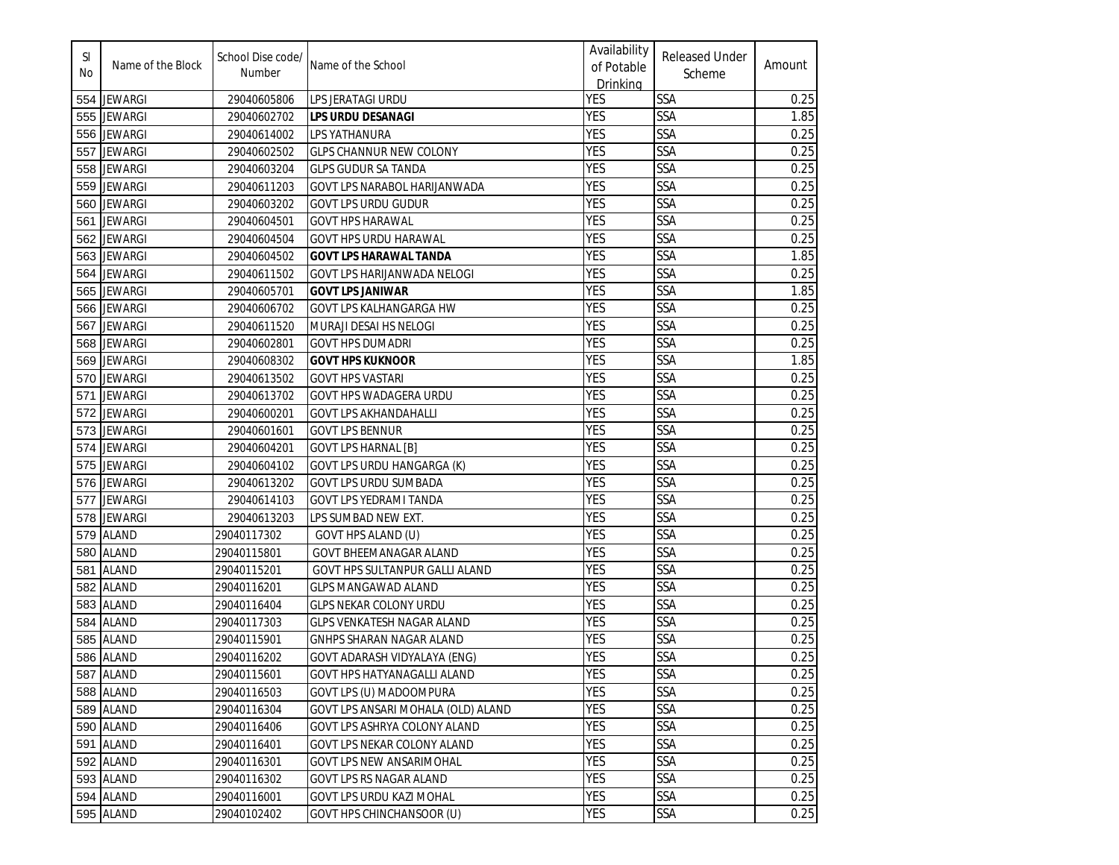| SI<br>No | Name of the Block | School Dise code/<br>Number | Name of the School                 | Availability<br>of Potable<br>Drinking | <b>Released Under</b><br>Scheme | Amount |
|----------|-------------------|-----------------------------|------------------------------------|----------------------------------------|---------------------------------|--------|
|          | 554 JEWARGI       | 29040605806                 | LPS JERATAGI URDU                  | <b>YES</b>                             | <b>SSA</b>                      | 0.25   |
| 555      | <b>JEWARGI</b>    | 29040602702                 | LPS URDU DESANAGI                  | <b>YES</b>                             | <b>SSA</b>                      | 1.85   |
| 556      | <b>JEWARGI</b>    | 29040614002                 | LPS YATHANURA                      | <b>YES</b>                             | <b>SSA</b>                      | 0.25   |
| 557      | <b>JEWARGI</b>    | 29040602502                 | <b>GLPS CHANNUR NEW COLONY</b>     | <b>YES</b>                             | SSA                             | 0.25   |
| 558      | <b>JEWARGI</b>    | 29040603204                 | <b>GLPS GUDUR SA TANDA</b>         | <b>YES</b>                             | <b>SSA</b>                      | 0.25   |
| 559      | <b>JEWARGI</b>    | 29040611203                 | GOVT LPS NARABOL HARIJANWADA       | <b>YES</b>                             | <b>SSA</b>                      | 0.25   |
| 560      | <b>JEWARGI</b>    | 29040603202                 | <b>GOVT LPS URDU GUDUR</b>         | <b>YES</b>                             | SSA                             | 0.25   |
| 561      | <b>JEWARGI</b>    | 29040604501                 | <b>GOVT HPS HARAWAL</b>            | <b>YES</b>                             | SSA                             | 0.25   |
| 562      | <b>JEWARGI</b>    | 29040604504                 | <b>GOVT HPS URDU HARAWAL</b>       | <b>YES</b>                             | SSA                             | 0.25   |
| 563      | <b>JEWARGI</b>    | 29040604502                 | <b>GOVT LPS HARAWAL TANDA</b>      | <b>YES</b>                             | SSA                             | 1.85   |
| 564      | <b>JEWARGI</b>    | 29040611502                 | GOVT LPS HARIJANWADA NELOGI        | <b>YES</b>                             | <b>SSA</b>                      | 0.25   |
| 565      | <b>JEWARGI</b>    | 29040605701                 | <b>GOVT LPS JANIWAR</b>            | <b>YES</b>                             | SSA                             | 1.85   |
| 566      | <b>JEWARGI</b>    | 29040606702                 | GOVT LPS KALHANGARGA HW            | <b>YES</b>                             | SSA                             | 0.25   |
| 567      | <b>JEWARGI</b>    | 29040611520                 | MURAJI DESAI HS NELOGI             | <b>YES</b>                             | SSA                             | 0.25   |
| 568      | <b>JEWARGI</b>    | 29040602801                 | <b>GOVT HPS DUMADRI</b>            | <b>YES</b>                             | SSA                             | 0.25   |
| 569      | <b>JEWARGI</b>    | 29040608302                 | <b>GOVT HPS KUKNOOR</b>            | <b>YES</b>                             | SSA                             | 1.85   |
| 570      | <b>JEWARGI</b>    | 29040613502                 | <b>GOVT HPS VASTARI</b>            | <b>YES</b>                             | SSA                             | 0.25   |
| 571      | <b>JEWARGI</b>    | 29040613702                 | <b>GOVT HPS WADAGERA URDU</b>      | <b>YES</b>                             | <b>SSA</b>                      | 0.25   |
| 572      | <b>JEWARGI</b>    | 29040600201                 | <b>GOVT LPS AKHANDAHALLI</b>       | <b>YES</b>                             | <b>SSA</b>                      | 0.25   |
| 573      | <b>JEWARGI</b>    | 29040601601                 | <b>GOVT LPS BENNUR</b>             | <b>YES</b>                             | <b>SSA</b>                      | 0.25   |
| 574      | <b>JEWARGI</b>    | 29040604201                 | <b>GOVT LPS HARNAL [B]</b>         | <b>YES</b>                             | SSA                             | 0.25   |
| 575      | JEWARGI           | 29040604102                 | GOVT LPS URDU HANGARGA (K)         | <b>YES</b>                             | SSA                             | 0.25   |
| 576      | <b>JEWARGI</b>    | 29040613202                 | <b>GOVT LPS URDU SUMBADA</b>       | <b>YES</b>                             | SSA                             | 0.25   |
| 577      | <b>JEWARGI</b>    | 29040614103                 | <b>GOVT LPS YEDRAMI TANDA</b>      | <b>YES</b>                             | SSA                             | 0.25   |
| 578      | <b>JEWARGI</b>    | 29040613203                 | LPS SUMBAD NEW EXT.                | <b>YES</b>                             | SSA                             | 0.25   |
| 579      | <b>ALAND</b>      | 29040117302                 | GOVT HPS ALAND (U)                 | <b>YES</b>                             | SSA                             | 0.25   |
| 580      | <b>ALAND</b>      | 29040115801                 | <b>GOVT BHEEMANAGAR ALAND</b>      | <b>YES</b>                             | SSA                             | 0.25   |
| 581      | <b>ALAND</b>      | 29040115201                 | GOVT HPS SULTANPUR GALLI ALAND     | <b>YES</b>                             | <b>SSA</b>                      | 0.25   |
| 582      | <b>ALAND</b>      | 29040116201                 | <b>GLPS MANGAWAD ALAND</b>         | <b>YES</b>                             | SSA                             | 0.25   |
| 583      | ALAND             | 29040116404                 | <b>GLPS NEKAR COLONY URDU</b>      | <b>YES</b>                             | SSA                             | 0.25   |
| 584      | ALAND             | 29040117303                 | GLPS VENKATESH NAGAR ALAND         | <b>YES</b>                             | SSA                             | 0.25   |
|          | 585 ALAND         | 29040115901                 | GNHPS SHARAN NAGAR ALAND           | <b>YES</b>                             | SSA                             | 0.25   |
|          | 586 ALAND         | 29040116202                 | GOVT ADARASH VIDYALAYA (ENG)       | <b>YES</b>                             | SSA                             | 0.25   |
|          | 587 ALAND         | 29040115601                 | GOVT HPS HATYANAGALLI ALAND        | <b>YES</b>                             | <b>SSA</b>                      | 0.25   |
|          | 588 ALAND         | 29040116503                 | GOVT LPS (U) MADOOMPURA            | <b>YES</b>                             | <b>SSA</b>                      | 0.25   |
|          | 589 ALAND         | 29040116304                 | GOVT LPS ANSARI MOHALA (OLD) ALAND | <b>YES</b>                             | SSA                             | 0.25   |
|          | 590 ALAND         | 29040116406                 | GOVT LPS ASHRYA COLONY ALAND       | <b>YES</b>                             | SSA                             | 0.25   |
|          | 591 ALAND         | 29040116401                 | GOVT LPS NEKAR COLONY ALAND        | <b>YES</b>                             | SSA                             | 0.25   |
|          | 592 ALAND         | 29040116301                 | <b>GOVT LPS NEW ANSARIMOHAL</b>    | <b>YES</b>                             | <b>SSA</b>                      | 0.25   |
|          | 593 ALAND         | 29040116302                 | <b>GOVT LPS RS NAGAR ALAND</b>     | <b>YES</b>                             | <b>SSA</b>                      | 0.25   |
|          | 594 ALAND         | 29040116001                 | GOVT LPS URDU KAZI MOHAL           | <b>YES</b>                             | SSA                             | 0.25   |
|          | 595 ALAND         | 29040102402                 | <b>GOVT HPS CHINCHANSOOR (U)</b>   | <b>YES</b>                             | SSA                             | 0.25   |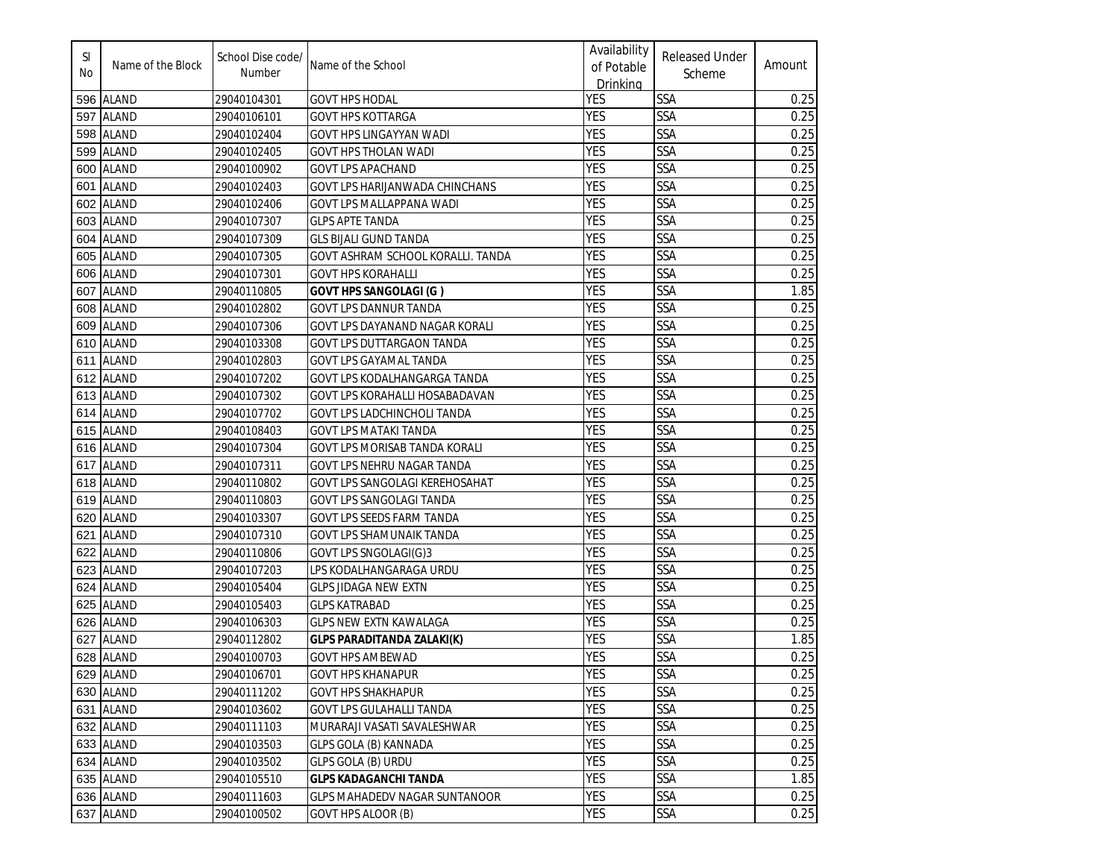| SI<br>No | Name of the Block | School Dise code/<br>Number | Name of the School                   | Availability<br>of Potable<br>Drinking | <b>Released Under</b><br>Scheme | Amount |
|----------|-------------------|-----------------------------|--------------------------------------|----------------------------------------|---------------------------------|--------|
|          | 596 ALAND         | 29040104301                 | <b>GOVT HPS HODAL</b>                | <b>YES</b>                             | <b>SSA</b>                      | 0.25   |
| 597      | <b>ALAND</b>      | 29040106101                 | <b>GOVT HPS KOTTARGA</b>             | <b>YES</b>                             | SSA                             | 0.25   |
| 598      | <b>ALAND</b>      | 29040102404                 | GOVT HPS LINGAYYAN WADI              | <b>YES</b>                             | SSA                             | 0.25   |
| 599      | <b>ALAND</b>      | 29040102405                 | GOVT HPS THOLAN WADI                 | <b>YES</b>                             | SSA                             | 0.25   |
| 600      | <b>ALAND</b>      | 29040100902                 | <b>GOVT LPS APACHAND</b>             | <b>YES</b>                             | <b>SSA</b>                      | 0.25   |
| 601      | <b>ALAND</b>      | 29040102403                 | GOVT LPS HARIJANWADA CHINCHANS       | <b>YES</b>                             | SSA                             | 0.25   |
| 602      | <b>ALAND</b>      | 29040102406                 | GOVT LPS MALLAPPANA WADI             | <b>YES</b>                             | <b>SSA</b>                      | 0.25   |
| 603      | <b>ALAND</b>      | 29040107307                 | <b>GLPS APTE TANDA</b>               | <b>YES</b>                             | <b>SSA</b>                      | 0.25   |
| 604      | <b>ALAND</b>      | 29040107309                 | <b>GLS BIJALI GUND TANDA</b>         | <b>YES</b>                             | <b>SSA</b>                      | 0.25   |
| 605      | <b>ALAND</b>      | 29040107305                 | GOVT ASHRAM SCHOOL KORALLI. TANDA    | <b>YES</b>                             | <b>SSA</b>                      | 0.25   |
| 606      | <b>ALAND</b>      | 29040107301                 | <b>GOVT HPS KORAHALLI</b>            | <b>YES</b>                             | <b>SSA</b>                      | 0.25   |
| 607      | <b>ALAND</b>      | 29040110805                 | <b>GOVT HPS SANGOLAGI (G)</b>        | <b>YES</b>                             | <b>SSA</b>                      | 1.85   |
| 608      | <b>ALAND</b>      | 29040102802                 | <b>GOVT LPS DANNUR TANDA</b>         | <b>YES</b>                             | <b>SSA</b>                      | 0.25   |
| 609      | <b>ALAND</b>      | 29040107306                 | GOVT LPS DAYANAND NAGAR KORALI       | <b>YES</b>                             | <b>SSA</b>                      | 0.25   |
| 610      | <b>ALAND</b>      | 29040103308                 | GOVT LPS DUTTARGAON TANDA            | <b>YES</b>                             | <b>SSA</b>                      | 0.25   |
| 611      | <b>ALAND</b>      | 29040102803                 | <b>GOVT LPS GAYAMAL TANDA</b>        | <b>YES</b>                             | SSA                             | 0.25   |
|          | 612 ALAND         | 29040107202                 | GOVT LPS KODALHANGARGA TANDA         | <b>YES</b>                             | SSA                             | 0.25   |
|          | 613 ALAND         | 29040107302                 | GOVT LPS KORAHALLI HOSABADAVAN       | <b>YES</b>                             | <b>SSA</b>                      | 0.25   |
| 614      | <b>ALAND</b>      | 29040107702                 | GOVT LPS LADCHINCHOLI TANDA          | <b>YES</b>                             | SSA                             | 0.25   |
| 615      | <b>ALAND</b>      | 29040108403                 | GOVT LPS MATAKI TANDA                | <b>YES</b>                             | SSA                             | 0.25   |
| 616      | <b>ALAND</b>      | 29040107304                 | GOVT LPS MORISAB TANDA KORALI        | <b>YES</b>                             | <b>SSA</b>                      | 0.25   |
| 617      | <b>ALAND</b>      | 29040107311                 | GOVT LPS NEHRU NAGAR TANDA           | <b>YES</b>                             | SSA                             | 0.25   |
| 618      | <b>ALAND</b>      | 29040110802                 | GOVT LPS SANGOLAGI KEREHOSAHAT       | <b>YES</b>                             | SSA                             | 0.25   |
| 619      | <b>ALAND</b>      | 29040110803                 | GOVT LPS SANGOLAGI TANDA             | <b>YES</b>                             | <b>SSA</b>                      | 0.25   |
| 620      | <b>ALAND</b>      | 29040103307                 | <b>GOVT LPS SEEDS FARM TANDA</b>     | <b>YES</b>                             | <b>SSA</b>                      | 0.25   |
| 621      | <b>ALAND</b>      | 29040107310                 | <b>GOVT LPS SHAMUNAIK TANDA</b>      | <b>YES</b>                             | <b>SSA</b>                      | 0.25   |
| 622      | <b>ALAND</b>      | 29040110806                 | GOVT LPS SNGOLAGI(G)3                | <b>YES</b>                             | <b>SSA</b>                      | 0.25   |
| 623      | <b>ALAND</b>      | 29040107203                 | LPS KODALHANGARAGA URDU              | <b>YES</b>                             | <b>SSA</b>                      | 0.25   |
| 624      | <b>ALAND</b>      | 29040105404                 | <b>GLPS JIDAGA NEW EXTN</b>          | <b>YES</b>                             | <b>SSA</b>                      | 0.25   |
| 625      | <b>ALAND</b>      | 29040105403                 | <b>GLPS KATRABAD</b>                 | <b>YES</b>                             | <b>SSA</b>                      | 0.25   |
| 626      | <b>ALAND</b>      | 29040106303                 | <b>GLPS NEW EXTN KAWALAGA</b>        | <b>YES</b>                             | SSA                             | 0.25   |
| 627      | <b>ALAND</b>      | 29040112802                 | <b>GLPS PARADITANDA ZALAKI(K)</b>    | <b>YES</b>                             | SSA                             | 1.85   |
|          | 628 ALAND         | 29040100703                 | <b>GOVT HPS AMBEWAD</b>              | <b>YES</b>                             | <b>SSA</b>                      | 0.25   |
|          | 629 ALAND         | 29040106701                 | <b>GOVT HPS KHANAPUR</b>             | <b>YES</b>                             | <b>SSA</b>                      | 0.25   |
|          | 630 ALAND         | 29040111202                 | <b>GOVT HPS SHAKHAPUR</b>            | <b>YES</b>                             | <b>SSA</b>                      | 0.25   |
|          | 631 ALAND         | 29040103602                 | GOVT LPS GULAHALLI TANDA             | <b>YES</b>                             | <b>SSA</b>                      | 0.25   |
|          | 632 ALAND         | 29040111103                 | MURARAJI VASATI SAVALESHWAR          | <b>YES</b>                             | <b>SSA</b>                      | 0.25   |
|          | 633 ALAND         | 29040103503                 | GLPS GOLA (B) KANNADA                | <b>YES</b>                             | <b>SSA</b>                      | 0.25   |
|          | 634 ALAND         | 29040103502                 | GLPS GOLA (B) URDU                   | <b>YES</b>                             | SSA                             | 0.25   |
|          | 635 ALAND         | 29040105510                 | <b>GLPS KADAGANCHI TANDA</b>         | <b>YES</b>                             | <b>SSA</b>                      | 1.85   |
|          | 636 ALAND         | 29040111603                 | <b>GLPS MAHADEDV NAGAR SUNTANOOR</b> | <b>YES</b>                             | SSA                             | 0.25   |
|          | 637 ALAND         | 29040100502                 | <b>GOVT HPS ALOOR (B)</b>            | YES                                    | SSA                             | 0.25   |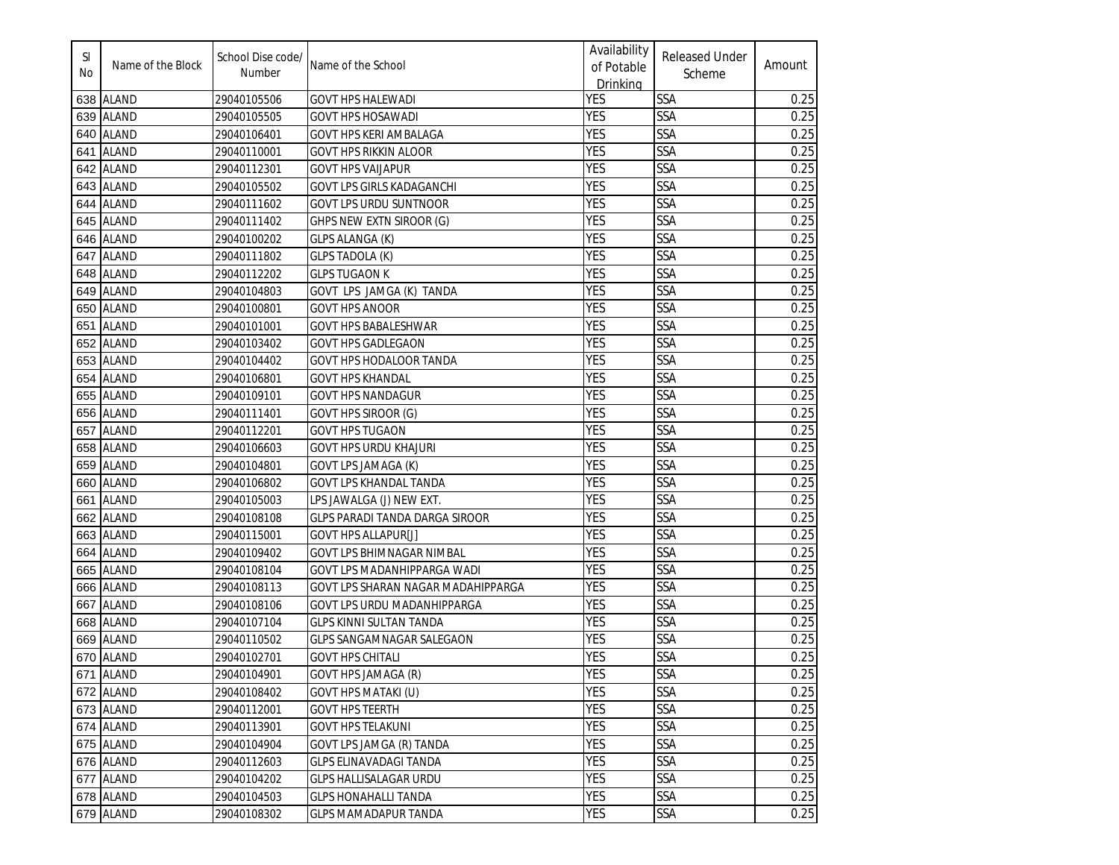| SI<br>No | Name of the Block | School Dise code/<br>Number | Name of the School                    | Availability<br>of Potable<br>Drinking | <b>Released Under</b><br>Scheme | Amount |
|----------|-------------------|-----------------------------|---------------------------------------|----------------------------------------|---------------------------------|--------|
|          | 638 ALAND         | 29040105506                 | <b>GOVT HPS HALEWADI</b>              | <b>YES</b>                             | SSA                             | 0.25   |
|          | 639 ALAND         | 29040105505                 | <b>GOVT HPS HOSAWADI</b>              | <b>YES</b>                             | SSA                             | 0.25   |
| 640      | <b>ALAND</b>      | 29040106401                 | GOVT HPS KERI AMBALAGA                | <b>YES</b>                             | SSA                             | 0.25   |
| 641      | <b>ALAND</b>      | 29040110001                 | GOVT HPS RIKKIN ALOOR                 | <b>YES</b>                             | SSA                             | 0.25   |
| 642      | <b>ALAND</b>      | 29040112301                 | <b>GOVT HPS VAIJAPUR</b>              | <b>YES</b>                             | SSA                             | 0.25   |
| 643      | <b>ALAND</b>      | 29040105502                 | <b>GOVT LPS GIRLS KADAGANCHI</b>      | <b>YES</b>                             | <b>SSA</b>                      | 0.25   |
| 644      | <b>ALAND</b>      | 29040111602                 | <b>GOVT LPS URDU SUNTNOOR</b>         | <b>YES</b>                             | <b>SSA</b>                      | 0.25   |
| 645      | <b>ALAND</b>      | 29040111402                 | GHPS NEW EXTN SIROOR (G)              | <b>YES</b>                             | SSA                             | 0.25   |
| 646      | <b>ALAND</b>      | 29040100202                 | <b>GLPS ALANGA (K)</b>                | <b>YES</b>                             | SSA                             | 0.25   |
| 647      | <b>ALAND</b>      | 29040111802                 | <b>GLPS TADOLA (K)</b>                | <b>YES</b>                             | SSA                             | 0.25   |
| 648      | <b>ALAND</b>      | 29040112202                 | <b>GLPS TUGAON K</b>                  | <b>YES</b>                             | SSA                             | 0.25   |
| 649      | <b>ALAND</b>      | 29040104803                 | GOVT LPS JAMGA (K) TANDA              | <b>YES</b>                             | SSA                             | 0.25   |
| 650      | <b>ALAND</b>      | 29040100801                 | <b>GOVT HPS ANOOR</b>                 | <b>YES</b>                             | SSA                             | 0.25   |
|          | 651 ALAND         | 29040101001                 | <b>GOVT HPS BABALESHWAR</b>           | <b>YES</b>                             | SSA                             | 0.25   |
|          | 652 ALAND         | 29040103402                 | <b>GOVT HPS GADLEGAON</b>             | <b>YES</b>                             | SSA                             | 0.25   |
|          | 653 ALAND         | 29040104402                 | <b>GOVT HPS HODALOOR TANDA</b>        | <b>YES</b>                             | SSA                             | 0.25   |
| 654      | <b>ALAND</b>      | 29040106801                 | <b>GOVT HPS KHANDAL</b>               | <b>YES</b>                             | SSA                             | 0.25   |
| 655      | <b>ALAND</b>      | 29040109101                 | <b>GOVT HPS NANDAGUR</b>              | <b>YES</b>                             | SSA                             | 0.25   |
| 656      | <b>ALAND</b>      | 29040111401                 | GOVT HPS SIROOR (G)                   | <b>YES</b>                             | SSA                             | 0.25   |
| 657      | <b>ALAND</b>      | 29040112201                 | <b>GOVT HPS TUGAON</b>                | <b>YES</b>                             | SSA                             | 0.25   |
| 658      | <b>ALAND</b>      | 29040106603                 | <b>GOVT HPS URDU KHAJURI</b>          | <b>YES</b>                             | <b>SSA</b>                      | 0.25   |
| 659      | <b>ALAND</b>      | 29040104801                 | GOVT LPS JAMAGA (K)                   | <b>YES</b>                             | SSA                             | 0.25   |
| 660      | <b>ALAND</b>      | 29040106802                 | <b>GOVT LPS KHANDAL TANDA</b>         | <b>YES</b>                             | SSA                             | 0.25   |
| 661      | <b>ALAND</b>      | 29040105003                 | LPS JAWALGA (J) NEW EXT.              | <b>YES</b>                             | SSA                             | 0.25   |
| 662      | <b>ALAND</b>      | 29040108108                 | <b>GLPS PARADI TANDA DARGA SIROOR</b> | <b>YES</b>                             | SSA                             | 0.25   |
| 663      | <b>ALAND</b>      | 29040115001                 | <b>GOVT HPS ALLAPUR[J]</b>            | <b>YES</b>                             | SSA                             | 0.25   |
| 664      | <b>ALAND</b>      | 29040109402                 | <b>GOVT LPS BHIMNAGAR NIMBAL</b>      | <b>YES</b>                             | SSA                             | 0.25   |
| 665      | <b>ALAND</b>      | 29040108104                 | GOVT LPS MADANHIPPARGA WADI           | <b>YES</b>                             | SSA                             | 0.25   |
| 666      | <b>ALAND</b>      | 29040108113                 | GOVT LPS SHARAN NAGAR MADAHIPPARGA    | <b>YES</b>                             | <b>SSA</b>                      | 0.25   |
| 667      | <b>ALAND</b>      | 29040108106                 | GOVT LPS URDU MADANHIPPARGA           | <b>YES</b>                             | SSA                             | 0.25   |
| 668      | <b>ALAND</b>      | 29040107104                 | GLPS KINNI SULTAN TANDA               | <b>YES</b>                             | SSA                             | 0.25   |
|          | 669 ALAND         | 29040110502                 | GLPS SANGAMNAGAR SALEGAON             | <b>YES</b>                             | <b>SSA</b>                      | 0.25   |
|          | 670 ALAND         | 29040102701                 | <b>GOVT HPS CHITALI</b>               | <b>YES</b>                             | SSA                             | 0.25   |
|          | 671 ALAND         | 29040104901                 | <b>GOVT HPS JAMAGA (R)</b>            | <b>YES</b>                             | <b>SSA</b>                      | 0.25   |
|          | 672 ALAND         | 29040108402                 | GOVT HPS MATAKI (U)                   | <b>YES</b>                             | SSA                             | 0.25   |
|          | 673 ALAND         | 29040112001                 | <b>GOVT HPS TEERTH</b>                | <b>YES</b>                             | SSA                             | 0.25   |
|          | 674 ALAND         | 29040113901                 | <b>GOVT HPS TELAKUNI</b>              | <b>YES</b>                             | <b>SSA</b>                      | 0.25   |
|          | 675 ALAND         | 29040104904                 | GOVT LPS JAMGA (R) TANDA              | <b>YES</b>                             | SSA                             | 0.25   |
|          | 676 ALAND         | 29040112603                 | <b>GLPS ELINAVADAGI TANDA</b>         | <b>YES</b>                             | SSA                             | 0.25   |
|          | 677 ALAND         | 29040104202                 | <b>GLPS HALLISALAGAR URDU</b>         | <b>YES</b>                             | SSA                             | 0.25   |
|          | 678 ALAND         | 29040104503                 | <b>GLPS HONAHALLI TANDA</b>           | <b>YES</b>                             | SSA                             | 0.25   |
|          | 679 ALAND         | 29040108302                 | <b>GLPS MAMADAPUR TANDA</b>           | <b>YES</b>                             | SSA                             | 0.25   |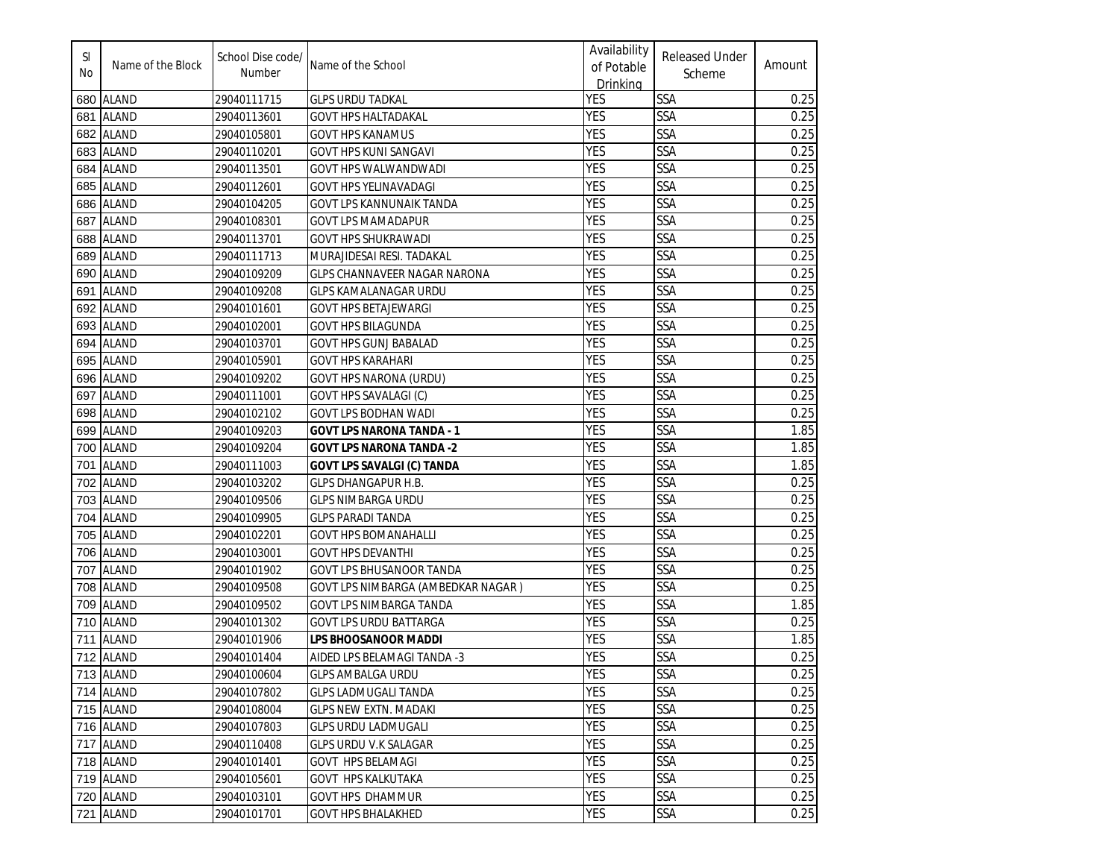| SI<br>No | Name of the Block | School Dise code/<br>Number | Name of the School                  | Availability<br>of Potable<br>Drinking | <b>Released Under</b><br>Scheme | Amount |
|----------|-------------------|-----------------------------|-------------------------------------|----------------------------------------|---------------------------------|--------|
|          | 680 ALAND         | 29040111715                 | <b>GLPS URDU TADKAL</b>             | <b>YES</b>                             | <b>SSA</b>                      | 0.25   |
|          | 681 ALAND         | 29040113601                 | <b>GOVT HPS HALTADAKAL</b>          | <b>YES</b>                             | SSA                             | 0.25   |
|          | 682 ALAND         | 29040105801                 | <b>GOVT HPS KANAMUS</b>             | <b>YES</b>                             | SSA                             | 0.25   |
|          | 683 ALAND         | 29040110201                 | GOVT HPS KUNI SANGAVI               | <b>YES</b>                             | SSA                             | 0.25   |
|          | 684 ALAND         | 29040113501                 | GOVT HPS WALWANDWADI                | <b>YES</b>                             | SSA                             | 0.25   |
|          | 685 ALAND         | 29040112601                 | GOVT HPS YELINAVADAGI               | <b>YES</b>                             | SSA                             | 0.25   |
|          | 686 ALAND         | 29040104205                 | GOVT LPS KANNUNAIK TANDA            | <b>YES</b>                             | SSA                             | 0.25   |
|          | 687 ALAND         | 29040108301                 | <b>GOVT LPS MAMADAPUR</b>           | <b>YES</b>                             | SSA                             | 0.25   |
|          | 688 ALAND         | 29040113701                 | <b>GOVT HPS SHUKRAWADI</b>          | <b>YES</b>                             | <b>SSA</b>                      | 0.25   |
| 689      | <b>ALAND</b>      | 29040111713                 | MURAJIDESAI RESI. TADAKAL           | <b>YES</b>                             | <b>SSA</b>                      | 0.25   |
| 690      | <b>ALAND</b>      | 29040109209                 | <b>GLPS CHANNAVEER NAGAR NARONA</b> | <b>YES</b>                             | <b>SSA</b>                      | 0.25   |
|          | 691 ALAND         | 29040109208                 | <b>GLPS KAMALANAGAR URDU</b>        | <b>YES</b>                             | SSA                             | 0.25   |
|          | 692 ALAND         | 29040101601                 | <b>GOVT HPS BETAJEWARGI</b>         | <b>YES</b>                             | <b>SSA</b>                      | 0.25   |
|          | 693 ALAND         | 29040102001                 | <b>GOVT HPS BILAGUNDA</b>           | <b>YES</b>                             | SSA                             | 0.25   |
|          | 694  ALAND        | 29040103701                 | GOVT HPS GUNJ BABALAD               | <b>YES</b>                             | SSA                             | 0.25   |
|          | 695 ALAND         | 29040105901                 | <b>GOVT HPS KARAHARI</b>            | <b>YES</b>                             | SSA                             | 0.25   |
|          | 696 ALAND         | 29040109202                 | GOVT HPS NARONA (URDU)              | <b>YES</b>                             | SSA                             | 0.25   |
|          | 697 ALAND         | 29040111001                 | GOVT HPS SAVALAGI (C)               | <b>YES</b>                             | SSA                             | 0.25   |
|          | 698 ALAND         | 29040102102                 | GOVT LPS BODHAN WADI                | <b>YES</b>                             | SSA                             | 0.25   |
|          | 699 ALAND         | 29040109203                 | <b>GOVT LPS NARONA TANDA - 1</b>    | <b>YES</b>                             | SSA                             | 1.85   |
|          | 700 ALAND         | 29040109204                 | <b>GOVT LPS NARONA TANDA -2</b>     | <b>YES</b>                             | SSA                             | 1.85   |
| 701      | <b>ALAND</b>      | 29040111003                 | <b>GOVT LPS SAVALGI (C) TANDA</b>   | <b>YES</b>                             | SSA                             | 1.85   |
| 702      | <b>ALAND</b>      | 29040103202                 | GLPS DHANGAPUR H.B.                 | <b>YES</b>                             | SSA                             | 0.25   |
| 703      | <b>ALAND</b>      | 29040109506                 | GLPS NIMBARGA URDU                  | <b>YES</b>                             | SSA                             | 0.25   |
|          | 704 ALAND         | 29040109905                 | <b>GLPS PARADI TANDA</b>            | <b>YES</b>                             | SSA                             | 0.25   |
| 705      | <b>ALAND</b>      | 29040102201                 | GOVT HPS BOMANAHALLI                | <b>YES</b>                             | <b>SSA</b>                      | 0.25   |
| 706      | <b>ALAND</b>      | 29040103001                 | <b>GOVT HPS DEVANTHI</b>            | <b>YES</b>                             | SSA                             | 0.25   |
| 707      | <b>ALAND</b>      | 29040101902                 | <b>GOVT LPS BHUSANOOR TANDA</b>     | <b>YES</b>                             | SSA                             | 0.25   |
|          | 708 ALAND         | 29040109508                 | GOVT LPS NIMBARGA (AMBEDKAR NAGAR)  | <b>YES</b>                             | <b>SSA</b>                      | 0.25   |
|          | 709 ALAND         | 29040109502                 | GOVT LPS NIMBARGA TANDA             | <b>YES</b>                             | <b>SSA</b>                      | 1.85   |
|          | 710 ALAND         | 29040101302                 | <b>GOVT LPS URDU BATTARGA</b>       | <b>YES</b>                             | SSA                             | 0.25   |
|          | 711 ALAND         | 29040101906                 | LPS BHOOSANOOR MADDI                | <b>YES</b>                             | SSA                             | 1.85   |
|          | 712 ALAND         | 29040101404                 | AIDED LPS BELAMAGI TANDA -3         | <b>YES</b>                             | SSA                             | 0.25   |
|          | 713 ALAND         | 29040100604                 | <b>GLPS AMBALGA URDU</b>            | <b>YES</b>                             | <b>SSA</b>                      | 0.25   |
|          | 714 ALAND         | 29040107802                 | <b>GLPS LADMUGALI TANDA</b>         | <b>YES</b>                             | SSA                             | 0.25   |
|          | 715 ALAND         | 29040108004                 | <b>GLPS NEW EXTN. MADAKI</b>        | <b>YES</b>                             | <b>SSA</b>                      | 0.25   |
|          | 716 ALAND         | 29040107803                 | <b>GLPS URDU LADMUGALI</b>          | <b>YES</b>                             | <b>SSA</b>                      | 0.25   |
|          | 717 ALAND         | 29040110408                 | GLPS URDU V.K SALAGAR               | <b>YES</b>                             | <b>SSA</b>                      | 0.25   |
|          | 718 ALAND         | 29040101401                 | GOVT HPS BELAMAGI                   | <b>YES</b>                             | SSA                             | 0.25   |
|          | 719 ALAND         | 29040105601                 | GOVT HPS KALKUTAKA                  | <b>YES</b>                             | SSA                             | 0.25   |
|          | 720 ALAND         | 29040103101                 | GOVT HPS DHAMMUR                    | <b>YES</b>                             | <b>SSA</b>                      | 0.25   |
|          | 721 ALAND         | 29040101701                 | <b>GOVT HPS BHALAKHED</b>           | <b>YES</b>                             | <b>SSA</b>                      | 0.25   |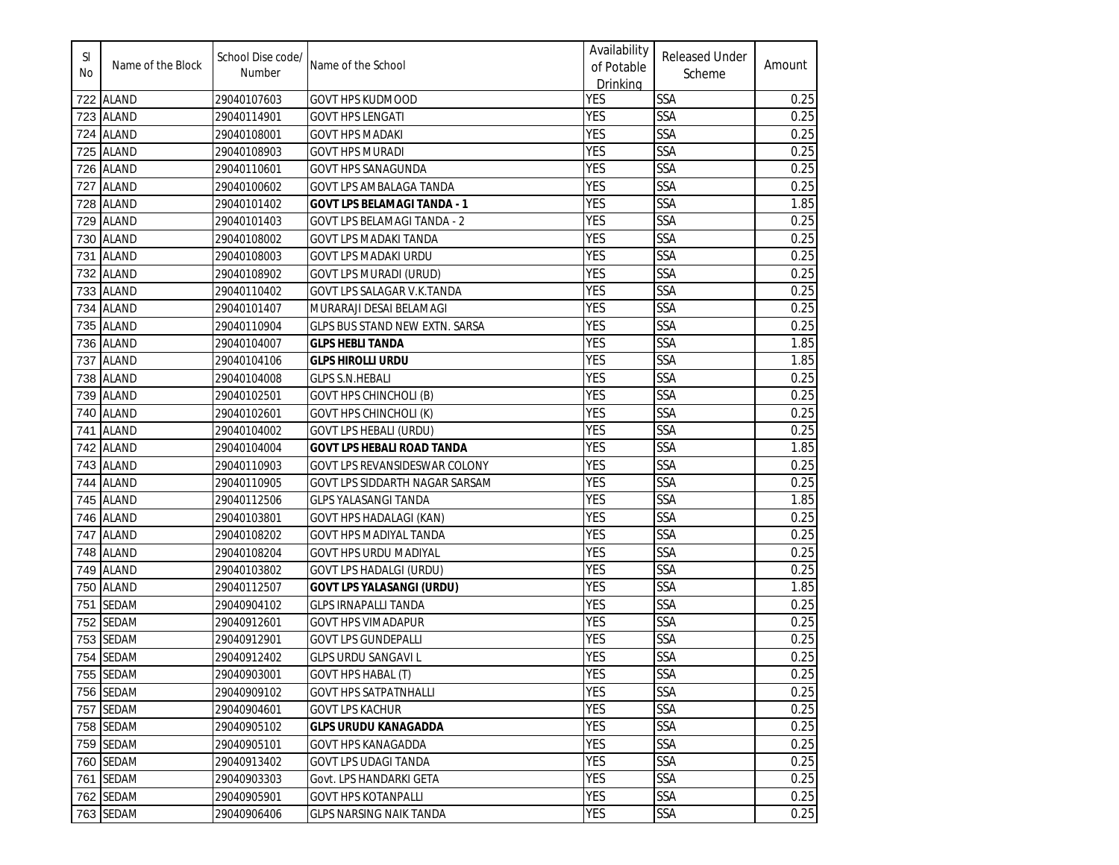| SI<br>No | Name of the Block | School Dise code/<br>Number | Name of the School                 | Availability<br>of Potable<br>Drinking | <b>Released Under</b><br>Scheme | Amount |
|----------|-------------------|-----------------------------|------------------------------------|----------------------------------------|---------------------------------|--------|
|          | 722 ALAND         | 29040107603                 | <b>GOVT HPS KUDMOOD</b>            | <b>YES</b>                             | <b>SSA</b>                      | 0.25   |
| 723      | <b>ALAND</b>      | 29040114901                 | <b>GOVT HPS LENGATI</b>            | <b>YES</b>                             | <b>SSA</b>                      | 0.25   |
| 724      | <b>ALAND</b>      | 29040108001                 | <b>GOVT HPS MADAKI</b>             | <b>YES</b>                             | SSA                             | 0.25   |
| 725      | <b>ALAND</b>      | 29040108903                 | GOVT HPS MURADI                    | <b>YES</b>                             | <b>SSA</b>                      | 0.25   |
| 726      | <b>ALAND</b>      | 29040110601                 | <b>GOVT HPS SANAGUNDA</b>          | <b>YES</b>                             | <b>SSA</b>                      | 0.25   |
| 727      | <b>ALAND</b>      | 29040100602                 | GOVT LPS AMBALAGA TANDA            | <b>YES</b>                             | <b>SSA</b>                      | 0.25   |
| 728      | <b>ALAND</b>      | 29040101402                 | <b>GOVT LPS BELAMAGI TANDA - 1</b> | <b>YES</b>                             | <b>SSA</b>                      | 1.85   |
| 729      | <b>ALAND</b>      | 29040101403                 | <b>GOVT LPS BELAMAGI TANDA - 2</b> | <b>YES</b>                             | <b>SSA</b>                      | 0.25   |
| 730      | <b>ALAND</b>      | 29040108002                 | <b>GOVT LPS MADAKI TANDA</b>       | <b>YES</b>                             | <b>SSA</b>                      | 0.25   |
| 731      | <b>ALAND</b>      | 29040108003                 | <b>GOVT LPS MADAKI URDU</b>        | <b>YES</b>                             | <b>SSA</b>                      | 0.25   |
| 732      | <b>ALAND</b>      | 29040108902                 | <b>GOVT LPS MURADI (URUD)</b>      | <b>YES</b>                             | <b>SSA</b>                      | 0.25   |
| 733      | <b>ALAND</b>      | 29040110402                 | GOVT LPS SALAGAR V.K.TANDA         | <b>YES</b>                             | <b>SSA</b>                      | 0.25   |
| 734      | <b>ALAND</b>      | 29040101407                 | MURARAJI DESAI BELAMAGI            | <b>YES</b>                             | <b>SSA</b>                      | 0.25   |
| 735      | <b>ALAND</b>      | 29040110904                 | GLPS BUS STAND NEW EXTN. SARSA     | <b>YES</b>                             | <b>SSA</b>                      | 0.25   |
| 736      | <b>ALAND</b>      | 29040104007                 | <b>GLPS HEBLI TANDA</b>            | <b>YES</b>                             | <b>SSA</b>                      | 1.85   |
| 737      | <b>ALAND</b>      | 29040104106                 | <b>GLPS HIROLLI URDU</b>           | <b>YES</b>                             | <b>SSA</b>                      | 1.85   |
| 738      | <b>ALAND</b>      | 29040104008                 | <b>GLPS S.N.HEBALI</b>             | <b>YES</b>                             | SSA                             | 0.25   |
| 739      | <b>ALAND</b>      | 29040102501                 | <b>GOVT HPS CHINCHOLI (B)</b>      | <b>YES</b>                             | <b>SSA</b>                      | 0.25   |
| 740      | <b>ALAND</b>      | 29040102601                 | <b>GOVT HPS CHINCHOLI (K)</b>      | <b>YES</b>                             | SSA                             | 0.25   |
| 741      | <b>ALAND</b>      | 29040104002                 | <b>GOVT LPS HEBALI (URDU)</b>      | <b>YES</b>                             | SSA                             | 0.25   |
| 742      | <b>ALAND</b>      | 29040104004                 | <b>GOVT LPS HEBALI ROAD TANDA</b>  | <b>YES</b>                             | <b>SSA</b>                      | 1.85   |
| 743      | <b>ALAND</b>      | 29040110903                 | GOVT LPS REVANSIDESWAR COLONY      | <b>YES</b>                             | SSA                             | 0.25   |
| 744      | <b>ALAND</b>      | 29040110905                 | GOVT LPS SIDDARTH NAGAR SARSAM     | <b>YES</b>                             | <b>SSA</b>                      | 0.25   |
| 745      | <b>ALAND</b>      | 29040112506                 | <b>GLPS YALASANGI TANDA</b>        | <b>YES</b>                             | <b>SSA</b>                      | 1.85   |
| 746      | <b>ALAND</b>      | 29040103801                 | <b>GOVT HPS HADALAGI (KAN)</b>     | <b>YES</b>                             | <b>SSA</b>                      | 0.25   |
| 747      | <b>ALAND</b>      | 29040108202                 | <b>GOVT HPS MADIYAL TANDA</b>      | <b>YES</b>                             | <b>SSA</b>                      | 0.25   |
| 748      | <b>ALAND</b>      | 29040108204                 | <b>GOVT HPS URDU MADIYAL</b>       | <b>YES</b>                             | <b>SSA</b>                      | 0.25   |
| 749      | <b>ALAND</b>      | 29040103802                 | <b>GOVT LPS HADALGI (URDU)</b>     | <b>YES</b>                             | <b>SSA</b>                      | 0.25   |
| 750      | <b>ALAND</b>      | 29040112507                 | <b>GOVT LPS YALASANGI (URDU)</b>   | <b>YES</b>                             | <b>SSA</b>                      | 1.85   |
| 751      | <b>SEDAM</b>      | 29040904102                 | <b>GLPS IRNAPALLI TANDA</b>        | <b>YES</b>                             | <b>SSA</b>                      | 0.25   |
| 752      | <b>SEDAM</b>      | 29040912601                 | <b>GOVT HPS VIMADAPUR</b>          | <b>YES</b>                             | SSA                             | 0.25   |
| 753      | <b>SEDAM</b>      | 29040912901                 | <b>GOVT LPS GUNDEPALLI</b>         | <b>YES</b>                             | <b>SSA</b>                      | 0.25   |
|          | 754 SEDAM         | 29040912402                 | <b>GLPS URDU SANGAVI L</b>         | <b>YES</b>                             | <b>SSA</b>                      | 0.25   |
|          | 755 SEDAM         | 29040903001                 | <b>GOVT HPS HABAL (T)</b>          | <b>YES</b>                             | <b>SSA</b>                      | 0.25   |
|          | 756 SEDAM         | 29040909102                 | <b>GOVT HPS SATPATNHALLI</b>       | <b>YES</b>                             | <b>SSA</b>                      | 0.25   |
|          | 757 SEDAM         | 29040904601                 | <b>GOVT LPS KACHUR</b>             | <b>YES</b>                             | <b>SSA</b>                      | 0.25   |
|          | 758 SEDAM         | 29040905102                 | <b>GLPS URUDU KANAGADDA</b>        | <b>YES</b>                             | <b>SSA</b>                      | 0.25   |
|          | 759 SEDAM         | 29040905101                 | GOVT HPS KANAGADDA                 | <b>YES</b>                             | <b>SSA</b>                      | 0.25   |
|          | 760 SEDAM         | 29040913402                 | GOVT LPS UDAGI TANDA               | <b>YES</b>                             | SSA                             | 0.25   |
|          | 761 SEDAM         | 29040903303                 | Govt. LPS HANDARKI GETA            | <b>YES</b>                             | <b>SSA</b>                      | 0.25   |
|          | 762 SEDAM         | 29040905901                 | <b>GOVT HPS KOTANPALLI</b>         | <b>YES</b>                             | <b>SSA</b>                      | 0.25   |
|          | 763 SEDAM         | 29040906406                 | <b>GLPS NARSING NAIK TANDA</b>     | <b>YES</b>                             | SSA                             | 0.25   |